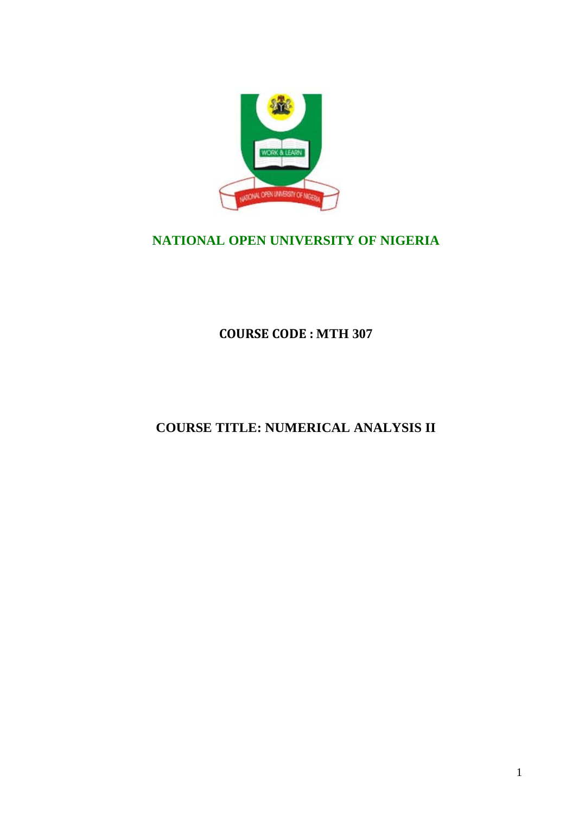

# **NATIONAL OPEN UNIVERSITY OF NIGERIA**

# **COURSE CODE : MTH 307**

# **COURSE TITLE: NUMERICAL ANALYSIS II**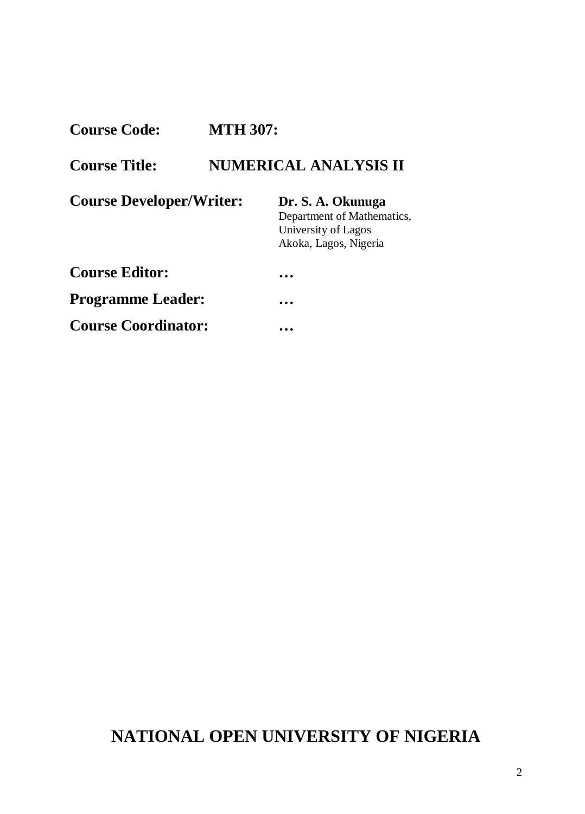| <b>Course Code:</b> | <b>MTH 307:</b> |
|---------------------|-----------------|
|                     |                 |

# **Course Title: NUMERICAL ANALYSIS II**

| <b>Course Developer/Writer:</b> | Dr. S. A. Okunuga<br>Department of Mathematics,<br>University of Lagos<br>Akoka, Lagos, Nigeria |
|---------------------------------|-------------------------------------------------------------------------------------------------|
| <b>Course Editor:</b>           |                                                                                                 |
| <b>Programme Leader:</b>        |                                                                                                 |
| <b>Course Coordinator:</b>      |                                                                                                 |

# **NATIONAL OPEN UNIVERSITY OF NIGERIA**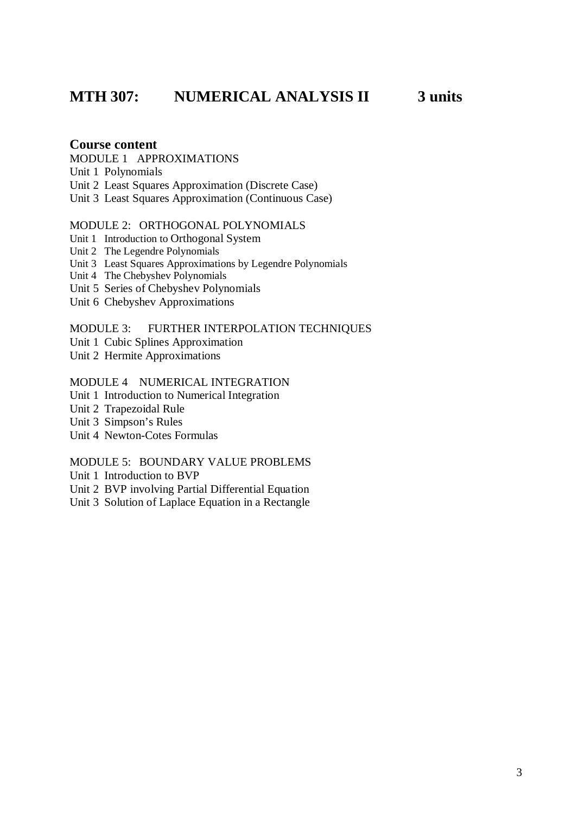# **MTH 307: NUMERICAL ANALYSIS II 3 units**

#### **Course content**

#### MODULE 1 APPROXIMATIONS

Unit 1 Polynomials

Unit 2 Least Squares Approximation (Discrete Case)

Unit 3 Least Squares Approximation (Continuous Case)

#### MODULE 2: ORTHOGONAL POLYNOMIALS

- Unit 1 Introduction to Orthogonal System
- Unit 2 The Legendre Polynomials
- Unit 3 Least Squares Approximations by Legendre Polynomials
- Unit 4 The Chebyshev Polynomials
- Unit 5 Series of Chebyshev Polynomials
- Unit 6 Chebyshev Approximations

#### MODULE 3: FURTHER INTERPOLATION TECHNIQUES

- Unit 1 Cubic Splines Approximation
- Unit 2 Hermite Approximations

#### MODULE 4 NUMERICAL INTEGRATION

- Unit 1 Introduction to Numerical Integration
- Unit 2 Trapezoidal Rule
- Unit 3 Simpson's Rules
- Unit 4 Newton-Cotes Formulas

### MODULE 5: BOUNDARY VALUE PROBLEMS

- Unit 1 Introduction to BVP
- Unit 2 BVP involving Partial Differential Equation
- Unit 3 Solution of Laplace Equation in a Rectangle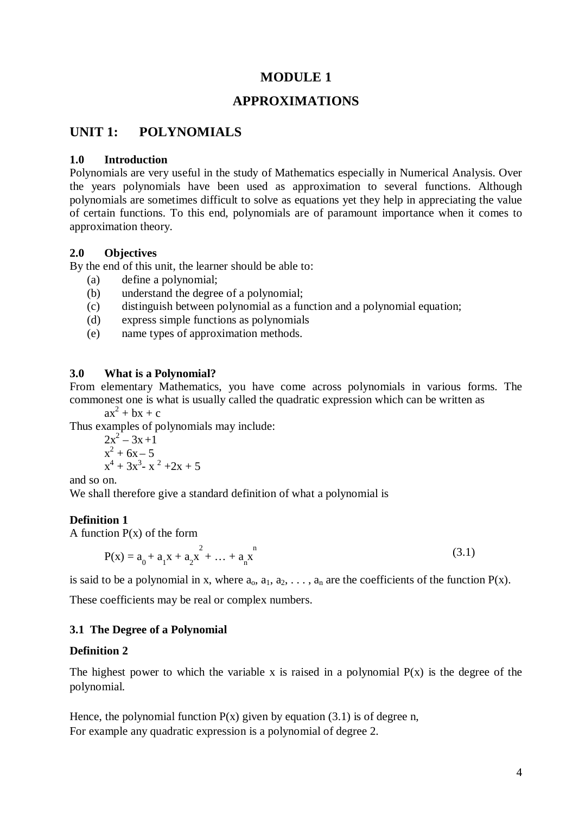### **MODULE 1**

### **APPROXIMATIONS**

### **UNIT 1: POLYNOMIALS**

#### **1.0 Introduction**

Polynomials are very useful in the study of Mathematics especially in Numerical Analysis. Over the years polynomials have been used as approximation to several functions. Although polynomials are sometimes difficult to solve as equations yet they help in appreciating the value of certain functions. To this end, polynomials are of paramount importance when it comes to approximation theory.

### **2.0 Objectives**

By the end of this unit, the learner should be able to:

- (a) define a polynomial;
- (b) understand the degree of a polynomial;
- (c) distinguish between polynomial as a function and a polynomial equation;
- (d) express simple functions as polynomials
- (e) name types of approximation methods.

### **3.0 What is a Polynomial?**

From elementary Mathematics, you have come across polynomials in various forms. The commonest one is what is usually called the quadratic expression which can be written as

 $ax^2 + bx + c$ 

Thus examples of polynomials may include:

$$
2x2-3x+1x2 + 6x - 5x4 + 3x3 - x2 + 2x + 5
$$

and so on.

We shall therefore give a standard definition of what a polynomial is

### **Definition 1**

A function  $P(x)$  of the form

$$
P(x) = a_0 + a_1 x + a_2 x^2 + \dots + a_n x^n
$$
 (3.1)

is said to be a polynomial in x, where  $a_0, a_1, a_2, \ldots, a_n$  are the coefficients of the function  $P(x)$ .

These coefficients may be real or complex numbers.

### **3.1 The Degree of a Polynomial**

#### **Definition 2**

The highest power to which the variable x is raised in a polynomial  $P(x)$  is the degree of the polynomial.

Hence, the polynomial function  $P(x)$  given by equation (3.1) is of degree n, For example any quadratic expression is a polynomial of degree 2.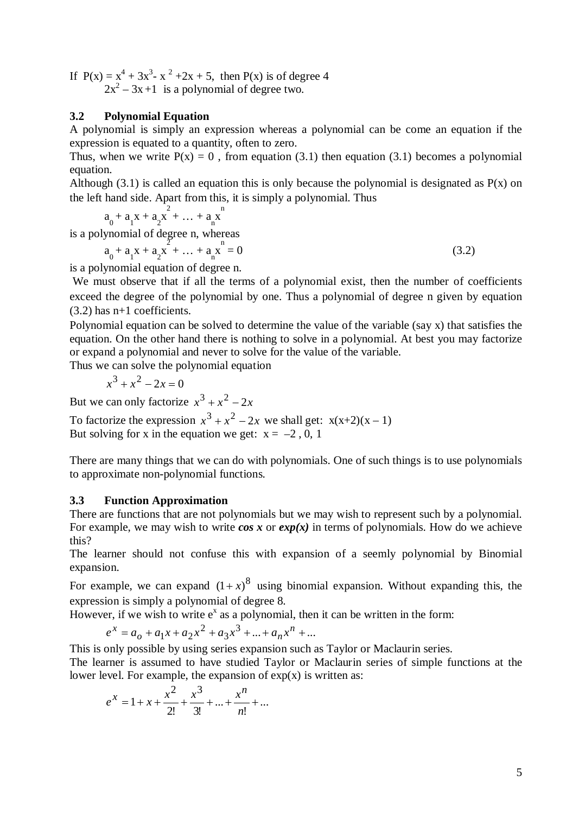If  $P(x) = x^4 + 3x^3 - x^2 + 2x + 5$ , then  $P(x)$  is of degree 4  $2x^2 - 3x + 1$  is a polynomial of degree two.

### **3.2 Polynomial Equation**

A polynomial is simply an expression whereas a polynomial can be come an equation if the expression is equated to a quantity, often to zero.

Thus, when we write  $P(x) = 0$ , from equation (3.1) then equation (3.1) becomes a polynomial equation.

Although (3.1) is called an equation this is only because the polynomial is designated as  $P(x)$  on the left hand side. Apart from this, it is simply a polynomial. Thus

$$
a_0 + a_1 x + a_2 x^2 + \dots + a_n x^n
$$

is a polynomial of degree n, whereas

$$
a_0 + a_1 x + a_2 x^2 + \dots + a_n x^n = 0
$$
\n(3.2)

is a polynomial equation of degree n.

We must observe that if all the terms of a polynomial exist, then the number of coefficients exceed the degree of the polynomial by one. Thus a polynomial of degree n given by equation  $(3.2)$  has n+1 coefficients.

Polynomial equation can be solved to determine the value of the variable (say x) that satisfies the equation. On the other hand there is nothing to solve in a polynomial. At best you may factorize or expand a polynomial and never to solve for the value of the variable.

Thus we can solve the polynomial equation

$$
x^3 + x^2 - 2x = 0
$$

But we can only factorize  $x^3 + x^2 - 2x$ 

To factorize the expression  $x^3 + x^2 - 2x$  we shall get:  $x(x+2)(x-1)$ But solving for x in the equation we get:  $x = -2$ , 0, 1

There are many things that we can do with polynomials. One of such things is to use polynomials to approximate non-polynomial functions.

#### **3.3 Function Approximation**

There are functions that are not polynomials but we may wish to represent such by a polynomial. For example, we may wish to write  $\cos x$  or  $\exp(x)$  in terms of polynomials. How do we achieve this?

The learner should not confuse this with expansion of a seemly polynomial by Binomial expansion.

For example, we can expand  $(1+x)^8$  using binomial expansion. Without expanding this, the expression is simply a polynomial of degree 8.

However, if we wish to write  $e^x$  as a polynomial, then it can be written in the form:

$$
e^x = a_o + a_1 x + a_2 x^2 + a_3 x^3 + \dots + a_n x^n + \dots
$$

This is only possible by using series expansion such as Taylor or Maclaurin series.

The learner is assumed to have studied Taylor or Maclaurin series of simple functions at the lower level. For example, the expansion of  $exp(x)$  is written as:

$$
e^{x} = 1 + x + \frac{x^{2}}{2!} + \frac{x^{3}}{3!} + \dots + \frac{x^{n}}{n!} + \dots
$$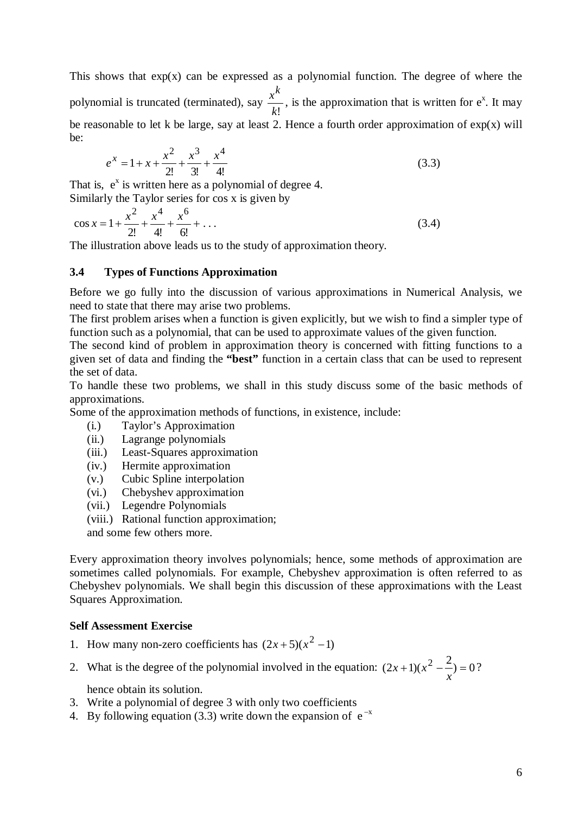This shows that  $exp(x)$  can be expressed as a polynomial function. The degree of where the polynomial is truncated (terminated), say  $\frac{x}{k!}$  $\frac{x^k}{k!}$ , is the approximation that is written for e<sup>x</sup>. It may be reasonable to let k be large, say at least 2. Hence a fourth order approximation of  $exp(x)$  will be:

$$
e^{x} = 1 + x + \frac{x^{2}}{2!} + \frac{x^{3}}{3!} + \frac{x^{4}}{4!}
$$
 (3.3)

That is,  $e^x$  is written here as a polynomial of degree 4. Similarly the Taylor series for cos x is given by

 $\cos x = 1 + \frac{x}{2!} + \frac{x}{4!} + \frac{x}{6!} + \dots$ 2  $r^4$   $r^6$  $x = 1 + \frac{x^2}{2!} + \frac{x^4}{4!} + \frac{x^6}{6!} + \dots$  (3.4)

The illustration above leads us to the study of approximation theory.

#### **3.4 Types of Functions Approximation**

Before we go fully into the discussion of various approximations in Numerical Analysis, we need to state that there may arise two problems.

The first problem arises when a function is given explicitly, but we wish to find a simpler type of function such as a polynomial, that can be used to approximate values of the given function.

The second kind of problem in approximation theory is concerned with fitting functions to a given set of data and finding the **"best"** function in a certain class that can be used to represent the set of data.

To handle these two problems, we shall in this study discuss some of the basic methods of approximations.

Some of the approximation methods of functions, in existence, include:

- (i.) Taylor's Approximation
- (ii.) Lagrange polynomials
- (iii.) Least-Squares approximation
- (iv.) Hermite approximation
- (v.) Cubic Spline interpolation
- (vi.) Chebyshev approximation
- (vii.) Legendre Polynomials
- (viii.) Rational function approximation;

and some few others more.

Every approximation theory involves polynomials; hence, some methods of approximation are sometimes called polynomials. For example, Chebyshev approximation is often referred to as Chebyshev polynomials. We shall begin this discussion of these approximations with the Least Squares Approximation.

#### **Self Assessment Exercise**

- 1. How many non-zero coefficients has  $(2x+5)(x^2-1)$
- 2. What is the degree of the polynomial involved in the equation:  $(2x+1)(x^2 \frac{2}{x}) = 0$ ?

hence obtain its solution.

- 3. Write a polynomial of degree 3 with only two coefficients
- 4. By following equation (3.3) write down the expansion of  $e^{-x}$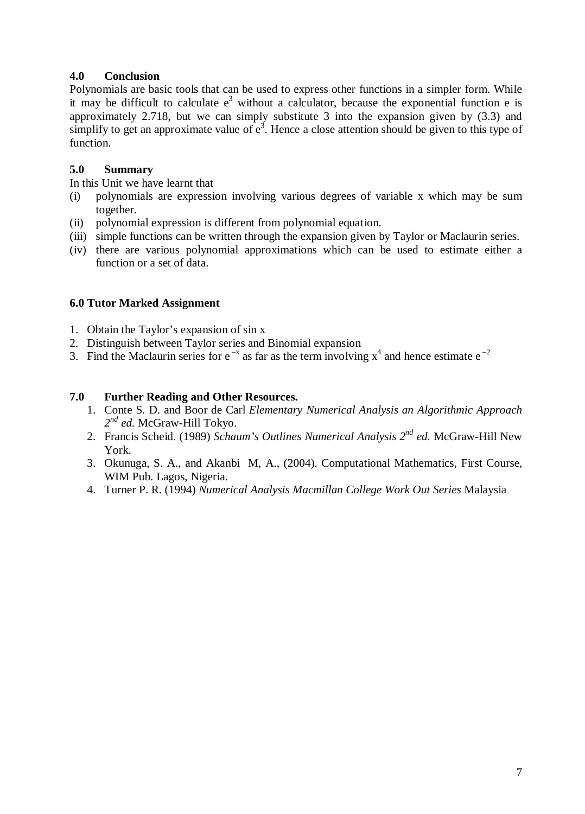### **4.0 Conclusion**

Polynomials are basic tools that can be used to express other functions in a simpler form. While it may be difficult to calculate  $e<sup>3</sup>$  without a calculator, because the exponential function e is approximately 2.718, but we can simply substitute 3 into the expansion given by (3.3) and simplify to get an approximate value of  $e^3$ . Hence a close attention should be given to this type of function.

### **5.0 Summary**

In this Unit we have learnt that

- (i) polynomials are expression involving various degrees of variable x which may be sum together.
- (ii) polynomial expression is different from polynomial equation.
- (iii) simple functions can be written through the expansion given by Taylor or Maclaurin series.
- (iv) there are various polynomial approximations which can be used to estimate either a function or a set of data.

### **6.0 Tutor Marked Assignment**

- 1. Obtain the Taylor's expansion of sin x
- 2. Distinguish between Taylor series and Binomial expansion
- 3. Find the Maclaurin series for  $e^{-x}$  as far as the term involving  $x^4$  and hence estimate  $e^{-2}$

### **7.0 Further Reading and Other Resources.**

- 1. Conte S. D. and Boor de Carl *Elementary Numerical Analysis an Algorithmic Approach 2nd ed.* McGraw-Hill Tokyo.
- 2. Francis Scheid. (1989) *Schaum's Outlines Numerical Analysis 2nd ed.* McGraw-Hill New York.
- 3. Okunuga, S. A., and Akanbi M, A., (2004). Computational Mathematics, First Course, WIM Pub. Lagos, Nigeria.
- 4. Turner P. R. (1994) *Numerical Analysis Macmillan College Work Out Series* Malaysia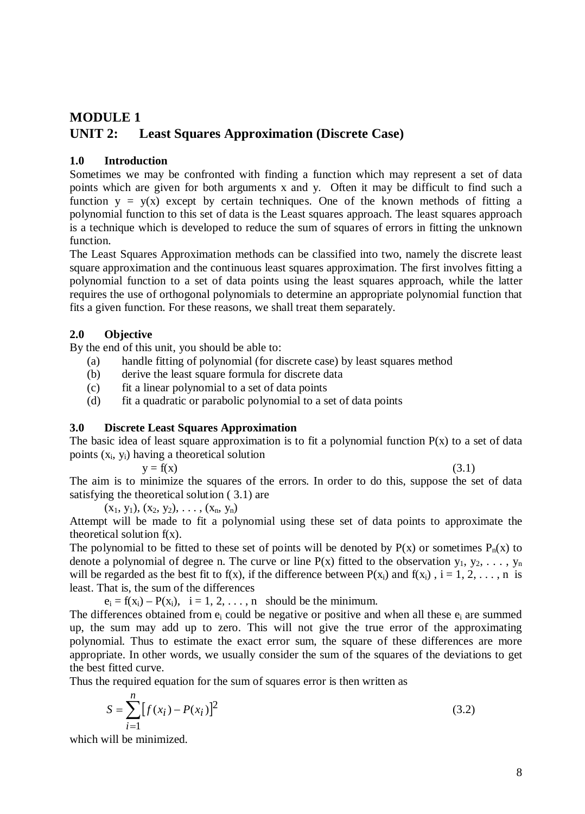# **MODULE 1 UNIT 2: Least Squares Approximation (Discrete Case)**

### **1.0 Introduction**

Sometimes we may be confronted with finding a function which may represent a set of data points which are given for both arguments x and y. Often it may be difficult to find such a function  $y = y(x)$  except by certain techniques. One of the known methods of fitting a polynomial function to this set of data is the Least squares approach. The least squares approach is a technique which is developed to reduce the sum of squares of errors in fitting the unknown function.

The Least Squares Approximation methods can be classified into two, namely the discrete least square approximation and the continuous least squares approximation. The first involves fitting a polynomial function to a set of data points using the least squares approach, while the latter requires the use of orthogonal polynomials to determine an appropriate polynomial function that fits a given function. For these reasons, we shall treat them separately.

### **2.0 Objective**

By the end of this unit, you should be able to:

- (a) handle fitting of polynomial (for discrete case) by least squares method
- (b) derive the least square formula for discrete data
- (c) fit a linear polynomial to a set of data points
- (d) fit a quadratic or parabolic polynomial to a set of data points

### **3.0 Discrete Least Squares Approximation**

The basic idea of least square approximation is to fit a polynomial function  $P(x)$  to a set of data points  $(x_i, y_i)$  having a theoretical solution

$$
y = f(x) \tag{3.1}
$$

The aim is to minimize the squares of the errors. In order to do this, suppose the set of data satisfying the theoretical solution ( 3.1) are

 $(x_1, y_1), (x_2, y_2), \ldots, (x_n, y_n)$ 

Attempt will be made to fit a polynomial using these set of data points to approximate the theoretical solution f(x).

The polynomial to be fitted to these set of points will be denoted by  $P(x)$  or sometimes  $P_n(x)$  to denote a polynomial of degree n. The curve or line  $P(x)$  fitted to the observation  $y_1, y_2, \ldots, y_n$ will be regarded as the best fit to f(x), if the difference between  $P(x_i)$  and  $f(x_i)$ ,  $i = 1, 2, \ldots, n$  is least. That is, the sum of the differences

 $e_i = f(x_i) - P(x_i)$ ,  $i = 1, 2, \ldots, n$  should be the minimum.

The differences obtained from  $e_i$  could be negative or positive and when all these  $e_i$  are summed up, the sum may add up to zero. This will not give the true error of the approximating polynomial. Thus to estimate the exact error sum, the square of these differences are more appropriate. In other words, we usually consider the sum of the squares of the deviations to get the best fitted curve.

Thus the required equation for the sum of squares error is then written as

$$
S = \sum_{i=1}^{n} [f(x_i) - P(x_i)]^2
$$
 (3.2)

which will be minimized.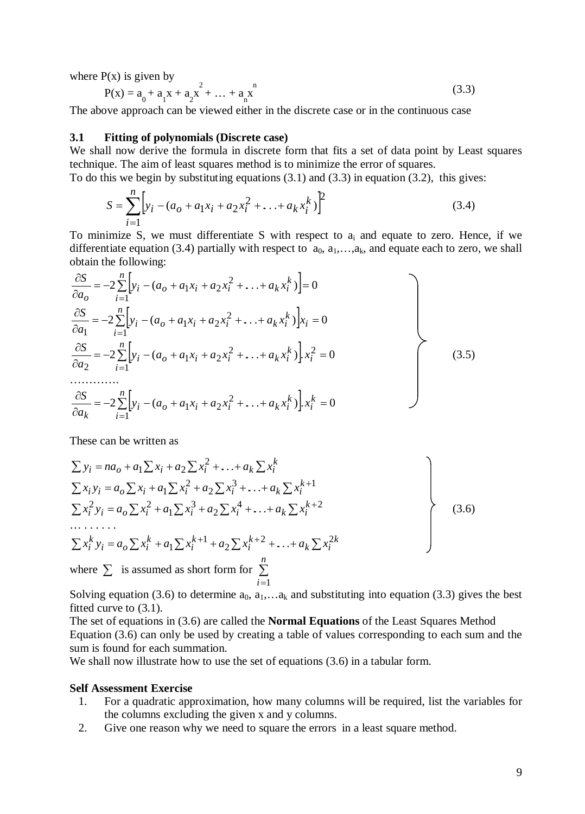where  $P(x)$  is given by

$$
P(x) = a_0 + a_1 x + a_2 x^2 + ... + a_n x^n
$$
 (3.3)

The above approach can be viewed either in the discrete case or in the continuous case

#### **3.1 Fitting of polynomials (Discrete case)**

We shall now derive the formula in discrete form that fits a set of data point by Least squares technique. The aim of least squares method is to minimize the error of squares. To do this we begin by substituting equations  $(3.1)$  and  $(3.3)$  in equation  $(3.2)$ , this gives:

 $\sum [y_i - (a_o + a_1x_i + a_2x_i^2 + ... + a_kx_i^k)]$ =  $=$   $\sum |y_i - (a_{\Omega} + a_1 x_i + a_2 x_i^2 + \ldots + a_n x_n^2)$ *n i*  $S = \sum y_i - (a_o + a_1x_i + a_2x_i^2 + \ldots + a_kx_i^k)$ 1  $2 + \sqrt{2}$  $(a_0 + a_1 x_i + a_2 x_i^2 + \ldots + a_k x_i^k)$  (3.4)

To minimize S, we must differentiate S with respect to  $a_i$  and equate to zero. Hence, if we differentiate equation (3.4) partially with respect to  $a_0, a_1, \ldots, a_k$ , and equate each to zero, we shall obtain the following:

$$
\frac{\partial S}{\partial a_{o}} = -2 \sum_{i=1}^{n} \left[ y_{i} - (a_{o} + a_{1}x_{i} + a_{2}x_{i}^{2} + ... + a_{k}x_{i}^{k}) \right] = 0
$$
\n
$$
\frac{\partial S}{\partial a_{1}} = -2 \sum_{i=1}^{n} \left[ y_{i} - (a_{o} + a_{1}x_{i} + a_{2}x_{i}^{2} + ... + a_{k}x_{i}^{k}) \right] x_{i} = 0
$$
\n
$$
\frac{\partial S}{\partial a_{2}} = -2 \sum_{i=1}^{n} \left[ y_{i} - (a_{o} + a_{1}x_{i} + a_{2}x_{i}^{2} + ... + a_{k}x_{i}^{k}) \right] x_{i}^{2} = 0
$$
\n
$$
\dots
$$
\n
$$
\frac{\partial S}{\partial a_{k}} = -2 \sum_{i=1}^{n} \left[ y_{i} - (a_{o} + a_{1}x_{i} + a_{2}x_{i}^{2} + ... + a_{k}x_{i}^{k}) \right] x_{i}^{k} = 0
$$
\n(3.5)

These can be written as

$$
\sum y_i = na_o + a_1 \sum x_i + a_2 \sum x_i^2 + ... + a_k \sum x_i^k
$$
  
\n
$$
\sum x_i y_i = a_o \sum x_i + a_1 \sum x_i^2 + a_2 \sum x_i^3 + ... + a_k \sum x_i^{k+1}
$$
  
\n
$$
\sum x_i^2 y_i = a_o \sum x_i^2 + a_1 \sum x_i^3 + a_2 \sum x_i^4 + ... + a_k \sum x_i^{k+2}
$$
  
\n
$$
\dots \dots \dots
$$
  
\n
$$
\sum x_i^k y_i = a_o \sum x_i^k + a_1 \sum x_i^{k+1} + a_2 \sum x_i^{k+2} + ... + a_k \sum x_i^{2k}
$$
  
\nwhere  $\sum$  is assumed as short form for  $\sum_{i=1}^n$  (3.6)

Solving equation (3.6) to determine  $a_0, a_1,...a_k$  and substituting into equation (3.3) gives the best fitted curve to (3.1).

The set of equations in (3.6) are called the **Normal Equations** of the Least Squares Method Equation (3.6) can only be used by creating a table of values corresponding to each sum and the sum is found for each summation.

We shall now illustrate how to use the set of equations (3.6) in a tabular form.

#### **Self Assessment Exercise**

- 1. For a quadratic approximation, how many columns will be required, list the variables for the columns excluding the given x and y columns.
- 2. Give one reason why we need to square the errors in a least square method.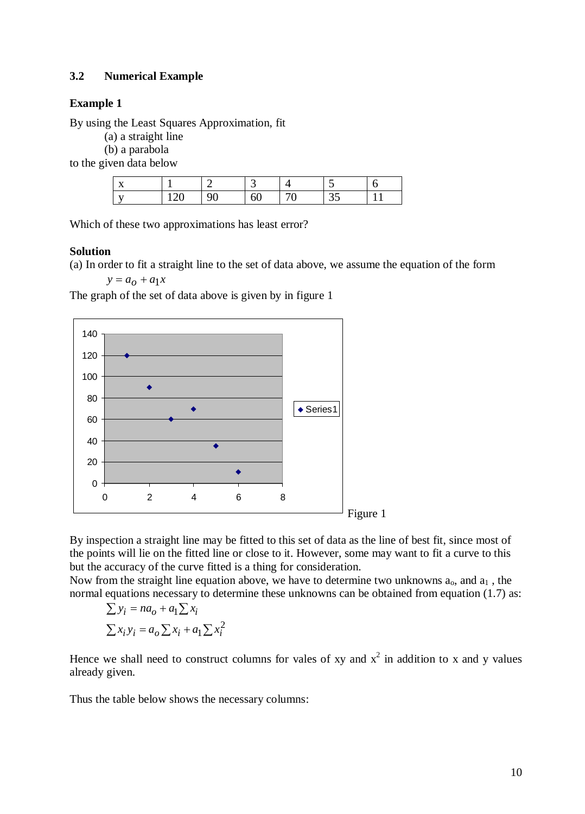### **3.2 Numerical Example**

#### **Example 1**

By using the Least Squares Approximation, fit

(a) a straight line

(b) a parabola

to the given data below

| $\mathbf{v}$<br> |   |    |    |   | $\sim$ $\sim$ |  |
|------------------|---|----|----|---|---------------|--|
| $\sim$ 1         | ∼ | Qí | σU | ∼ | ت ب           |  |

Which of these two approximations has least error?

### **Solution**

(a) In order to fit a straight line to the set of data above, we assume the equation of the form

 $y = a_0 + a_1 x$ 

The graph of the set of data above is given by in figure 1



By inspection a straight line may be fitted to this set of data as the line of best fit, since most of the points will lie on the fitted line or close to it. However, some may want to fit a curve to this but the accuracy of the curve fitted is a thing for consideration.

Now from the straight line equation above, we have to determine two unknowns  $a_0$ , and  $a_1$ , the normal equations necessary to determine these unknowns can be obtained from equation (1.7) as:

$$
\sum y_i = na_o + a_1 \sum x_i
$$
  

$$
\sum x_i y_i = a_o \sum x_i + a_1 \sum x_i^2
$$

Hence we shall need to construct columns for values of xy and  $x^2$  in addition to x and y values already given.

Thus the table below shows the necessary columns: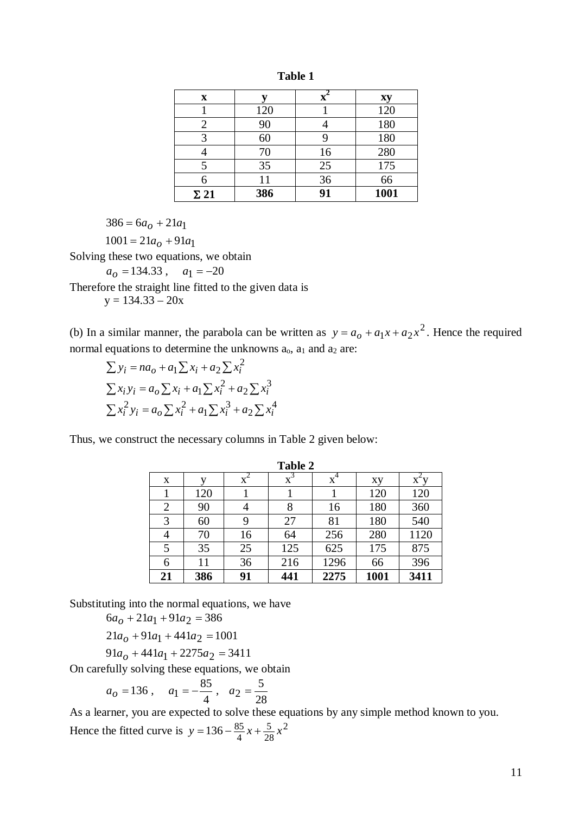| X           | v.  | X  | Хy   |
|-------------|-----|----|------|
|             | 120 |    | 120  |
|             | 90  |    | 180  |
|             | 60  |    | 180  |
|             | 70  | 16 | 280  |
|             | 35  | 25 | 175  |
|             |     | 36 | 66   |
| $\Sigma$ 21 | 386 | 91 | 1001 |

**Table 1**

 $386 = 6a<sub>o</sub> + 21a<sub>1</sub>$ 

 $1001 = 21a<sub>o</sub> + 91a<sub>1</sub>$ 

Solving these two equations, we obtain

 $a_0 = 134.33$ ,  $a_1 = -20$ 

Therefore the straight line fitted to the given data is

 $y = 134.33 - 20x$ 

(b) In a similar manner, the parabola can be written as  $y = a_0 + a_1x + a_2x^2$ . Hence the required normal equations to determine the unknowns  $a_0$ ,  $a_1$  and  $a_2$  are:

$$
\sum y_i = na_o + a_1 \sum x_i + a_2 \sum x_i^2
$$
  

$$
\sum x_i y_i = a_o \sum x_i + a_1 \sum x_i^2 + a_2 \sum x_i^3
$$
  

$$
\sum x_i^2 y_i = a_o \sum x_i^2 + a_1 \sum x_i^3 + a_2 \sum x_i^4
$$

Thus, we construct the necessary columns in Table 2 given below:

|                |     |                                        | <b>Table 2</b> |       |      |                |
|----------------|-----|----------------------------------------|----------------|-------|------|----------------|
| X              | v   | $\boldsymbol{\mathrm{X}}^{\texttt{-}}$ | $x^3$          | $x^4$ | XY   | $X^{\dagger}V$ |
|                | 120 |                                        |                |       | 120  | 120            |
| $\overline{2}$ | 90  | 4                                      | 8              | 16    | 180  | 360            |
| 3              | 60  | 9                                      | 27             | 81    | 180  | 540            |
| $\overline{4}$ | 70  | 16                                     | 64             | 256   | 280  | 1120           |
| 5              | 35  | 25                                     | 125            | 625   | 175  | 875            |
| 6              | 11  | 36                                     | 216            | 1296  | 66   | 396            |
| 21             | 386 | 91                                     | 441            | 2275  | 1001 | 3411           |

Substituting into the normal equations, we have

 $6a_0 + 21a_1 + 91a_2 = 386$ 

 $21a_0 + 91a_1 + 441a_2 = 1001$ 

 $91a_0 + 441a_1 + 2275a_2 = 3411$ 

On carefully solving these equations, we obtain

$$
a_0 = 136
$$
,  $a_1 = -\frac{85}{4}$ ,  $a_2 = \frac{5}{28}$ 

As a learner, you are expected to solve these equations by any simple method known to you. Hence the fitted curve is  $y = 136 - \frac{85}{4}x + \frac{5}{28}x^2$ 5  $y = 136 - \frac{85}{4}x + \frac{5}{28}x$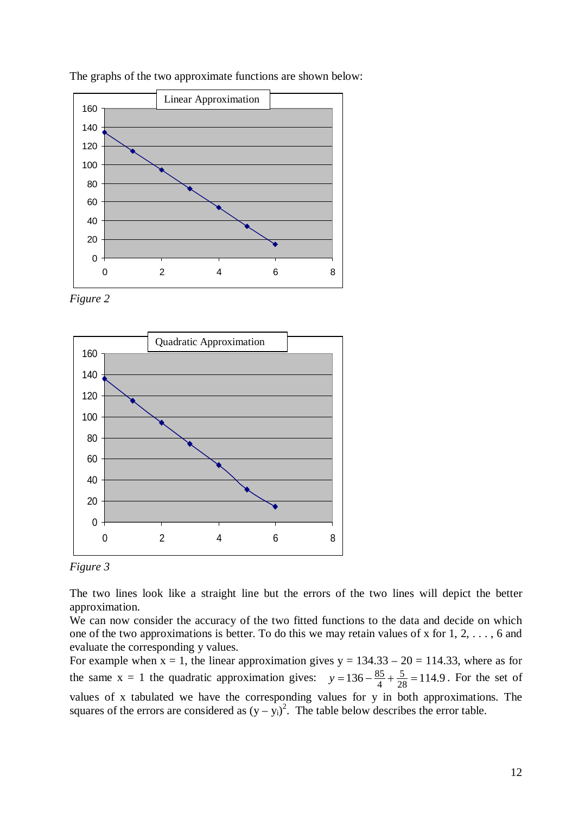

The graphs of the two approximate functions are shown below:

*Figure 2*





The two lines look like a straight line but the errors of the two lines will depict the better approximation.

We can now consider the accuracy of the two fitted functions to the data and decide on which one of the two approximations is better. To do this we may retain values of x for 1, 2, . . . , 6 and evaluate the corresponding y values.

For example when  $x = 1$ , the linear approximation gives  $y = 134.33 - 20 = 114.33$ , where as for the same  $x = 1$  the quadratic approximation gives:  $y = 136 - \frac{85}{4} + \frac{5}{28} = 114.9$  $y = 136 - \frac{85}{4} + \frac{5}{28} = 114.9$ . For the set of values of x tabulated we have the corresponding values for y in both approximations. The squares of the errors are considered as  $(y - y_i)^2$ . The table below describes the error table.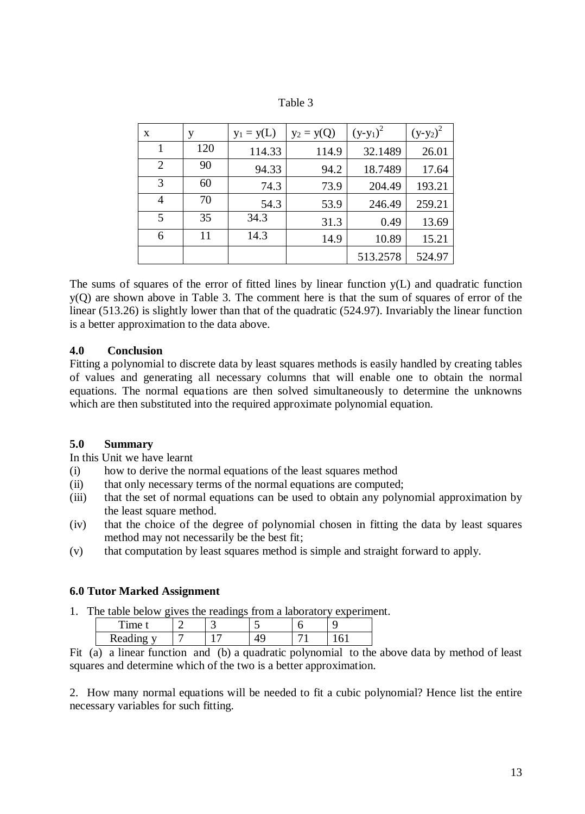| able |  |
|------|--|
|------|--|

| X              | у   | $y_1 = y(L)$ | $y_2 = y(Q)$ | $(y-y_1)^2$ | $(y-y_2)^2$ |
|----------------|-----|--------------|--------------|-------------|-------------|
|                | 120 | 114.33       | 114.9        | 32.1489     | 26.01       |
| $\overline{2}$ | 90  | 94.33        | 94.2         | 18.7489     | 17.64       |
| 3              | 60  | 74.3         | 73.9         | 204.49      | 193.21      |
| 4              | 70  | 54.3         | 53.9         | 246.49      | 259.21      |
| 5              | 35  | 34.3         | 31.3         | 0.49        | 13.69       |
| 6              | 11  | 14.3         | 14.9         | 10.89       | 15.21       |
|                |     |              |              | 513.2578    | 524.97      |

The sums of squares of the error of fitted lines by linear function y(L) and quadratic function y(Q) are shown above in Table 3. The comment here is that the sum of squares of error of the linear (513.26) is slightly lower than that of the quadratic (524.97). Invariably the linear function is a better approximation to the data above.

### **4.0 Conclusion**

Fitting a polynomial to discrete data by least squares methods is easily handled by creating tables of values and generating all necessary columns that will enable one to obtain the normal equations. The normal equations are then solved simultaneously to determine the unknowns which are then substituted into the required approximate polynomial equation.

#### **5.0 Summary**

In this Unit we have learnt

- (i) how to derive the normal equations of the least squares method
- (ii) that only necessary terms of the normal equations are computed;
- (iii) that the set of normal equations can be used to obtain any polynomial approximation by the least square method.
- (iv) that the choice of the degree of polynomial chosen in fitting the data by least squares method may not necessarily be the best fit;
- (v) that computation by least squares method is simple and straight forward to apply.

#### **6.0 Tutor Marked Assignment**

1. The table below gives the readings from a laboratory experiment.

| m.<br>`1m≙ | $\overline{\phantom{0}}$ | $\overline{\phantom{0}}$ |  |
|------------|--------------------------|--------------------------|--|
| Reading y  |                          |                          |  |
|            |                          |                          |  |

Fit (a) a linear function and (b) a quadratic polynomial to the above data by method of least squares and determine which of the two is a better approximation.

2. How many normal equations will be needed to fit a cubic polynomial? Hence list the entire necessary variables for such fitting.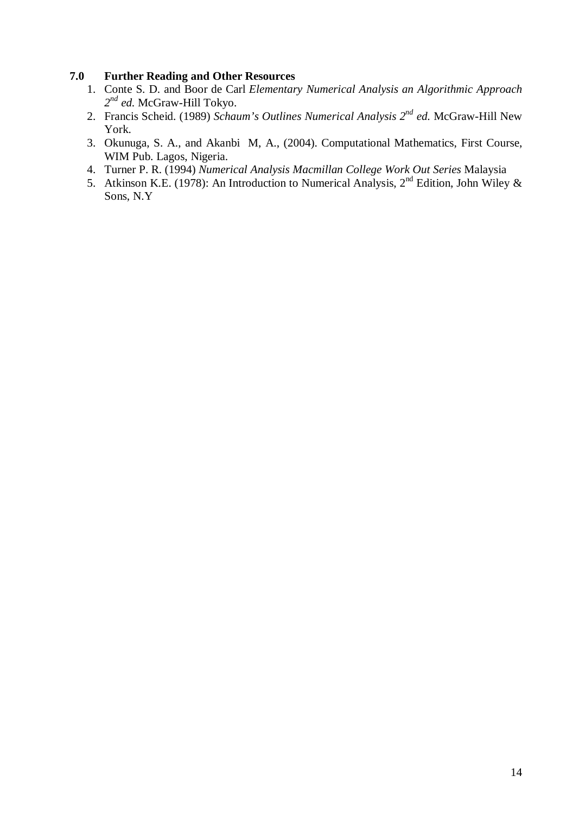### **7.0 Further Reading and Other Resources**

- 1. Conte S. D. and Boor de Carl *Elementary Numerical Analysis an Algorithmic Approach 2nd ed.* McGraw-Hill Tokyo.
- 2. Francis Scheid. (1989) *Schaum's Outlines Numerical Analysis 2nd ed.* McGraw-Hill New York.
- 3. Okunuga, S. A., and Akanbi M, A., (2004). Computational Mathematics, First Course, WIM Pub. Lagos, Nigeria.
- 4. Turner P. R. (1994) *Numerical Analysis Macmillan College Work Out Series* Malaysia
- 5. Atkinson K.E. (1978): An Introduction to Numerical Analysis,  $2<sup>nd</sup>$  Edition, John Wiley & Sons, N.Y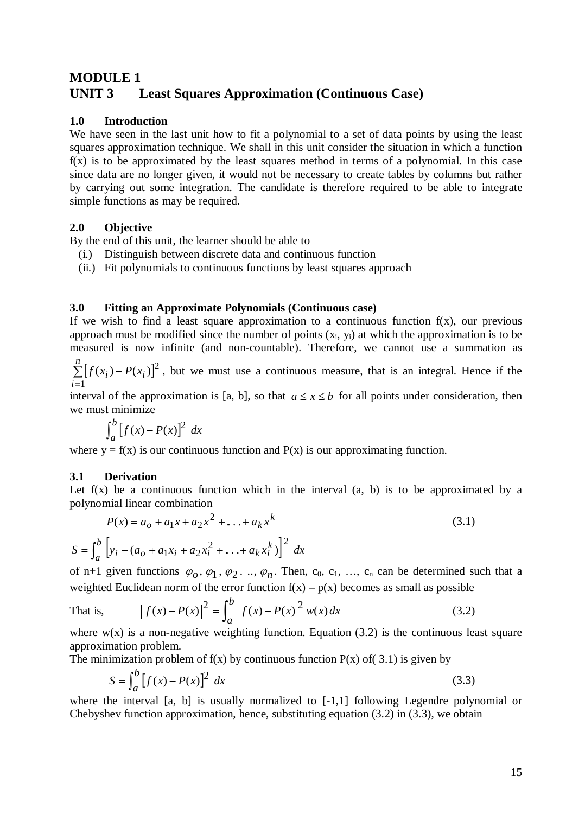# **MODULE 1 UNIT 3 Least Squares Approximation (Continuous Case)**

### **1.0 Introduction**

We have seen in the last unit how to fit a polynomial to a set of data points by using the least squares approximation technique. We shall in this unit consider the situation in which a function  $f(x)$  is to be approximated by the least squares method in terms of a polynomial. In this case since data are no longer given, it would not be necessary to create tables by columns but rather by carrying out some integration. The candidate is therefore required to be able to integrate simple functions as may be required.

### **2.0 Objective**

By the end of this unit, the learner should be able to

- (i.) Distinguish between discrete data and continuous function
- (ii.) Fit polynomials to continuous functions by least squares approach

### **3.0 Fitting an Approximate Polynomials (Continuous case)**

If we wish to find a least square approximation to a continuous function  $f(x)$ , our previous approach must be modified since the number of points  $(x_i, y_i)$  at which the approximation is to be measured is now infinite (and non-countable). Therefore, we cannot use a summation as

 $\sum [f(x_i) - P(x_i)]$ =  $\sum_{i=1}^{n} [f(x_i) - P(x_i)]^2$ , but we must use a continuous measure, that is an integral. Hence if the *i* 1

interval of the approximation is [a, b], so that  $a \le x \le b$  for all points under consideration, then we must minimize

$$
\int_a^b [f(x) - P(x)]^2 dx
$$

where  $y = f(x)$  is our continuous function and  $P(x)$  is our approximating function.

### **3.1 Derivation**

Let  $f(x)$  be a continuous function which in the interval  $(a, b)$  is to be approximated by a polynomial linear combination

$$
P(x) = a_0 + a_1 x + a_2 x^2 + \dots + a_k x^k
$$
  
\n
$$
S = \int_a^b \left[ y_i - (a_0 + a_1 x_i + a_2 x_i^2 + \dots + a_k x_i^k) \right]^2 dx
$$
\n(3.1)

of n+1 given functions  $\varphi_0$ ,  $\varphi_1$ ,  $\varphi_2$ . ..,  $\varphi_n$ . Then, c<sub>0</sub>, c<sub>1</sub>, ..., c<sub>n</sub> can be determined such that a weighted Euclidean norm of the error function  $f(x) - p(x)$  becomes as small as possible

That is, 
$$
\|f(x) - P(x)\|^2 = \int_a^b |f(x) - P(x)|^2 w(x) dx
$$
 (3.2)

where  $w(x)$  is a non-negative weighting function. Equation (3.2) is the continuous least square approximation problem.

The minimization problem of  $f(x)$  by continuous function  $P(x)$  of(3.1) is given by

$$
S = \int_{a}^{b} [f(x) - P(x)]^{2} dx
$$
 (3.3)

where the interval [a, b] is usually normalized to [-1,1] following Legendre polynomial or Chebyshev function approximation, hence, substituting equation  $(3.2)$  in  $(3.3)$ , we obtain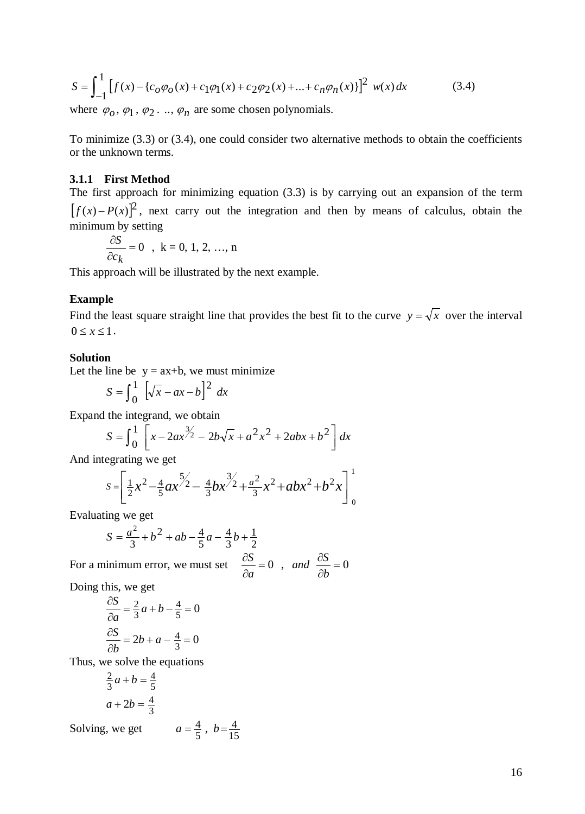$$
S = \int_{-1}^{1} \left[ f(x) - \{c_0 \varphi_0(x) + c_1 \varphi_1(x) + c_2 \varphi_2(x) + \dots + c_n \varphi_n(x) \} \right]^2 w(x) dx \tag{3.4}
$$

where  $\varphi$ <sub>0</sub>,  $\varphi$ <sub>1</sub>,  $\varphi$ <sub>2</sub>. ..,  $\varphi$ <sub>n</sub> are some chosen polynomials.

To minimize (3.3) or (3.4), one could consider two alternative methods to obtain the coefficients or the unknown terms.

#### **3.1.1 First Method**

The first approach for minimizing equation (3.3) is by carrying out an expansion of the term  $[f(x)-P(x)]^2$ , next carry out the integration and then by means of calculus, obtain the minimum by setting

$$
\frac{\partial S}{\partial c_k} = 0 \quad , \quad k = 0, 1, 2, \dots, n
$$

This approach will be illustrated by the next example.

#### **Example**

Find the least square straight line that provides the best fit to the curve  $y = \sqrt{x}$  over the interval  $0 \leq x \leq 1$ .

#### **Solution**

Let the line be  $y = ax + b$ , we must minimize

$$
S = \int_0^1 \left[ \sqrt{x} - ax - b \right]^2 dx
$$

Expand the integrand, we obtain

$$
S = \int_0^1 \left[ x - 2ax^{\frac{3}{2}} - 2b\sqrt{x} + a^2x^2 + 2abx + b^2 \right] dx
$$

And integrating we get

$$
S = \left[\frac{1}{2}x^2 - \frac{4}{5}ax^{\frac{5}{2}} - \frac{4}{3}bx^{\frac{3}{2}} + \frac{a^2}{3}x^2 + abx^2 + b^2x\right]_0^1
$$

Evaluating we get

$$
S = \frac{a^2}{3} + b^2 + ab - \frac{4}{5}a - \frac{4}{3}b + \frac{1}{2}
$$

For a minimum error, we must set  $\frac{0.6}{0.2} = 0$ , and  $\frac{0.6}{0.2} = 0$  $\frac{\partial S}{\partial a} = 0$ , and  $\frac{\partial}{\partial a}$ *b and*  $\frac{\partial S}{\partial t}$ *a S*

Doing this, we get

$$
\frac{\partial S}{\partial a} = \frac{2}{3}a + b - \frac{4}{5} = 0
$$

$$
\frac{\partial S}{\partial b} = 2b + a - \frac{4}{3} = 0
$$

Thus, we solve the equations

$$
\frac{2}{3}a + b = \frac{4}{5}
$$

$$
a + 2b = \frac{4}{3}
$$

Solving, we get  $a = \frac{4}{5}$ ,  $b = \frac{4}{15}$  $a = \frac{4}{5}$ ,  $b =$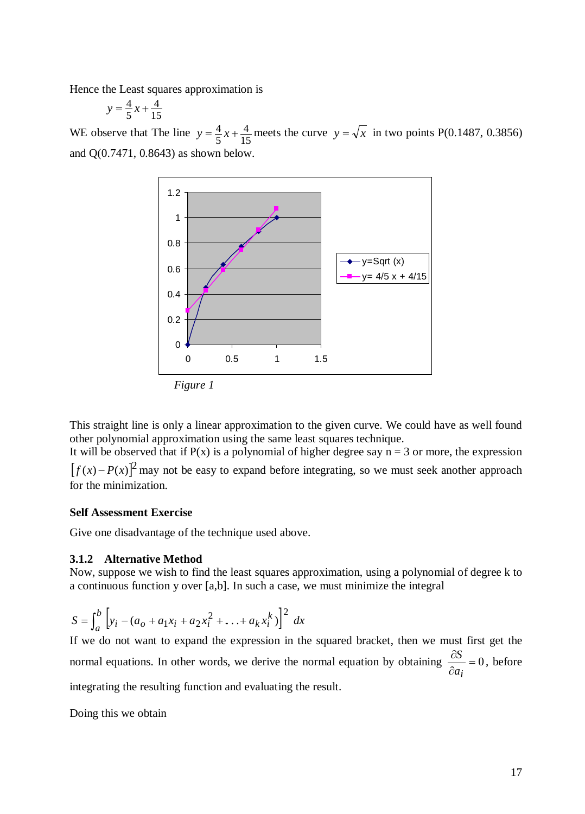Hence the Least squares approximation is

$$
y = \frac{4}{5}x + \frac{4}{15}
$$

WE observe that The line  $y = \frac{4}{5}x + \frac{4}{15}$  $y = \frac{4}{5}x + \frac{4}{15}$  meets the curve  $y = \sqrt{x}$  in two points P(0.1487, 0.3856) and Q(0.7471, 0.8643) as shown below.



This straight line is only a linear approximation to the given curve. We could have as well found other polynomial approximation using the same least squares technique.

It will be observed that if  $P(x)$  is a polynomial of higher degree say  $n = 3$  or more, the expression  $[f(x)-P(x)]^2$  may not be easy to expand before integrating, so we must seek another approach for the minimization.

#### **Self Assessment Exercise**

Give one disadvantage of the technique used above.

#### **3.1.2 Alternative Method**

Now, suppose we wish to find the least squares approximation, using a polynomial of degree k to a continuous function y over [a,b]. In such a case, we must minimize the integral

$$
S = \int_{a}^{b} \left[ y_i - (a_o + a_1 x_i + a_2 x_i^2 + \dots + a_k x_i^k) \right]^2 dx
$$

If we do not want to expand the expression in the squared bracket, then we must first get the normal equations. In other words, we derive the normal equation by obtaining  $\frac{\partial S}{\partial r} = 0$ ∂ ∂ *i a*  $\frac{S}{S} = 0$ , before integrating the resulting function and evaluating the result.

Doing this we obtain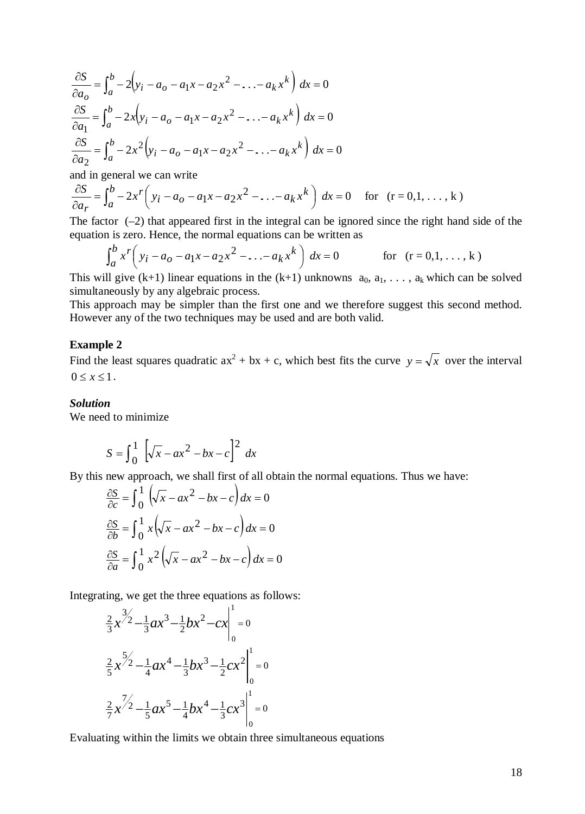$$
\frac{\partial S}{\partial a_o} = \int_a^b -2\left(y_i - a_o - a_1x - a_2x^2 - \dots - a_kx^k\right)dx = 0
$$
  

$$
\frac{\partial S}{\partial a_1} = \int_a^b -2x\left(y_i - a_o - a_1x - a_2x^2 - \dots - a_kx^k\right)dx = 0
$$
  

$$
\frac{\partial S}{\partial a_2} = \int_a^b -2x^2\left(y_i - a_o - a_1x - a_2x^2 - \dots - a_kx^k\right)dx = 0
$$

and in general we can write

$$
\frac{\partial S}{\partial a_r} = \int_a^b -2x^r \left( y_i - a_o - a_1 x - a_2 x^2 - \dots - a_k x^k \right) dx = 0 \quad \text{for } (r = 0, 1, \dots, k)
$$

The factor  $(-2)$  that appeared first in the integral can be ignored since the right hand side of the equation is zero. Hence, the normal equations can be written as

$$
\int_{a}^{b} x^{r} \left( y_{i} - a_{o} - a_{1} x - a_{2} x^{2} - \dots - a_{k} x^{k} \right) dx = 0 \quad \text{for } (r = 0, 1, \dots, k)
$$

This will give  $(k+1)$  linear equations in the  $(k+1)$  unknowns  $a_0, a_1, \ldots, a_k$  which can be solved simultaneously by any algebraic process.

This approach may be simpler than the first one and we therefore suggest this second method. However any of the two techniques may be used and are both valid.

#### **Example 2**

Find the least squares quadratic  $ax^2 + bx + c$ , which best fits the curve  $y = \sqrt{x}$  over the interval  $0 \leq x \leq 1$ .

#### *Solution*

We need to minimize

$$
S = \int_0^1 \left[ \sqrt{x} - ax^2 - bx - c \right]^2 dx
$$

By this new approach, we shall first of all obtain the normal equations. Thus we have:

$$
\frac{\partial S}{\partial c} = \int_0^1 \left( \sqrt{x} - ax^2 - bx - c \right) dx = 0
$$

$$
\frac{\partial S}{\partial b} = \int_0^1 x \left( \sqrt{x} - ax^2 - bx - c \right) dx = 0
$$

$$
\frac{\partial S}{\partial a} = \int_0^1 x^2 \left( \sqrt{x} - ax^2 - bx - c \right) dx = 0
$$

Integrating, we get the three equations as follows:

$$
\frac{2}{3}x^{\frac{3}{2}} - \frac{1}{3}ax^3 - \frac{1}{2}bx^2 - cx\Big|_0^1 = 0
$$
  

$$
\frac{2}{5}x^{\frac{5}{2}} - \frac{1}{4}ax^4 - \frac{1}{3}bx^3 - \frac{1}{2}cx^2\Big|_0^1 = 0
$$
  

$$
\frac{2}{7}x^{\frac{7}{2}} - \frac{1}{5}ax^5 - \frac{1}{4}bx^4 - \frac{1}{3}cx^3\Big|_0^1 = 0
$$

Evaluating within the limits we obtain three simultaneous equations

 $\overline{1}$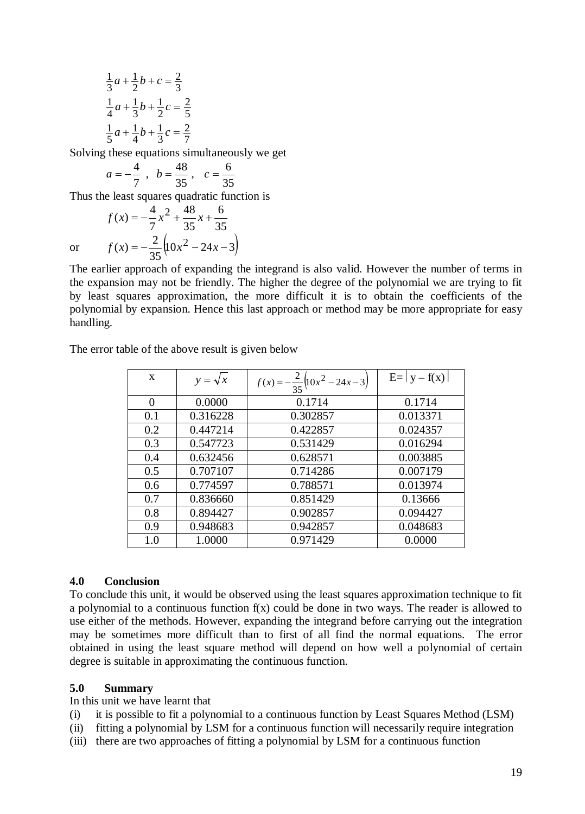$$
\frac{1}{3}a + \frac{1}{2}b + c = \frac{2}{3}
$$
  

$$
\frac{1}{4}a + \frac{1}{3}b + \frac{1}{2}c = \frac{2}{5}
$$
  

$$
\frac{1}{5}a + \frac{1}{4}b + \frac{1}{3}c = \frac{2}{7}
$$

Solving these equations simultaneously we get

$$
a = -\frac{4}{7}, \quad b = \frac{48}{35}, \quad c = \frac{6}{35}
$$

Thus the least squares quadratic function is

$$
f(x) = -\frac{4}{7}x^2 + \frac{48}{35}x + \frac{6}{35}
$$
  
or 
$$
f(x) = -\frac{2}{35}\left(10x^2 - 24x - 3\right)
$$

The earlier approach of expanding the integrand is also valid. However the number of terms in the expansion may not be friendly. The higher the degree of the polynomial we are trying to fit by least squares approximation, the more difficult it is to obtain the coefficients of the polynomial by expansion. Hence this last approach or method may be more appropriate for easy handling.

The error table of the above result is given below

| $\mathbf{x}$ | $y = \sqrt{x}$ | $f(x) = -\frac{2}{35} \left( 10x^2 - 24x - 3 \right)$ | $E= y-f(x) $ |
|--------------|----------------|-------------------------------------------------------|--------------|
| $\Omega$     | 0.0000         | 0.1714                                                | 0.1714       |
| 0.1          | 0.316228       | 0.302857                                              | 0.013371     |
| 0.2          | 0.447214       | 0.422857                                              | 0.024357     |
| 0.3          | 0.547723       | 0.531429                                              | 0.016294     |
| 0.4          | 0.632456       | 0.628571                                              | 0.003885     |
| 0.5          | 0.707107       | 0.714286                                              | 0.007179     |
| 0.6          | 0.774597       | 0.788571                                              | 0.013974     |
| 0.7          | 0.836660       | 0.851429                                              | 0.13666      |
| 0.8          | 0.894427       | 0.902857                                              | 0.094427     |
| 0.9          | 0.948683       | 0.942857                                              | 0.048683     |
| 1.0          | 1.0000         | 0.971429                                              | 0.0000       |

#### **4.0 Conclusion**

To conclude this unit, it would be observed using the least squares approximation technique to fit a polynomial to a continuous function f(x) could be done in two ways. The reader is allowed to use either of the methods. However, expanding the integrand before carrying out the integration may be sometimes more difficult than to first of all find the normal equations. The error obtained in using the least square method will depend on how well a polynomial of certain degree is suitable in approximating the continuous function.

#### **5.0 Summary**

In this unit we have learnt that

- (i) it is possible to fit a polynomial to a continuous function by Least Squares Method (LSM)
- (ii) fitting a polynomial by LSM for a continuous function will necessarily require integration
- (iii) there are two approaches of fitting a polynomial by LSM for a continuous function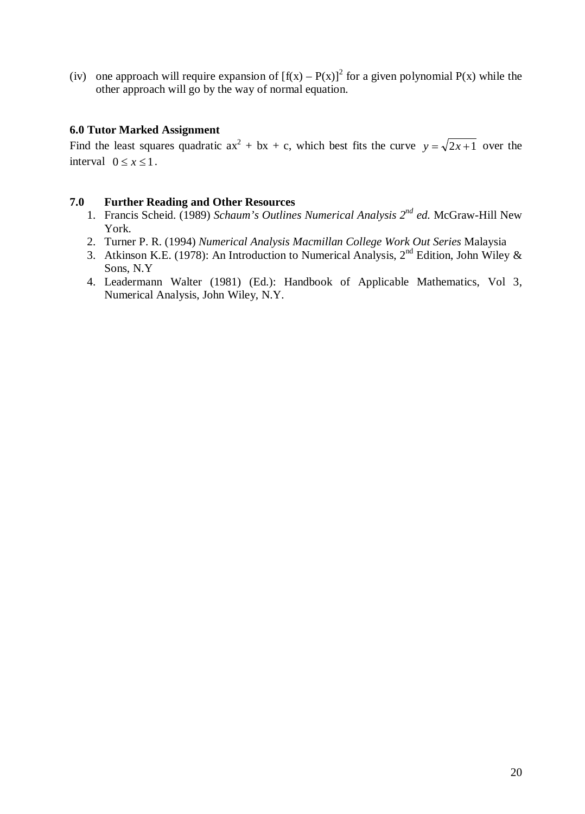(iv) one approach will require expansion of  $[f(x) - P(x)]^2$  for a given polynomial P(x) while the other approach will go by the way of normal equation.

#### **6.0 Tutor Marked Assignment**

Find the least squares quadratic  $ax^2 + bx + c$ , which best fits the curve  $y = \sqrt{2x+1}$  over the interval  $0 \le x \le 1$ .

### **7.0 Further Reading and Other Resources**

- 1. Francis Scheid. (1989) *Schaum's Outlines Numerical Analysis 2nd ed.* McGraw-Hill New York.
- 2. Turner P. R. (1994) *Numerical Analysis Macmillan College Work Out Series* Malaysia
- 3. Atkinson K.E. (1978): An Introduction to Numerical Analysis,  $2<sup>nd</sup>$  Edition, John Wiley & Sons, N.Y
- 4. Leadermann Walter (1981) (Ed.): Handbook of Applicable Mathematics, Vol 3, Numerical Analysis, John Wiley, N.Y.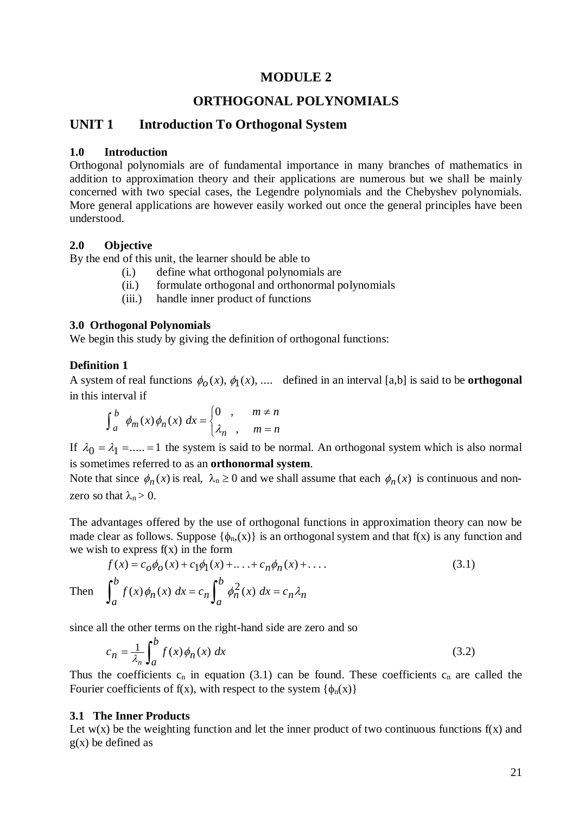### **MODULE 2**

### **ORTHOGONAL POLYNOMIALS**

### **UNIT 1 Introduction To Orthogonal System**

#### **1.0 Introduction**

Orthogonal polynomials are of fundamental importance in many branches of mathematics in addition to approximation theory and their applications are numerous but we shall be mainly concerned with two special cases, the Legendre polynomials and the Chebyshev polynomials. More general applications are however easily worked out once the general principles have been understood.

#### **2.0 Objective**

By the end of this unit, the learner should be able to

- (i.) define what orthogonal polynomials are
- (ii.) formulate orthogonal and orthonormal polynomials
- (iii.) handle inner product of functions

#### **3.0 Orthogonal Polynomials**

We begin this study by giving the definition of orthogonal functions:

#### **Definition 1**

A system of real functions  $\phi_0(x)$ ,  $\phi_1(x)$ , .... defined in an interval [a,b] is said to be **orthogonal** in this interval if

$$
\int_{a}^{b} \phi_{m}(x)\phi_{n}(x) dx = \begin{cases} 0, & m \neq n \\ \lambda_{n}, & m = n \end{cases}
$$

If  $\lambda_0 = \lambda_1 = \dots = 1$  the system is said to be normal. An orthogonal system which is also normal is sometimes referred to as an **orthonormal system**.

Note that since  $\phi_n(x)$  is real,  $\lambda_n \ge 0$  and we shall assume that each  $\phi_n(x)$  is continuous and nonzero so that  $\lambda_n > 0$ .

The advantages offered by the use of orthogonal functions in approximation theory can now be made clear as follows. Suppose  $\{\phi_n(x)\}\$ is an orthogonal system and that  $f(x)$  is any function and we wish to express  $f(x)$  in the form

$$
f(x) = c_0 \phi_0(x) + c_1 \phi_1(x) + \dots + c_n \phi_n(x) + \dots
$$
  
Then 
$$
\int_a^b f(x) \phi_n(x) dx = c_n \int_a^b \phi_n^2(x) dx = c_n \lambda_n
$$
 (3.1)

since all the other terms on the right-hand side are zero and so

$$
c_n = \frac{1}{\lambda_n} \int_a^b f(x) \phi_n(x) \, dx \tag{3.2}
$$

Thus the coefficients  $c_n$  in equation (3.1) can be found. These coefficients  $c_n$  are called the Fourier coefficients of f(x), with respect to the system  $\{\phi_n(x)\}$ 

#### **3.1 The Inner Products**

Let  $w(x)$  be the weighting function and let the inner product of two continuous functions  $f(x)$  and  $g(x)$  be defined as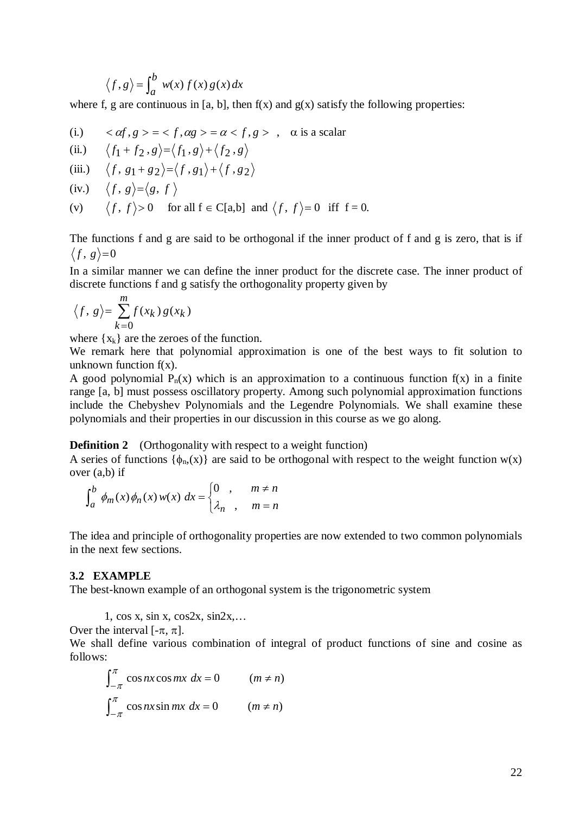$$
\langle f, g \rangle = \int_a^b w(x) f(x) g(x) dx
$$

where f, g are continuous in [a, b], then  $f(x)$  and  $g(x)$  satisfy the following properties:

(i.) 
$$
\langle \alpha f, g \rangle = \langle f, \alpha g \rangle = \alpha \langle f, g \rangle
$$
,  $\alpha$  is a scalar

(ii.) 
$$
\langle f_1 + f_2, g \rangle = \langle f_1, g \rangle + \langle f_2, g \rangle
$$

(iii.) 
$$
\langle f, g_1 + g_2 \rangle = \langle f, g_1 \rangle + \langle f, g_2 \rangle
$$

(iv.) 
$$
\langle f, g \rangle = \langle g, f \rangle
$$

(v) 
$$
\langle f, f \rangle > 0
$$
 for all  $f \in C[a,b]$  and  $\langle f, f \rangle = 0$  iff  $f = 0$ .

The functions f and g are said to be orthogonal if the inner product of f and g is zero, that is if  $\langle f, g \rangle = 0$ 

In a similar manner we can define the inner product for the discrete case. The inner product of discrete functions f and g satisfy the orthogonality property given by

$$
\langle f, g \rangle = \sum_{k=0}^{m} f(x_k) g(x_k)
$$

where  $\{x_k\}$  are the zeroes of the function.

We remark here that polynomial approximation is one of the best ways to fit solution to unknown function  $f(x)$ .

A good polynomial  $P_n(x)$  which is an approximation to a continuous function  $f(x)$  in a finite range [a, b] must possess oscillatory property. Among such polynomial approximation functions include the Chebyshev Polynomials and the Legendre Polynomials. We shall examine these polynomials and their properties in our discussion in this course as we go along.

**Definition 2** (Orthogonality with respect to a weight function)

A series of functions  $\{\phi_n(x)\}\$ are said to be orthogonal with respect to the weight function w(x) over  $(a,b)$  if

$$
\int_{a}^{b} \phi_{m}(x)\phi_{n}(x)w(x) dx = \begin{cases} 0, & m \neq n \\ \lambda_{n}, & m = n \end{cases}
$$

The idea and principle of orthogonality properties are now extended to two common polynomials in the next few sections.

#### **3.2 EXAMPLE**

The best-known example of an orthogonal system is the trigonometric system

1,  $\cos x$ ,  $\sin x$ ,  $\cos 2x$ ,  $\sin 2x$ ,...

Over the interval [ $-π$ ,  $π$ ].

We shall define various combination of integral of product functions of sine and cosine as follows:

$$
\int_{-\pi}^{\pi} \cos nx \cos mx \, dx = 0 \qquad (m \neq n)
$$

$$
\int_{-\pi}^{\pi} \cos nx \sin mx \, dx = 0 \qquad (m \neq n)
$$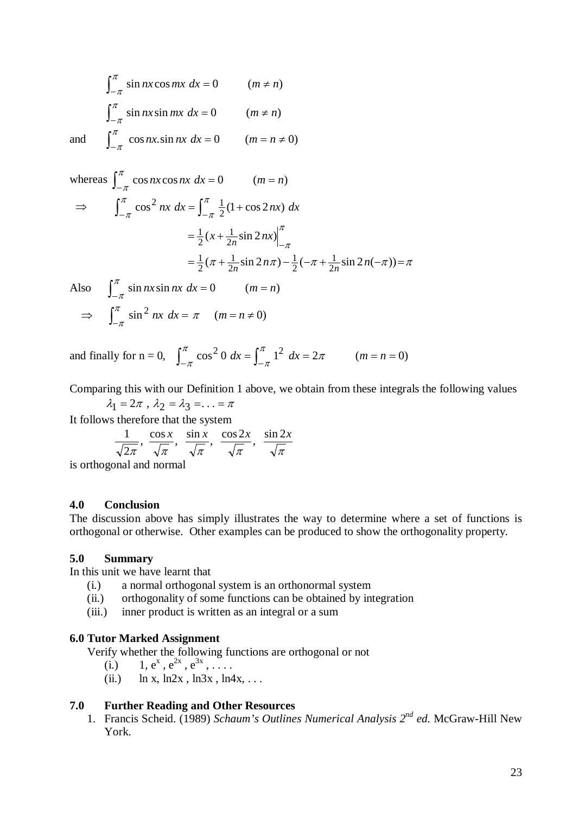$$
\int_{-\pi}^{\pi} \sin nx \cos mx \, dx = 0 \qquad (m \neq n)
$$
  

$$
\int_{-\pi}^{\pi} \sin nx \sin mx \, dx = 0 \qquad (m \neq n)
$$
  
and 
$$
\int_{-\pi}^{\pi} \cos nx \sin nx \, dx = 0 \qquad (m = n \neq 0)
$$

whereas 
$$
\int_{-\pi}^{\pi} \cos nx \cos nx \, dx = 0
$$
  $(m = n)$   
\n $\Rightarrow \int_{-\pi}^{\pi} \cos^2 nx \, dx = \int_{-\pi}^{\pi} \frac{1}{2} (1 + \cos 2nx) \, dx$   
\n $= \frac{1}{2} (x + \frac{1}{2n} \sin 2nx) \Big|_{-\pi}^{\pi}$   
\n $= \frac{1}{2} (\pi + \frac{1}{2n} \sin 2n\pi) - \frac{1}{2} (-\pi + \frac{1}{2n} \sin 2n(-\pi)) = \pi$   
\nAlso  $\int_{-\pi}^{\pi} \sin nx \sin nx \, dx = 0$   $(m = n)$ 

 $\Rightarrow$   $\int_{-\pi}^{\pi} \sin^2 nx \ dx = \pi \quad (m = n \neq 0)$ π

and finally for n = 0,  $\int_{-\pi}^{\pi} \cos^2 0 \, dx = \int_{-\pi}^{\pi} 1^2 \, dx = 2\pi$   $(m = n = 0)$ π π π

Comparing this with our Definition 1 above, we obtain from these integrals the following values

 $\lambda_1 = 2\pi$ ,  $\lambda_2 = \lambda_3 = \ldots = \pi$ 

It follows therefore that the system

$$
\frac{1}{\sqrt{2\pi}}, \frac{\cos x}{\sqrt{\pi}}, \frac{\sin x}{\sqrt{\pi}}, \frac{\cos 2x}{\sqrt{\pi}}, \frac{\sin 2x}{\sqrt{\pi}}
$$

is orthogonal and normal

### **4.0 Conclusion**

The discussion above has simply illustrates the way to determine where a set of functions is orthogonal or otherwise. Other examples can be produced to show the orthogonality property.

#### **5.0 Summary**

In this unit we have learnt that

- (i.) a normal orthogonal system is an orthonormal system
- (ii.) orthogonality of some functions can be obtained by integration
- (iii.) inner product is written as an integral or a sum

#### **6.0 Tutor Marked Assignment**

Verify whether the following functions are orthogonal or not

- (i.) 1,  $e^x$ ,  $e^{2x}$ ,  $e^{3x}$ , ...
- (ii.)  $\ln x$ ,  $\ln 2x$ ,  $\ln 3x$ ,  $\ln 4x$ , ...

### **7.0 Further Reading and Other Resources**

1. Francis Scheid. (1989) *Schaum's Outlines Numerical Analysis 2nd ed.* McGraw-Hill New York.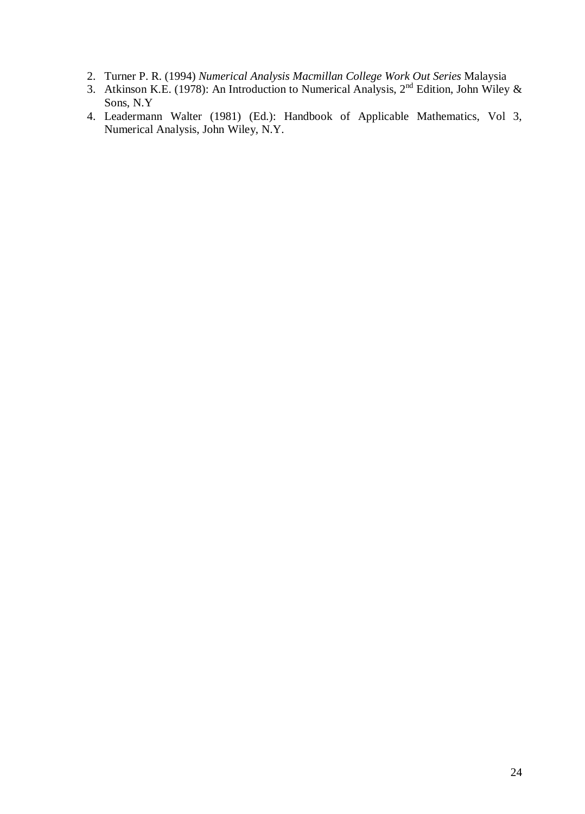- 2. Turner P. R. (1994) *Numerical Analysis Macmillan College Work Out Series* Malaysia
- 3. Atkinson K.E. (1978): An Introduction to Numerical Analysis,  $2<sup>nd</sup>$  Edition, John Wiley & Sons, N.Y
- 4. Leadermann Walter (1981) (Ed.): Handbook of Applicable Mathematics, Vol 3, Numerical Analysis, John Wiley, N.Y.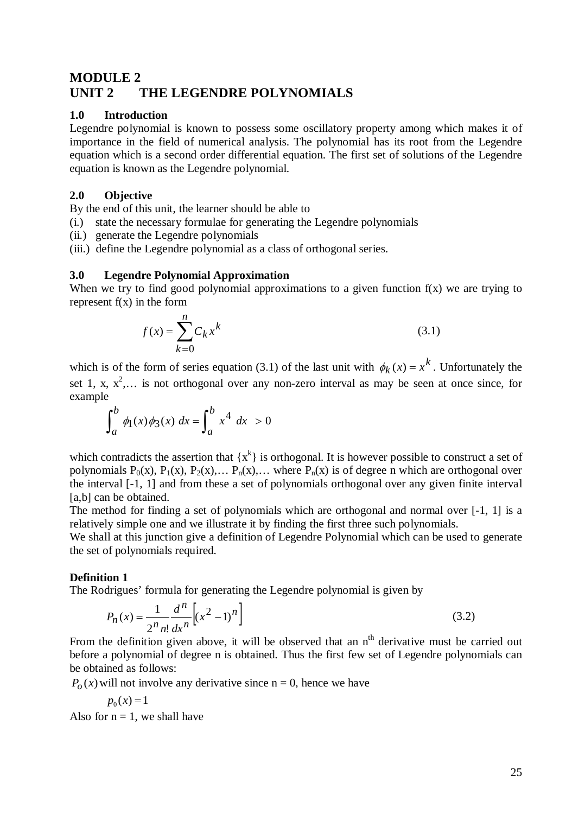## **MODULE 2 UNIT 2 THE LEGENDRE POLYNOMIALS**

### **1.0 Introduction**

Legendre polynomial is known to possess some oscillatory property among which makes it of importance in the field of numerical analysis. The polynomial has its root from the Legendre equation which is a second order differential equation. The first set of solutions of the Legendre equation is known as the Legendre polynomial.

### **2.0 Objective**

By the end of this unit, the learner should be able to

(i.) state the necessary formulae for generating the Legendre polynomials

(ii.) generate the Legendre polynomials

(iii.) define the Legendre polynomial as a class of orthogonal series.

### **3.0 Legendre Polynomial Approximation**

When we try to find good polynomial approximations to a given function  $f(x)$  we are trying to represent  $f(x)$  in the form

$$
f(x) = \sum_{k=0}^{n} C_k x^k
$$
\n
$$
(3.1)
$$

which is of the form of series equation (3.1) of the last unit with  $\phi_k(x) = x^k$ . Unfortunately the set 1, x,  $x^2$ ,... is not orthogonal over any non-zero interval as may be seen at once since, for example

$$
\int_{a}^{b} \phi_1(x) \phi_3(x) \, dx = \int_{a}^{b} x^4 \, dx > 0
$$

which contradicts the assertion that  $\{x^k\}$  is orthogonal. It is however possible to construct a set of polynomials  $P_0(x)$ ,  $P_1(x)$ ,  $P_2(x)$ ,...  $P_n(x)$ ,... where  $P_n(x)$  is of degree n which are orthogonal over the interval [-1, 1] and from these a set of polynomials orthogonal over any given finite interval [a,b] can be obtained.

The method for finding a set of polynomials which are orthogonal and normal over [-1, 1] is a relatively simple one and we illustrate it by finding the first three such polynomials.

We shall at this junction give a definition of Legendre Polynomial which can be used to generate the set of polynomials required.

### **Definition 1**

The Rodrigues' formula for generating the Legendre polynomial is given by

$$
P_n(x) = \frac{1}{2^n n!} \frac{d^n}{dx^n} \left[ (x^2 - 1)^n \right]
$$
 (3.2)

From the definition given above, it will be observed that an  $n<sup>th</sup>$  derivative must be carried out before a polynomial of degree n is obtained. Thus the first few set of Legendre polynomials can be obtained as follows:

 $P_{o}(x)$  will not involve any derivative since n = 0, hence we have

$$
p_0(x) = 1
$$

Also for  $n = 1$ , we shall have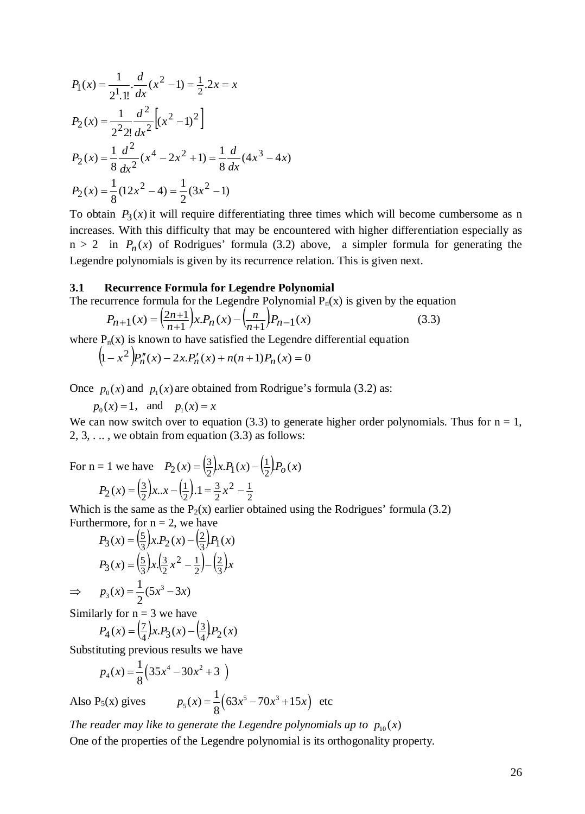$$
P_1(x) = \frac{1}{2^1 \cdot 1!} \cdot \frac{d}{dx} (x^2 - 1) = \frac{1}{2} \cdot 2x = x
$$
  
\n
$$
P_2(x) = \frac{1}{2^2 \cdot 2!} \frac{d^2}{dx^2} \left[ (x^2 - 1)^2 \right]
$$
  
\n
$$
P_2(x) = \frac{1}{8} \frac{d^2}{dx^2} (x^4 - 2x^2 + 1) = \frac{1}{8} \frac{d}{dx} (4x^3 - 4x)
$$
  
\n
$$
P_2(x) = \frac{1}{8} (12x^2 - 4) = \frac{1}{2} (3x^2 - 1)
$$

To obtain  $P_3(x)$  it will require differentiating three times which will become cumbersome as n increases. With this difficulty that may be encountered with higher differentiation especially as  $n > 2$  in  $P_n(x)$  of Rodrigues' formula (3.2) above, a simpler formula for generating the Legendre polynomials is given by its recurrence relation. This is given next.

#### **3.1 Recurrence Formula for Legendre Polynomial**

The recurrence formula for the Legendre Polynomial  $P_n(x)$  is given by the equation

$$
P_{n+1}(x) = \left(\frac{2n+1}{n+1}\right)x P_n(x) - \left(\frac{n}{n+1}\right)P_{n-1}(x) \tag{3.3}
$$

where  $P_n(x)$  is known to have satisfied the Legendre differential equation

$$
(1 - x2)P''n(x) - 2x.P'n(x) + n(n+1)Pn(x) = 0
$$

Once  $p_0(x)$  and  $p_1(x)$  are obtained from Rodrigue's formula (3.2) as:

 $p_0(x) = 1$ , and  $p_1(x) = x$ 

We can now switch over to equation (3.3) to generate higher order polynomials. Thus for  $n = 1$ , 2, 3,  $\dots$ , we obtain from equation (3.3) as follows:

For n = 1 we have 
$$
P_2(x) = \left(\frac{3}{2}\right) x \cdot P_1(x) - \left(\frac{1}{2}\right) P_0(x)
$$
  

$$
P_2(x) = \left(\frac{3}{2}\right) x \cdot x - \left(\frac{1}{2}\right) \cdot 1 = \frac{3}{2} x^2 - \frac{1}{2}
$$

Which is the same as the  $P_2(x)$  earlier obtained using the Rodrigues' formula (3.2) Furthermore, for  $n = 2$ , we have

$$
P_3(x) = \left(\frac{5}{3}\right)x \cdot P_2(x) - \left(\frac{2}{3}\right)P_1(x)
$$
  
\n
$$
P_3(x) = \left(\frac{5}{3}\right)x \cdot \left(\frac{3}{2}x^2 - \frac{1}{2}\right) - \left(\frac{2}{3}\right)x
$$
  
\n
$$
\implies p_3(x) = \frac{1}{2}(5x^3 - 3x)
$$

Similarly for  $n = 3$  we have

$$
P_4(x) = \left(\frac{7}{4}\right)x P_3(x) - \left(\frac{3}{4}\right)P_2(x)
$$

Substituting previous results we have

$$
p_4(x) = \frac{1}{8} \left( 35x^4 - 30x^2 + 3 \right)
$$

Also P<sub>5</sub>(x) gives  $p_5(x) = \frac{1}{8} \left( 63x^5 - 70x^3 + 15x \right)$  etc

*The reader may like to generate the Legendre polynomials up to*  $p_{10}(x)$ 

One of the properties of the Legendre polynomial is its orthogonality property.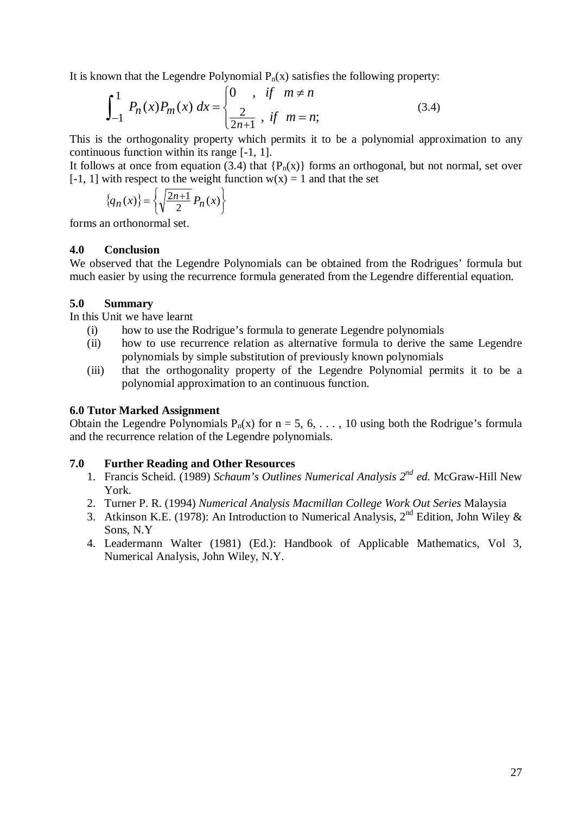It is known that the Legendre Polynomial  $P_n(x)$  satisfies the following property:

$$
\int_{-1}^{1} P_n(x) P_m(x) dx = \begin{cases} 0, & \text{if } m \neq n \\ \frac{2}{2n+1}, & \text{if } m = n \end{cases}
$$
 (3.4)

This is the orthogonality property which permits it to be a polynomial approximation to any continuous function within its range [-1, 1].

It follows at once from equation (3.4) that  ${P_n(x)}$  forms an orthogonal, but not normal, set over [-1, 1] with respect to the weight function  $w(x) = 1$  and that the set

$$
\{q_n(x)\} = \left\{\sqrt{\frac{2n+1}{2}} P_n(x)\right\}
$$

forms an orthonormal set.

#### **4.0 Conclusion**

We observed that the Legendre Polynomials can be obtained from the Rodrigues' formula but much easier by using the recurrence formula generated from the Legendre differential equation.

### **5.0 Summary**

In this Unit we have learnt

- (i) how to use the Rodrigue's formula to generate Legendre polynomials
- (ii) how to use recurrence relation as alternative formula to derive the same Legendre polynomials by simple substitution of previously known polynomials
- (iii) that the orthogonality property of the Legendre Polynomial permits it to be a polynomial approximation to an continuous function.

#### **6.0 Tutor Marked Assignment**

Obtain the Legendre Polynomials  $P_n(x)$  for  $n = 5, 6, \ldots, 10$  using both the Rodrigue's formula and the recurrence relation of the Legendre polynomials.

#### **7.0 Further Reading and Other Resources**

- 1. Francis Scheid. (1989) *Schaum's Outlines Numerical Analysis 2nd ed.* McGraw-Hill New York.
- 2. Turner P. R. (1994) *Numerical Analysis Macmillan College Work Out Series* Malaysia
- 3. Atkinson K.E. (1978): An Introduction to Numerical Analysis,  $2<sup>nd</sup>$  Edition, John Wiley & Sons, N.Y
- 4. Leadermann Walter (1981) (Ed.): Handbook of Applicable Mathematics, Vol 3, Numerical Analysis, John Wiley, N.Y.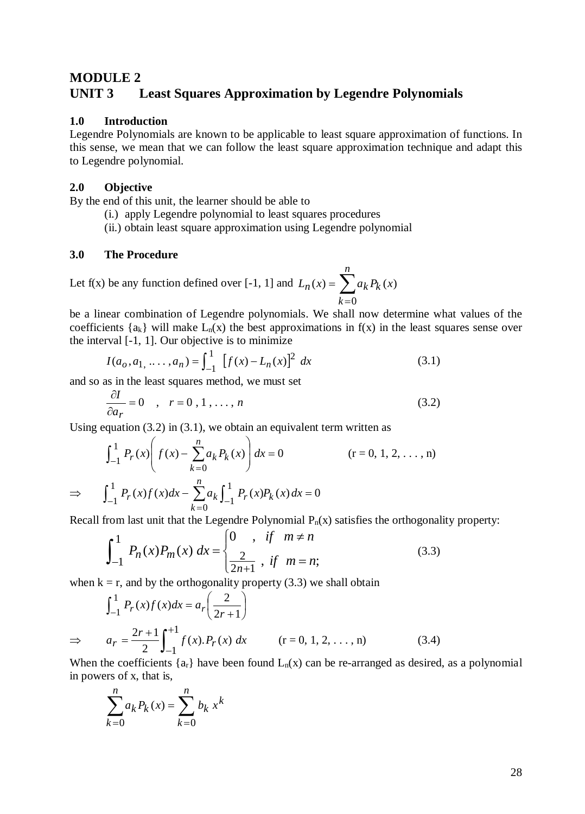# **MODULE 2 UNIT 3 Least Squares Approximation by Legendre Polynomials**

#### **1.0 Introduction**

Legendre Polynomials are known to be applicable to least square approximation of functions. In this sense, we mean that we can follow the least square approximation technique and adapt this to Legendre polynomial.

#### **2.0 Objective**

By the end of this unit, the learner should be able to

- (i.) apply Legendre polynomial to least squares procedures
- (ii.) obtain least square approximation using Legendre polynomial

### **3.0 The Procedure**

Let f(x) be any function defined over [-1, 1] and  $L_n(x) = \sum$ = = *n k*  $L_n(x) = \sum a_k P_k(x)$ 0  $f(x) = \sum a_k P_k(x)$ 

be a linear combination of Legendre polynomials. We shall now determine what values of the coefficients  $\{a_k\}$  will make  $L_n(x)$  the best approximations in  $f(x)$  in the least squares sense over the interval [-1, 1]. Our objective is to minimize

$$
I(a_o, a_1, \dots, a_n) = \int_{-1}^{1} [f(x) - L_n(x)]^2 dx
$$
 (3.1)

and so as in the least squares method, we must set

$$
\frac{\partial I}{\partial a_r} = 0 \quad , \quad r = 0, 1, \dots, n \tag{3.2}
$$

Using equation  $(3.2)$  in  $(3.1)$ , we obtain an equivalent term written as

$$
\int_{-1}^{1} P_r(x) \left( f(x) - \sum_{k=0}^{n} a_k P_k(x) \right) dx = 0 \qquad (r = 0, 1, 2, ..., n)
$$
  
\n
$$
\Rightarrow \int_{-1}^{1} P_r(x) f(x) dx - \sum_{k=0}^{n} a_k \int_{-1}^{1} P_r(x) P_k(x) dx = 0
$$

Recall from last unit that the Legendre Polynomial  $P_n(x)$  satisfies the orthogonality property:

$$
\int_{-1}^{1} P_n(x) P_m(x) dx = \begin{cases} 0, & \text{if } m \neq n \\ \frac{2}{2n+1}, & \text{if } m = n; \end{cases}
$$
 (3.3)

when  $k = r$ , and by the orthogonality property (3.3) we shall obtain

$$
\int_{-1}^{1} P_r(x)f(x)dx = a_r \left(\frac{2}{2r+1}\right)
$$
  
\n
$$
\Rightarrow a_r = \frac{2r+1}{2} \int_{-1}^{+1} f(x) \cdot P_r(x) dx \qquad (r = 0, 1, 2, ..., n) \qquad (3.4)
$$

When the coefficients  $\{a_r\}$  have been found  $L_n(x)$  can be re-arranged as desired, as a polynomial in powers of x, that is,

$$
\sum_{k=0}^{n} a_k P_k(x) = \sum_{k=0}^{n} b_k x^k
$$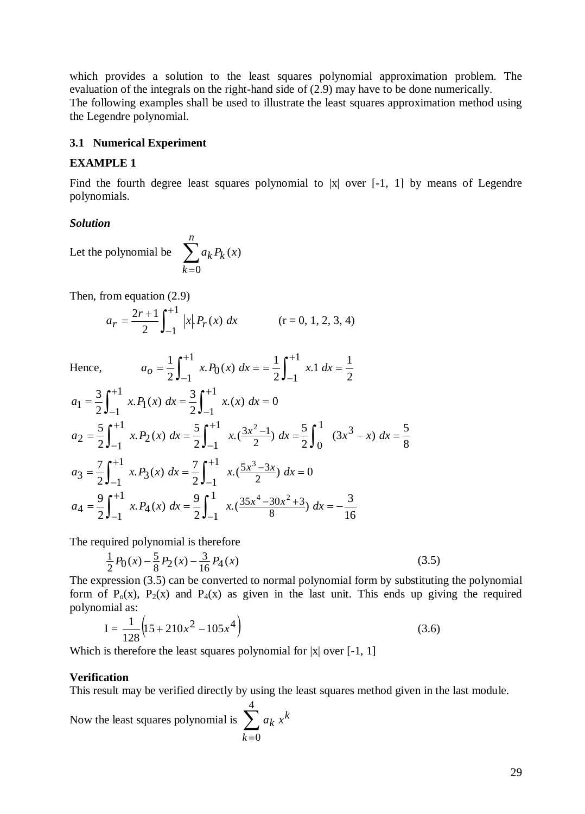which provides a solution to the least squares polynomial approximation problem. The evaluation of the integrals on the right-hand side of (2.9) may have to be done numerically. The following examples shall be used to illustrate the least squares approximation method using the Legendre polynomial.

#### **3.1 Numerical Experiment**

#### **EXAMPLE 1**

Find the fourth degree least squares polynomial to  $|x|$  over  $[-1, 1]$  by means of Legendre polynomials.

#### *Solution*

Let the polynomial be  $\sum$ = *n k*  $a_k P_k(x)$ 0  $\left( x\right)$ 

Then, from equation (2.9)

$$
a_r = \frac{2r+1}{2} \int_{-1}^{+1} |x| P_r(x) dx \qquad (r = 0, 1, 2, 3, 4)
$$

Hence, 
$$
a_0 = \frac{1}{2} \int_{-1}^{+1} x.P_0(x) dx = \frac{1}{2} \int_{-1}^{+1} x.1 dx = \frac{1}{2}
$$
  
\n $a_1 = \frac{3}{2} \int_{-1}^{+1} x.P_1(x) dx = \frac{3}{2} \int_{-1}^{+1} x.(x) dx = 0$   
\n $a_2 = \frac{5}{2} \int_{-1}^{+1} x.P_2(x) dx = \frac{5}{2} \int_{-1}^{+1} x.(\frac{3x^2 - 1}{2}) dx = \frac{5}{2} \int_{0}^{1} (3x^3 - x) dx = \frac{5}{8}$   
\n $a_3 = \frac{7}{2} \int_{-1}^{+1} x.P_3(x) dx = \frac{7}{2} \int_{-1}^{+1} x.(\frac{5x^3 - 3x}{2}) dx = 0$   
\n $a_4 = \frac{9}{2} \int_{-1}^{+1} x.P_4(x) dx = \frac{9}{2} \int_{-1}^{1} x.(\frac{35x^4 - 30x^2 + 3}{8}) dx = -\frac{3}{16}$ 

The required polynomial is therefore

$$
\frac{1}{2}P_0(x) - \frac{5}{8}P_2(x) - \frac{3}{16}P_4(x)
$$
\n(3.5)

The expression (3.5) can be converted to normal polynomial form by substituting the polynomial form of  $P_0(x)$ ,  $P_2(x)$  and  $P_4(x)$  as given in the last unit. This ends up giving the required polynomial as:

$$
I = \frac{1}{128} \left( 15 + 210x^2 - 105x^4 \right)
$$
 (3.6)

Which is therefore the least squares polynomial for  $|x|$  over  $[-1, 1]$ 

#### **Verification**

This result may be verified directly by using the least squares method given in the last module.

Now the least squares polynomial is 
$$
\sum_{k=0}^{4} a_k x^k
$$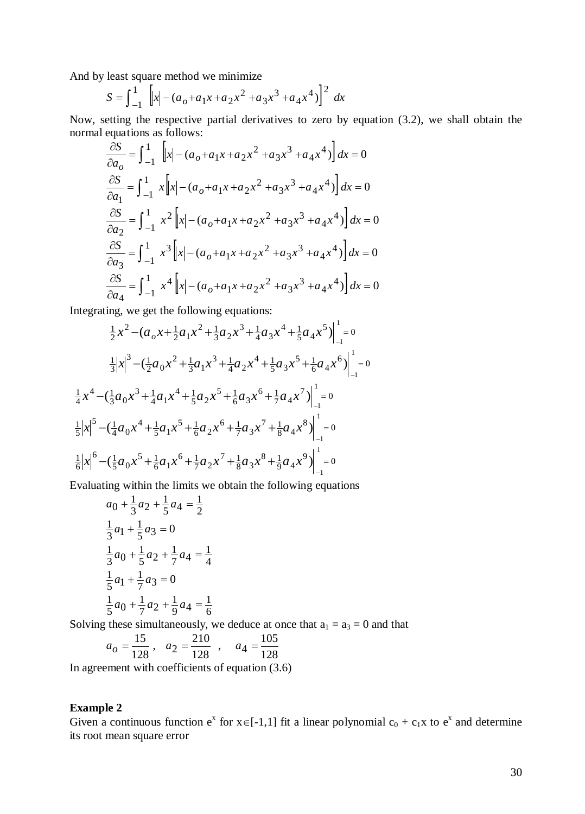And by least square method we minimize

$$
S = \int_{-1}^{1} \left[ x \Big| - (a_o + a_1 x + a_2 x^2 + a_3 x^3 + a_4 x^4) \Big|^2 dx \right]
$$

Now, setting the respective partial derivatives to zero by equation (3.2), we shall obtain the normal equations as follows:

$$
\frac{\partial S}{\partial a_{o}} = \int_{-1}^{1} \left[ x \Big| - (a_{o} + a_{1}x + a_{2}x^{2} + a_{3}x^{3} + a_{4}x^{4}) \right] dx = 0
$$
  

$$
\frac{\partial S}{\partial a_{1}} = \int_{-1}^{1} x \Big[ x \Big| - (a_{o} + a_{1}x + a_{2}x^{2} + a_{3}x^{3} + a_{4}x^{4}) \Big] dx = 0
$$
  

$$
\frac{\partial S}{\partial a_{2}} = \int_{-1}^{1} x^{2} \Big[ x \Big| - (a_{o} + a_{1}x + a_{2}x^{2} + a_{3}x^{3} + a_{4}x^{4}) \Big] dx = 0
$$
  

$$
\frac{\partial S}{\partial a_{3}} = \int_{-1}^{1} x^{3} \Big[ x \Big| - (a_{o} + a_{1}x + a_{2}x^{2} + a_{3}x^{3} + a_{4}x^{4}) \Big] dx = 0
$$
  

$$
\frac{\partial S}{\partial a_{4}} = \int_{-1}^{1} x^{4} \Big[ x \Big| - (a_{o} + a_{1}x + a_{2}x^{2} + a_{3}x^{3} + a_{4}x^{4}) \Big] dx = 0
$$

Integrating, we get the following equations:

$$
\frac{1}{2}x^2 - (a_o x + \frac{1}{2}a_1 x^2 + \frac{1}{3}a_2 x^3 + \frac{1}{4}a_3 x^4 + \frac{1}{5}a_4 x^5)\Big|_{-1}^{1} = 0
$$
  

$$
\frac{1}{3}|x|^3 - (\frac{1}{2}a_0 x^2 + \frac{1}{3}a_1 x^3 + \frac{1}{4}a_2 x^4 + \frac{1}{5}a_3 x^5 + \frac{1}{6}a_4 x^6)\Big|_{-1}^{1} = 0
$$
  

$$
\frac{1}{4}x^4 - (\frac{1}{3}a_0 x^3 + \frac{1}{4}a_1 x^4 + \frac{1}{5}a_2 x^5 + \frac{1}{6}a_3 x^6 + \frac{1}{7}a_4 x^7)\Big|_{-1}^{1} = 0
$$
  

$$
\frac{1}{5}|x|^5 - (\frac{1}{4}a_0 x^4 + \frac{1}{5}a_1 x^5 + \frac{1}{6}a_2 x^6 + \frac{1}{7}a_3 x^7 + \frac{1}{8}a_4 x^8)\Big|_{-1}^{1} = 0
$$
  

$$
\frac{1}{6}|x|^6 - (\frac{1}{5}a_0 x^5 + \frac{1}{6}a_1 x^6 + \frac{1}{7}a_2 x^7 + \frac{1}{8}a_3 x^8 + \frac{1}{9}a_4 x^9)\Big|_{-1}^{1} = 0
$$

Evaluating within the limits we obtain the following equations

$$
a_0 + \frac{1}{3}a_2 + \frac{1}{5}a_4 = \frac{1}{2}
$$
  

$$
\frac{1}{3}a_1 + \frac{1}{5}a_3 = 0
$$
  

$$
\frac{1}{3}a_0 + \frac{1}{5}a_2 + \frac{1}{7}a_4 = \frac{1}{4}
$$
  

$$
\frac{1}{5}a_1 + \frac{1}{7}a_3 = 0
$$
  

$$
\frac{1}{5}a_0 + \frac{1}{7}a_2 + \frac{1}{9}a_4 = \frac{1}{6}
$$

Solving these simultaneously, we deduce at once that  $a_1 = a_3 = 0$  and that

$$
a_o = \frac{15}{128}
$$
,  $a_2 = \frac{210}{128}$ ,  $a_4 = \frac{105}{128}$ 

In agreement with coefficients of equation (3.6)

#### **Example 2**

Given a continuous function  $e^x$  for  $x \in [-1,1]$  fit a linear polynomial  $c_0 + c_1x$  to  $e^x$  and determine its root mean square error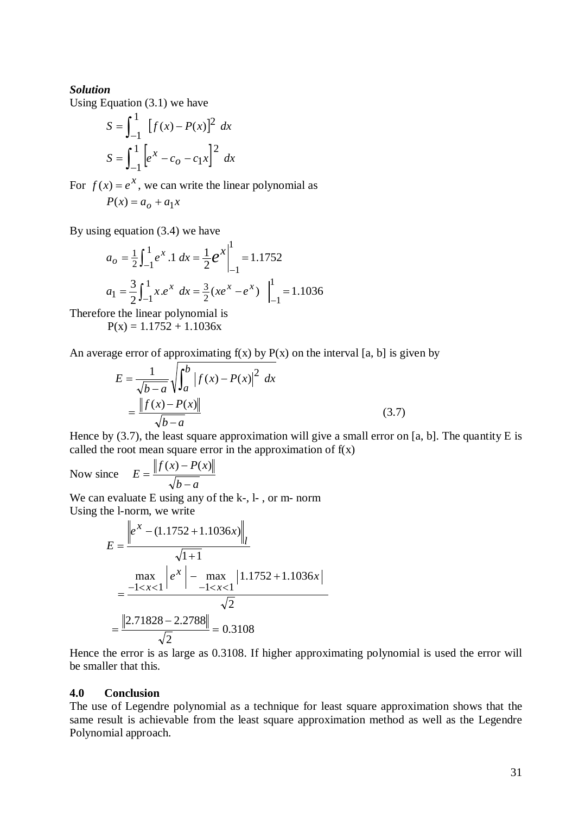#### *Solution*

Using Equation (3.1) we have

$$
S = \int_{-1}^{1} [f(x) - P(x)]^2 dx
$$
  

$$
S = \int_{-1}^{1} [e^x - c_0 - c_1 x]^2 dx
$$

For  $f(x) = e^x$ , we can write the linear polynomial as  $P(x) = a_0 + a_1 x$ 

By using equation (3.4) we have

$$
a_0 = \frac{1}{2} \int_{-1}^{1} e^x .1 \, dx = \frac{1}{2} e^x \Big|_{-1}^{1} = 1.1752
$$
  

$$
a_1 = \frac{3}{2} \int_{-1}^{1} x . e^x \, dx = \frac{3}{2} (xe^x - e^x) \Big|_{-1}^{1} = 1.1036
$$

Therefore the linear polynomial is  $P(x) = 1.1752 + 1.1036x$ 

An average error of approximating  $f(x)$  by  $P(x)$  on the interval [a, b] is given by

$$
E = \frac{1}{\sqrt{b-a}} \sqrt{\int_a^b |f(x) - P(x)|^2} dx
$$
  
= 
$$
\frac{\|f(x) - P(x)\|}{\sqrt{b-a}}
$$
 (3.7)

Hence by  $(3.7)$ , the least square approximation will give a small error on [a, b]. The quantity E is called the root mean square error in the approximation of  $f(x)$ 

Now since  $E = \frac{p \sqrt{b-a}}{\sqrt{b-a}}$  $f(x) - P(x)$  $E = \frac{P}{\sqrt{b-1}}$  $=\frac{\left|f(x)-P(x)\right|}{\sqrt{2\pi}}$ 

We can evaluate E using any of the k-, l-, or m- norm Using the l-norm, we write  $\mathbf{u}$ 

$$
E = \frac{\left\|e^{x} - (1.1752 + 1.1036x)\right\|_{l}}{\sqrt{l+1}}
$$
  
= 
$$
\frac{\max\limits_{-1 < x < 1} \left|e^{x}\right| - \max\limits_{-1 < x < 1} |1.1752 + 1.1036x|}{\sqrt{2}}
$$
  
= 
$$
\frac{\left\|2.71828 - 2.2788\right\|}{\sqrt{2}} = 0.3108
$$

Hence the error is as large as 0.3108. If higher approximating polynomial is used the error will be smaller that this.

#### **4.0 Conclusion**

The use of Legendre polynomial as a technique for least square approximation shows that the same result is achievable from the least square approximation method as well as the Legendre Polynomial approach.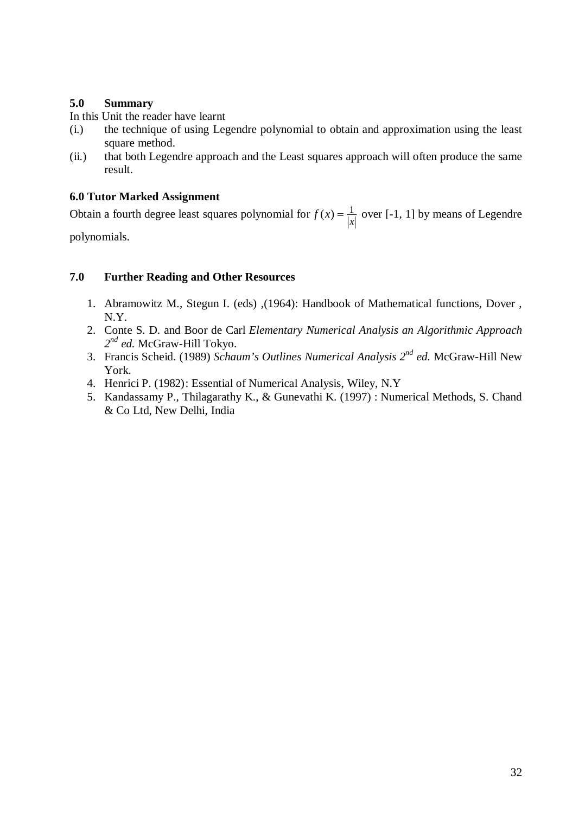### **5.0 Summary**

In this Unit the reader have learnt

- (i.) the technique of using Legendre polynomial to obtain and approximation using the least square method.
- (ii.) that both Legendre approach and the Least squares approach will often produce the same result.

### **6.0 Tutor Marked Assignment**

Obtain a fourth degree least squares polynomial for  $f(x) = \frac{1}{|x|}$  over [-1, 1] by means of Legendre

polynomials.

### **7.0 Further Reading and Other Resources**

- 1. Abramowitz M., Stegun I. (eds) ,(1964): Handbook of Mathematical functions, Dover , N.Y.
- 2. Conte S. D. and Boor de Carl *Elementary Numerical Analysis an Algorithmic Approach 2nd ed.* McGraw-Hill Tokyo.
- 3. Francis Scheid. (1989) *Schaum's Outlines Numerical Analysis 2nd ed.* McGraw-Hill New York.
- 4. Henrici P. (1982): Essential of Numerical Analysis, Wiley, N.Y
- 5. Kandassamy P., Thilagarathy K., & Gunevathi K. (1997) : Numerical Methods, S. Chand & Co Ltd, New Delhi, India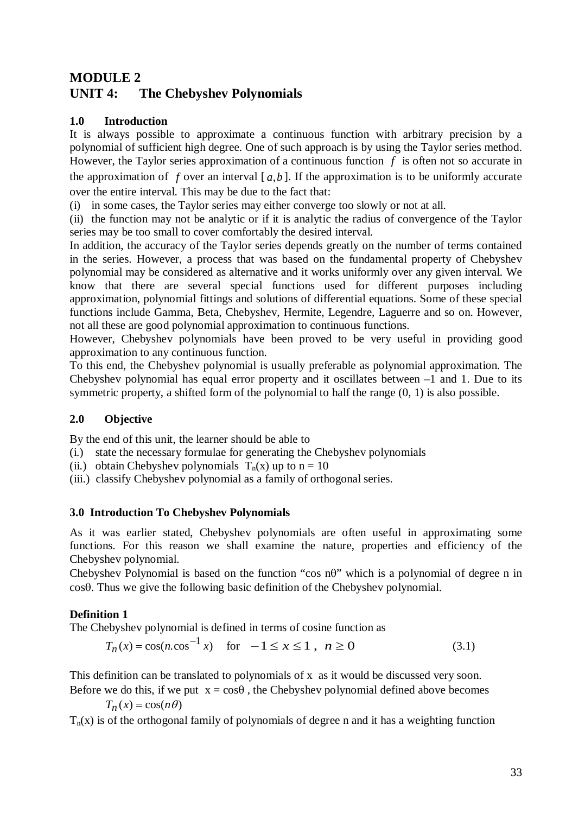# **MODULE 2 UNIT 4: The Chebyshev Polynomials**

### **1.0 Introduction**

It is always possible to approximate a continuous function with arbitrary precision by a polynomial of sufficient high degree. One of such approach is by using the Taylor series method. However, the Taylor series approximation of a continuous function  $f$  is often not so accurate in the approximation of f over an interval  $[a,b]$ . If the approximation is to be uniformly accurate over the entire interval. This may be due to the fact that:

(i) in some cases, the Taylor series may either converge too slowly or not at all.

(ii) the function may not be analytic or if it is analytic the radius of convergence of the Taylor series may be too small to cover comfortably the desired interval.

In addition, the accuracy of the Taylor series depends greatly on the number of terms contained in the series. However, a process that was based on the fundamental property of Chebyshev polynomial may be considered as alternative and it works uniformly over any given interval. We know that there are several special functions used for different purposes including approximation, polynomial fittings and solutions of differential equations. Some of these special functions include Gamma, Beta, Chebyshev, Hermite, Legendre, Laguerre and so on. However, not all these are good polynomial approximation to continuous functions.

However, Chebyshev polynomials have been proved to be very useful in providing good approximation to any continuous function.

To this end, the Chebyshev polynomial is usually preferable as polynomial approximation. The Chebyshev polynomial has equal error property and it oscillates between –1 and 1. Due to its symmetric property, a shifted form of the polynomial to half the range (0, 1) is also possible.

### **2.0 Objective**

By the end of this unit, the learner should be able to

(i.) state the necessary formulae for generating the Chebyshev polynomials

(ii.) obtain Chebyshev polynomials  $T_n(x)$  up to  $n = 10$ 

(iii.) classify Chebyshev polynomial as a family of orthogonal series.

### **3.0 Introduction To Chebyshev Polynomials**

As it was earlier stated, Chebyshev polynomials are often useful in approximating some functions. For this reason we shall examine the nature, properties and efficiency of the Chebyshev polynomial.

Chebyshev Polynomial is based on the function "cos nθ" which is a polynomial of degree n in cosθ. Thus we give the following basic definition of the Chebyshev polynomial.

### **Definition 1**

The Chebyshev polynomial is defined in terms of cosine function as

$$
T_n(x) = \cos(n \cdot \cos^{-1} x) \quad \text{for} \quad -1 \le x \le 1 \, , \quad n \ge 0 \tag{3.1}
$$

This definition can be translated to polynomials of x as it would be discussed very soon.

Before we do this, if we put  $x = cos\theta$ , the Chebyshev polynomial defined above becomes  $T_n(x) = \cos(n\theta)$ 

 $T_n(x)$  is of the orthogonal family of polynomials of degree n and it has a weighting function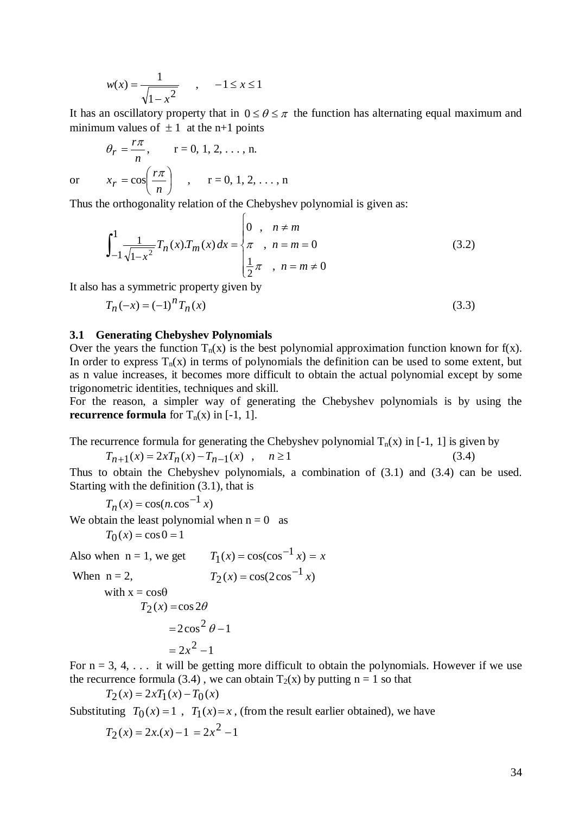$$
w(x) = \frac{1}{\sqrt{1 - x^2}}
$$
,  $-1 \le x \le 1$ 

It has an oscillatory property that in  $0 \le \theta \le \pi$  the function has alternating equal maximum and minimum values of  $\pm 1$  at the n+1 points

$$
\theta_r = \frac{r\pi}{n}
$$
, r = 0, 1, 2, ..., n.  
\nor  $x_r = \cos\left(\frac{r\pi}{n}\right)$ , r = 0, 1, 2, ..., n

Thus the orthogonality relation of the Chebyshev polynomial is given as:

$$
\int_{-1}^{1} \frac{1}{\sqrt{1 - x^2}} T_n(x) T_m(x) dx = \begin{cases} 0, & n \neq m \\ \pi, & n = m = 0 \\ \frac{1}{2} \pi, & n = m \neq 0 \end{cases}
$$
 (3.2)

It also has a symmetric property given by

$$
T_n(-x) = (-1)^n T_n(x)
$$
\n(3.3)

#### **3.1 Generating Chebyshev Polynomials**

Over the years the function  $T_n(x)$  is the best polynomial approximation function known for f(x). In order to express  $T_n(x)$  in terms of polynomials the definition can be used to some extent, but as n value increases, it becomes more difficult to obtain the actual polynomial except by some trigonometric identities, techniques and skill.

For the reason, a simpler way of generating the Chebyshev polynomials is by using the **recurrence formula** for  $T_n(x)$  in  $[-1, 1]$ .

The recurrence formula for generating the Chebyshev polynomial  $T_n(x)$  in [-1, 1] is given by

$$
T_{n+1}(x) = 2xT_n(x) - T_{n-1}(x) , \quad n \ge 1
$$
\n(3.4)

Thus to obtain the Chebyshev polynomials, a combination of (3.1) and (3.4) can be used. Starting with the definition (3.1), that is

$$
T_n(x) = \cos(n \cdot \cos^{-1} x)
$$

We obtain the least polynomial when  $n = 0$  as

$$
T_0(x) = \cos 0 = 1
$$

Also when  $n = 1$ , we get  $T_1(x) = \cos(\cos^{-1} x) = x$ When  $n = 2$ ,  $T_2(x) = \cos(2\cos^{-1} x)$ with  $x = cos\theta$ 

$$
T_2(x) = \cos 2\theta
$$
  
=  $2\cos^2 \theta - 1$   
=  $2x^2 - 1$ 

For  $n = 3, 4, \ldots$  it will be getting more difficult to obtain the polynomials. However if we use the recurrence formula (3.4), we can obtain  $T_2(x)$  by putting  $n = 1$  so that

$$
T_2(x) = 2xT_1(x) - T_0(x)
$$

Substituting  $T_0(x) = 1$ ,  $T_1(x) = x$ , (from the result earlier obtained), we have

$$
T_2(x) = 2x(x) - 1 = 2x^2 - 1
$$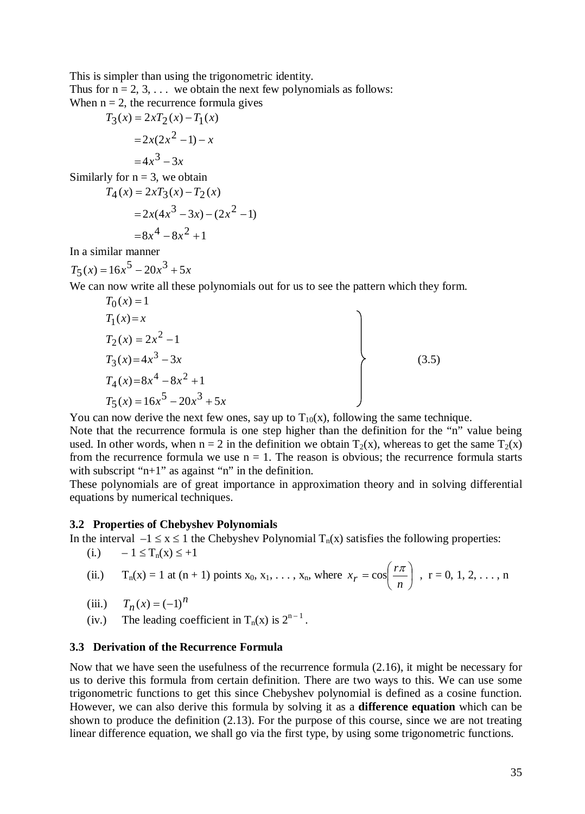This is simpler than using the trigonometric identity.

Thus for  $n = 2, 3, \ldots$  we obtain the next few polynomials as follows: When  $n = 2$ , the recurrence formula gives

$$
T_3(x) = 2xT_2(x) - T_1(x)
$$
  
= 2x(2x<sup>2</sup> - 1) - x  
= 4x<sup>3</sup> - 3x  
Similarly for n = 3, we obtain  

$$
T_4(x) = 2xT_3(x) - T_2(x)
$$
  
= 2x(4x<sup>3</sup> - 3x) - (2x<sup>2</sup> - 1)

$$
= 2x(4x^3 - 3x) - (2x^2 - 3x) = 8x^4 - 8x^2 + 1
$$

In a similar manner

 $T_5(x) = 16x^5 - 20x^3 + 5x$ 

We can now write all these polynomials out for us to see the pattern which they form.

$$
T_0(x) = 1
$$
  
\n
$$
T_1(x) = x
$$
  
\n
$$
T_2(x) = 2x^2 - 1
$$
  
\n
$$
T_3(x) = 4x^3 - 3x
$$
  
\n
$$
T_4(x) = 8x^4 - 8x^2 + 1
$$
  
\n
$$
T_5(x) = 16x^5 - 20x^3 + 5x
$$
\n(3.5)

You can now derive the next few ones, say up to  $T_{10}(x)$ , following the same technique. Note that the recurrence formula is one step higher than the definition for the "n" value being used. In other words, when  $n = 2$  in the definition we obtain  $T_2(x)$ , whereas to get the same  $T_2(x)$ from the recurrence formula we use  $n = 1$ . The reason is obvious; the recurrence formula starts with subscript " $n+1$ " as against "n" in the definition.

These polynomials are of great importance in approximation theory and in solving differential equations by numerical techniques.

#### **3.2 Properties of Chebyshev Polynomials**

In the interval  $-1 \le x \le 1$  the Chebyshev Polynomial  $T_n(x)$  satisfies the following properties:

(i.)  $-1 \le T_n(x) \le +1$ 

(ii.) 
$$
T_n(x) = 1
$$
 at  $(n + 1)$  points  $x_0, x_1, ..., x_n$ , where  $x_r = \cos\left(\frac{r\pi}{n}\right)$ ,  $r = 0, 1, 2, ..., n$ 

(iii.)  $T_n(x) = (-1)^n$ 

(iv.) The leading coefficient in  $T_n(x)$  is  $2^{n-1}$ .

### **3.3 Derivation of the Recurrence Formula**

Now that we have seen the usefulness of the recurrence formula (2.16), it might be necessary for us to derive this formula from certain definition. There are two ways to this. We can use some trigonometric functions to get this since Chebyshev polynomial is defined as a cosine function. However, we can also derive this formula by solving it as a **difference equation** which can be shown to produce the definition (2.13). For the purpose of this course, since we are not treating linear difference equation, we shall go via the first type, by using some trigonometric functions.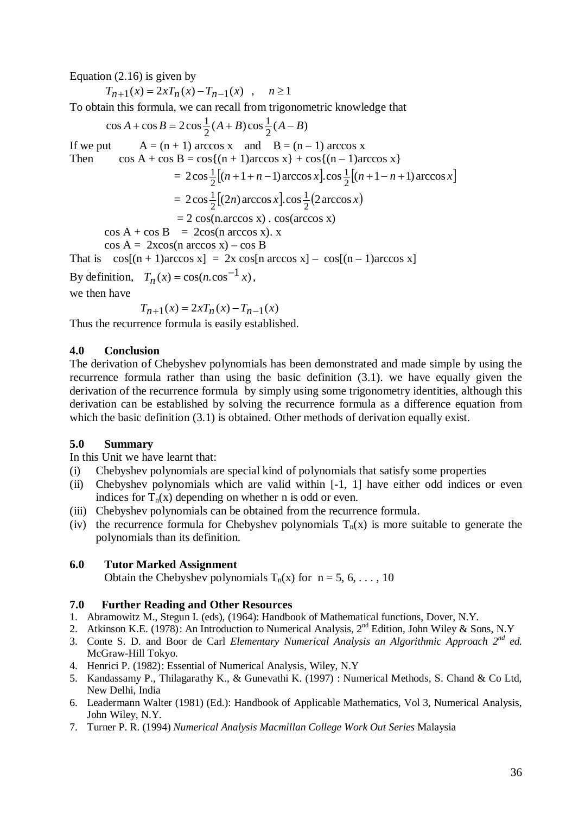Equation (2.16) is given by

$$
T_{n+1}(x) = 2xT_n(x) - T_{n-1}(x) , \quad n \ge 1
$$

To obtain this formula, we can recall from trigonometric knowledge that

$$
\cos A + \cos B = 2\cos\frac{1}{2}(A+B)\cos\frac{1}{2}(A-B)
$$

If we put  $A = (n + 1)$  arccos x and  $B = (n - 1)$  arccos x Then  $\cos A + \cos B = \cos\{(n+1)\arccos x\} + \cos\{(n-1)\arccos x\}$  $= 2\cos{\frac{1}{2}}[(n+1+n-1)\arccos x].\cos{\frac{1}{2}}[(n+1-n+1)\arccos x]$  $\frac{1}{2}[(n+1+n-1)\arccos x]\cdot\cos\frac{1}{2}[(n+1-n+1)]$  $= 2\cos{\frac{1}{2}}[(2n)\arccos x] \cdot \cos{\frac{1}{2}}(2\arccos x)$ 2 1  $= 2 \cos(n \arccos x) \cdot \cos(\arccos x)$  $\cos A + \cos B = 2\cos(n \arccos x)$ . x  $\cos A = 2x\cos(n \arccos x) - \cos B$ That is  $cos[(n + 1)arccos x] = 2x cos[n arccos x] - cos[(n - 1)arccos x]$ 

By definition,  $T_n(x) = \cos(n \cdot \cos^{-1} x)$ ,

we then have

$$
T_{n+1}(x) = 2xT_n(x) - T_{n-1}(x)
$$

Thus the recurrence formula is easily established.

### **4.0 Conclusion**

The derivation of Chebyshev polynomials has been demonstrated and made simple by using the recurrence formula rather than using the basic definition (3.1). we have equally given the derivation of the recurrence formula by simply using some trigonometry identities, although this derivation can be established by solving the recurrence formula as a difference equation from which the basic definition (3.1) is obtained. Other methods of derivation equally exist.

### **5.0 Summary**

In this Unit we have learnt that:

- (i) Chebyshev polynomials are special kind of polynomials that satisfy some properties
- (ii) Chebyshev polynomials which are valid within [-1, 1] have either odd indices or even indices for  $T_n(x)$  depending on whether n is odd or even.
- (iii) Chebyshev polynomials can be obtained from the recurrence formula.
- (iv) the recurrence formula for Chebyshev polynomials  $T_n(x)$  is more suitable to generate the polynomials than its definition.

### **6.0 Tutor Marked Assignment**

Obtain the Chebyshev polynomials  $T_n(x)$  for  $n = 5, 6, \ldots, 10$ 

### **7.0 Further Reading and Other Resources**

- 1. Abramowitz M., Stegun I. (eds), (1964): Handbook of Mathematical functions, Dover, N.Y.
- 2. Atkinson K.E. (1978): An Introduction to Numerical Analysis,  $2<sup>nd</sup>$  Edition, John Wiley & Sons, N.Y
- 3. Conte S. D. and Boor de Carl *Elementary Numerical Analysis an Algorithmic Approach 2nd ed.* McGraw-Hill Tokyo.
- 4. Henrici P. (1982): Essential of Numerical Analysis, Wiley, N.Y
- 5. Kandassamy P., Thilagarathy K., & Gunevathi K. (1997) : Numerical Methods, S. Chand & Co Ltd, New Delhi, India
- 6. Leadermann Walter (1981) (Ed.): Handbook of Applicable Mathematics, Vol 3, Numerical Analysis, John Wiley, N.Y.
- 7. Turner P. R. (1994) *Numerical Analysis Macmillan College Work Out Series* Malaysia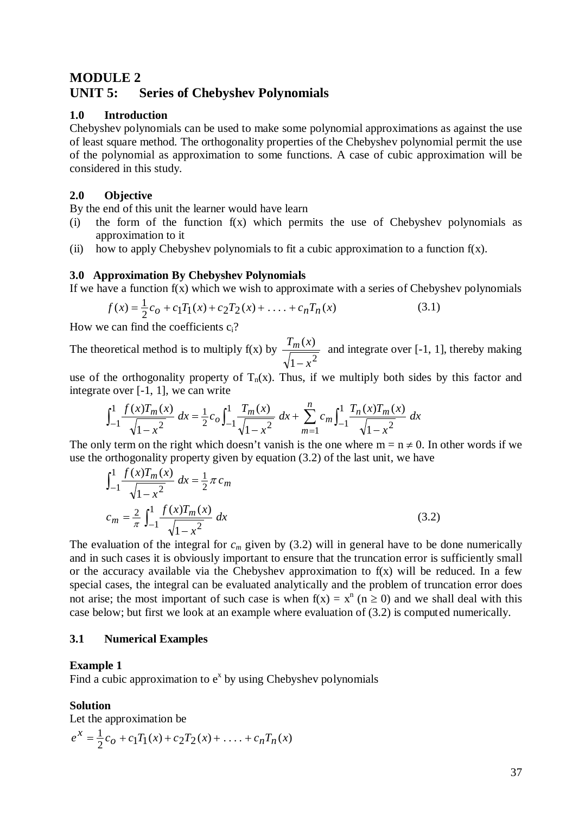## **MODULE 2**

## **UNIT 5: Series of Chebyshev Polynomials**

#### **1.0 Introduction**

Chebyshev polynomials can be used to make some polynomial approximations as against the use of least square method. The orthogonality properties of the Chebyshev polynomial permit the use of the polynomial as approximation to some functions. A case of cubic approximation will be considered in this study.

#### **2.0 Objective**

By the end of this unit the learner would have learn

- (i) the form of the function  $f(x)$  which permits the use of Chebyshev polynomials as approximation to it
- (ii) how to apply Chebyshev polynomials to fit a cubic approximation to a function  $f(x)$ .

#### **3.0 Approximation By Chebyshev Polynomials**

If we have a function  $f(x)$  which we wish to approximate with a series of Chebyshev polynomials

$$
f(x) = \frac{1}{2}c_0 + c_1T_1(x) + c_2T_2(x) + \dots + c_nT_n(x)
$$
 (3.1)

How we can find the coefficients  $c_i$ ?

The theoretical method is to multiply  $f(x)$  by  $\frac{T_m(x)}{\sqrt{1-x^2}}$ *x*  $T_m(x)$ − and integrate over [-1, 1], thereby making

use of the orthogonality property of  $T_n(x)$ . Thus, if we multiply both sides by this factor and integrate over [-1, 1], we can write

$$
\int_{-1}^{1} \frac{f(x)T_m(x)}{\sqrt{1-x^2}} dx = \frac{1}{2}c_o \int_{-1}^{1} \frac{T_m(x)}{\sqrt{1-x^2}} dx + \sum_{m=1}^{n} c_m \int_{-1}^{1} \frac{T_n(x)T_m(x)}{\sqrt{1-x^2}} dx
$$

The only term on the right which doesn't vanish is the one where  $m = n \neq 0$ . In other words if we use the orthogonality property given by equation (3.2) of the last unit, we have

$$
\int_{-1}^{1} \frac{f(x)T_m(x)}{\sqrt{1-x^2}} dx = \frac{1}{2} \pi c_m
$$
  

$$
c_m = \frac{2}{\pi} \int_{-1}^{1} \frac{f(x)T_m(x)}{\sqrt{1-x^2}} dx
$$
 (3.2)

The evaluation of the integral for  $c_m$  given by (3.2) will in general have to be done numerically and in such cases it is obviously important to ensure that the truncation error is sufficiently small or the accuracy available via the Chebyshev approximation to  $f(x)$  will be reduced. In a few special cases, the integral can be evaluated analytically and the problem of truncation error does not arise; the most important of such case is when  $f(x) = x^n$  ( $n \ge 0$ ) and we shall deal with this case below; but first we look at an example where evaluation of (3.2) is computed numerically.

#### **3.1 Numerical Examples**

#### **Example 1**

Find a cubic approximation to  $e^x$  by using Chebyshev polynomials

#### **Solution**

Let the approximation be  

$$
e^x = \frac{1}{2}c_0 + c_1T_1(x) + c_2T_2(x) + \dots + c_nT_n(x)
$$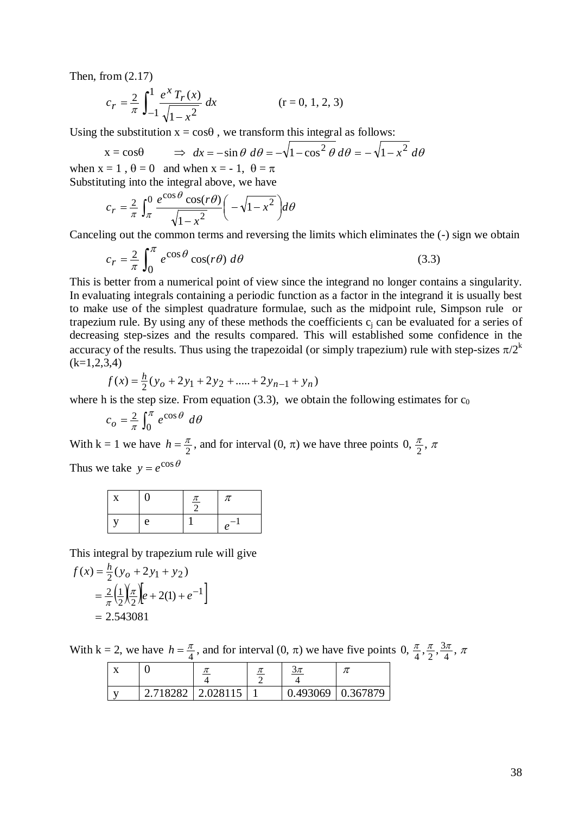Then, from (2.17)

$$
c_r = \frac{2}{\pi} \int_{-1}^{1} \frac{e^x T_r(x)}{\sqrt{1 - x^2}} dx
$$
 (r = 0, 1, 2, 3)

Using the substitution  $x = \cos\theta$ , we transform this integral as follows:

$$
x = \cos\theta \qquad \Rightarrow dx = -\sin\theta \, d\theta = -\sqrt{1 - \cos^2\theta} \, d\theta = -\sqrt{1 - x^2} \, d\theta
$$

when  $x = 1$ ,  $\theta = 0$  and when  $x = -1$ ,  $\theta = \pi$ Substituting into the integral above, we have

$$
c_r = \frac{2}{\pi} \int_{\pi}^{0} \frac{e^{\cos \theta} \cos(r\theta)}{\sqrt{1 - x^2}} \left( -\sqrt{1 - x^2} \right) d\theta
$$

Canceling out the common terms and reversing the limits which eliminates the (-) sign we obtain

$$
c_r = \frac{2}{\pi} \int_0^{\pi} e^{\cos \theta} \cos(r\theta) d\theta
$$
 (3.3)

This is better from a numerical point of view since the integrand no longer contains a singularity. In evaluating integrals containing a periodic function as a factor in the integrand it is usually best to make use of the simplest quadrature formulae, such as the midpoint rule, Simpson rule or trapezium rule. By using any of these methods the coefficients  $c_i$  can be evaluated for a series of decreasing step-sizes and the results compared. This will established some confidence in the accuracy of the results. Thus using the trapezoidal (or simply trapezium) rule with step-sizes  $\pi/2^k$  $(k=1,2,3,4)$ 

$$
f(x) = \frac{h}{2}(y_o + 2y_1 + 2y_2 + \dots + 2y_{n-1} + y_n)
$$

where h is the step size. From equation (3.3), we obtain the following estimates for  $c_0$ 

$$
c_o = \frac{2}{\pi} \int_0^{\pi} e^{\cos \theta} d\theta
$$

With k = 1 we have  $h = \frac{\pi}{2}$ , and for interval  $(0, \pi)$  we have three points  $0, \frac{\pi}{2}, \pi$ Thus we take  $y = e^{\cos \theta}$ 

|   | $\frac{\pi}{2}$ | π        |
|---|-----------------|----------|
| e |                 | $e^{-1}$ |

This integral by trapezium rule will give

$$
f(x) = \frac{h}{2}(y_o + 2y_1 + y_2)
$$
  
=  $\frac{2}{\pi} \left(\frac{1}{2}\right) \left(\frac{\pi}{2}\right) \left(e + 2(1) + e^{-1}\right)$   
= 2.543081

With k = 2, we have  $h = \frac{\pi}{4}$ , and for interval  $(0, \pi)$  we have five points  $0, \frac{\pi}{4}, \frac{\pi}{2}, \frac{3\pi}{4}, \pi$  $4 \tcdot 2$ 

|  |                     |  | $\frac{1}{2}$ |          |
|--|---------------------|--|---------------|----------|
|  | 2.718282   2.028115 |  | 0.493069      | 0.367879 |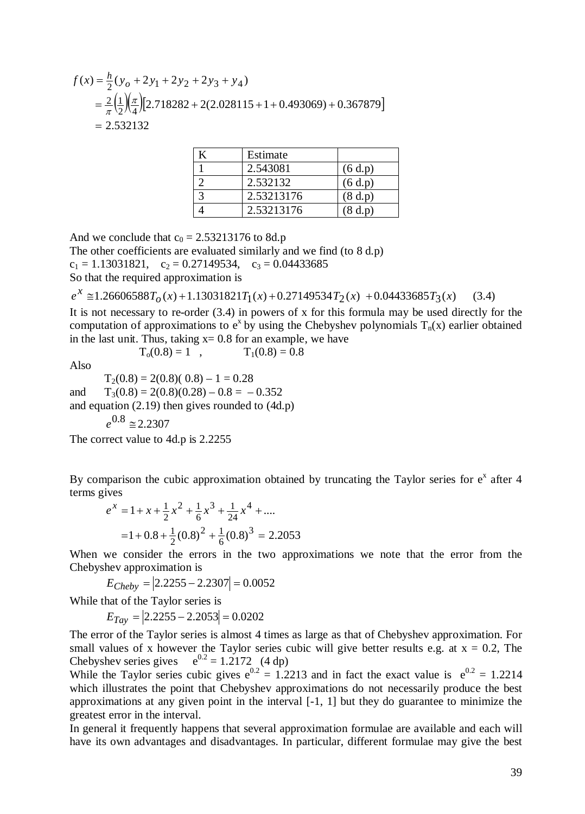$$
f(x) = \frac{h}{2}(y_o + 2y_1 + 2y_2 + 2y_3 + y_4)
$$
  
=  $\frac{2}{\pi} \left(\frac{1}{2}\right) \left(\frac{\pi}{4}\right) [2.718282 + 2(2.028115 + 1 + 0.493069) + 0.367879]$   
= 2.532132

| Estimate   |         |
|------------|---------|
| 2.543081   | (6 d.p) |
| 2.532132   | (6 d.p) |
| 2.53213176 | (8 d.p) |
| 2.53213176 | (8 d.p) |

And we conclude that  $c_0 = 2.53213176$  to 8d.p

The other coefficients are evaluated similarly and we find (to 8 d.p)  $c_1 = 1.13031821$ ,  $c_2 = 0.27149534$ ,  $c_3 = 0.04433685$ 

So that the required approximation is

 $e^x \approx 1.26606588T_o(x) + 1.13031821T_1(x) + 0.27149534T_2(x) + 0.04433685T_3(x)$  (3.4)

It is not necessary to re-order (3.4) in powers of x for this formula may be used directly for the computation of approximations to  $e^x$  by using the Chebyshev polynomials  $T_n(x)$  earlier obtained in the last unit. Thus, taking  $x = 0.8$  for an example, we have

 $T_0(0.8) = 1$ ,  $T_1(0.8) = 0.8$ 

Also  $T_2(0.8) = 2(0.8)(0.8) - 1 = 0.28$ and  $T_3(0.8) = 2(0.8)(0.28) - 0.8 = -0.352$ and equation (2.19) then gives rounded to (4d.p)

 $e^{0.8} \approx 2.2307$ 

The correct value to 4d.p is 2.2255

By comparison the cubic approximation obtained by truncating the Taylor series for  $e^x$  after 4 terms gives

$$
e^{x} = 1 + x + \frac{1}{2}x^{2} + \frac{1}{6}x^{3} + \frac{1}{24}x^{4} + \dots
$$

$$
= 1 + 0.8 + \frac{1}{2}(0.8)^{2} + \frac{1}{6}(0.8)^{3} = 2.2053
$$

When we consider the errors in the two approximations we note that the error from the Chebyshev approximation is

 $E_{Cheby} = |2.2255 - 2.2307| = 0.0052$ 

While that of the Taylor series is

 $E_{Tav} = |2.2255 - 2.2053| = 0.0202$ 

The error of the Taylor series is almost 4 times as large as that of Chebyshev approximation. For small values of x however the Taylor series cubic will give better results e.g. at  $x = 0.2$ , The Chebyshev series gives  $e^{0.2} = 1.2172$  (4 dp)

While the Taylor series cubic gives  $e^{0.2} = 1.2213$  and in fact the exact value is  $e^{0.2} = 1.2214$ which illustrates the point that Chebyshev approximations do not necessarily produce the best approximations at any given point in the interval [-1, 1] but they do guarantee to minimize the greatest error in the interval.

In general it frequently happens that several approximation formulae are available and each will have its own advantages and disadvantages. In particular, different formulae may give the best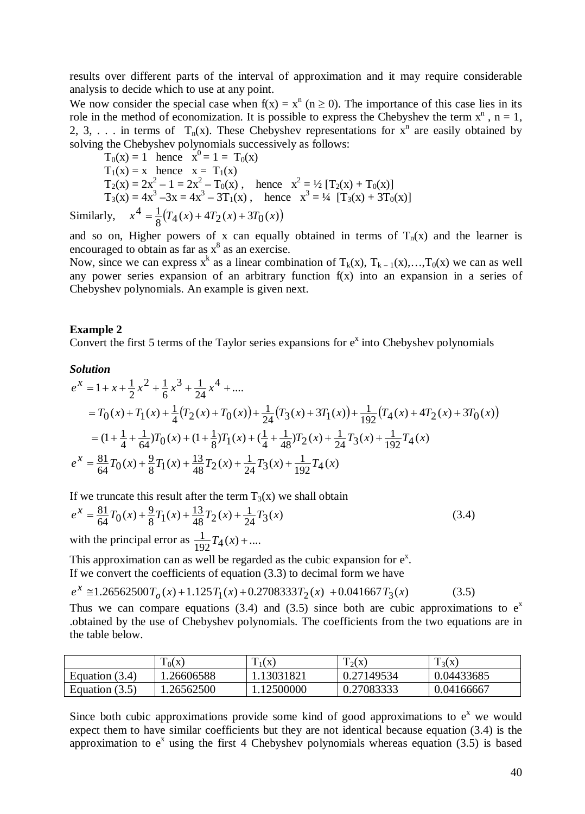results over different parts of the interval of approximation and it may require considerable analysis to decide which to use at any point.

We now consider the special case when  $f(x) = x^n$  ( $n \ge 0$ ). The importance of this case lies in its role in the method of economization. It is possible to express the Chebyshev the term  $x^n$ ,  $n = 1$ , 2, 3, ... in terms of  $T_n(x)$ . These Chebyshev representations for  $x^n$  are easily obtained by solving the Chebyshev polynomials successively as follows:

 $T_0(x) = 1$  hence  $x^0 = 1 = T_0(x)$  $T_1(x) = x$  hence  $x = T_1(x)$  $T_2(x) = 2x^2 - 1 = 2x^2 - T_0(x)$ , hence  $x^2 = \frac{1}{2} [T_2(x) + T_0(x)]$  $T_3(x) = 4x^3 - 3x = 4x^3 - 3T_1(x)$ , hence  $x^3 = \frac{1}{4} [T_3(x) + 3T_0(x)]$ 

Similarly,  $x^4 = \frac{1}{8} (T_4(x) + 4T_2(x) + 3T_0(x))$ 

and so on, Higher powers of x can equally obtained in terms of  $T_n(x)$  and the learner is encouraged to obtain as far as  $x^8$  as an exercise.

Now, since we can express  $x^k$  as a linear combination of  $T_k(x)$ ,  $T_{k-1}(x)$ ,  $T_0(x)$  we can as well any power series expansion of an arbitrary function  $f(x)$  into an expansion in a series of Chebyshev polynomials. An example is given next.

#### **Example 2**

Convert the first 5 terms of the Taylor series expansions for  $e^x$  into Chebyshev polynomials

#### *Solution*

$$
e^{x} = 1 + x + \frac{1}{2}x^{2} + \frac{1}{6}x^{3} + \frac{1}{24}x^{4} + \dots
$$
  
\n
$$
= T_{0}(x) + T_{1}(x) + \frac{1}{4}(T_{2}(x) + T_{0}(x)) + \frac{1}{24}(T_{3}(x) + 3T_{1}(x)) + \frac{1}{192}(T_{4}(x) + 4T_{2}(x) + 3T_{0}(x))
$$
  
\n
$$
= (1 + \frac{1}{4} + \frac{1}{64})T_{0}(x) + (1 + \frac{1}{8})T_{1}(x) + (\frac{1}{4} + \frac{1}{48})T_{2}(x) + \frac{1}{24}T_{3}(x) + \frac{1}{192}T_{4}(x)
$$
  
\n
$$
e^{x} = \frac{81}{64}T_{0}(x) + \frac{9}{8}T_{1}(x) + \frac{13}{48}T_{2}(x) + \frac{1}{24}T_{3}(x) + \frac{1}{192}T_{4}(x)
$$

If we truncate this result after the term  $T_3(x)$  we shall obtain

$$
e^{x} = \frac{81}{64}T_0(x) + \frac{9}{8}T_1(x) + \frac{13}{48}T_2(x) + \frac{1}{24}T_3(x)
$$
  
with the principal error as  $\frac{1}{192}T_4(x) + ...$  (3.4)

This approximation can as well be regarded as the cubic expansion for  $e^x$ . If we convert the coefficients of equation (3.3) to decimal form we have

 $e^x \approx 1.26562500 T_o(x) + 1.125 T_1(x) + 0.2708333 T_2(x) + 0.041667 T_3(x)$  (3.5)

Thus we can compare equations (3.4) and (3.5) since both are cubic approximations to  $e^x$ .obtained by the use of Chebyshev polynomials. The coefficients from the two equations are in the table below.

|                  | $T_0(x)$   | $T_1(x)$   | $T_2(x)$   | $T_3(x)$   |
|------------------|------------|------------|------------|------------|
| Equation $(3.4)$ | 1.26606588 | 1.13031821 | 0.27149534 | 0.04433685 |
| Equation $(3.5)$ | 1.26562500 | 1.12500000 | 0.27083333 | 0.04166667 |

Since both cubic approximations provide some kind of good approximations to  $e^x$  we would expect them to have similar coefficients but they are not identical because equation (3.4) is the approximation to  $e^x$  using the first 4 Chebyshev polynomials whereas equation (3.5) is based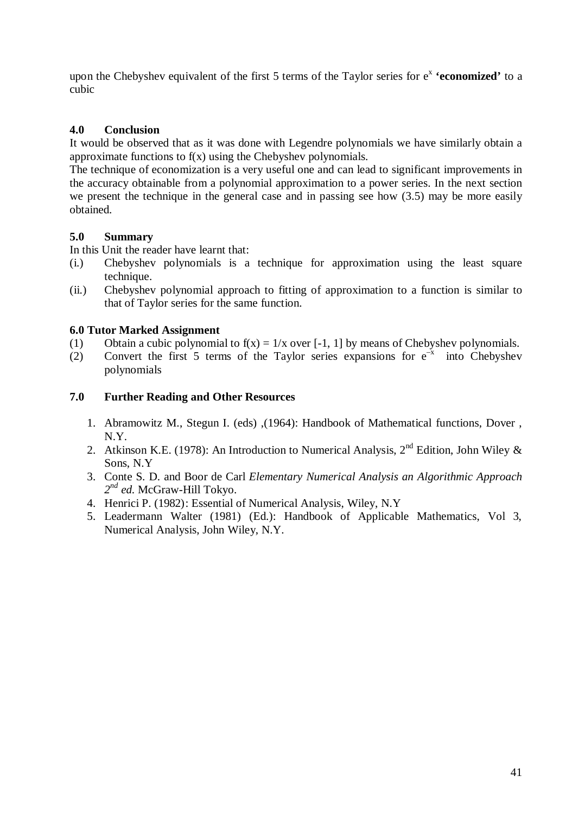upon the Chebyshev equivalent of the first 5 terms of the Taylor series for  $e^x$  **'economized'** to a cubic

## **4.0 Conclusion**

It would be observed that as it was done with Legendre polynomials we have similarly obtain a approximate functions to  $f(x)$  using the Chebyshev polynomials.

The technique of economization is a very useful one and can lead to significant improvements in the accuracy obtainable from a polynomial approximation to a power series. In the next section we present the technique in the general case and in passing see how (3.5) may be more easily obtained.

## **5.0 Summary**

In this Unit the reader have learnt that:

- (i.) Chebyshev polynomials is a technique for approximation using the least square technique.
- (ii.) Chebyshev polynomial approach to fitting of approximation to a function is similar to that of Taylor series for the same function.

## **6.0 Tutor Marked Assignment**

- (1) Obtain a cubic polynomial to  $f(x) = 1/x$  over [-1, 1] by means of Chebyshev polynomials.
- (2) Convert the first 5 terms of the Taylor series expansions for  $e^{-x}$  into Chebyshev polynomials

## **7.0 Further Reading and Other Resources**

- 1. Abramowitz M., Stegun I. (eds) ,(1964): Handbook of Mathematical functions, Dover , N.Y.
- 2. Atkinson K.E. (1978): An Introduction to Numerical Analysis,  $2<sup>nd</sup>$  Edition, John Wiley & Sons, N.Y
- 3. Conte S. D. and Boor de Carl *Elementary Numerical Analysis an Algorithmic Approach 2nd ed.* McGraw-Hill Tokyo.
- 4. Henrici P. (1982): Essential of Numerical Analysis, Wiley, N.Y
- 5. Leadermann Walter (1981) (Ed.): Handbook of Applicable Mathematics, Vol 3, Numerical Analysis, John Wiley, N.Y.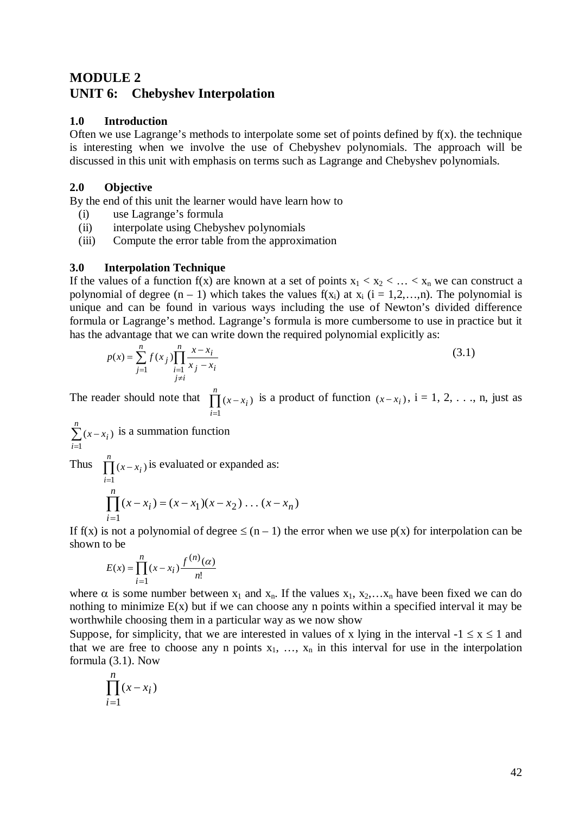## **MODULE 2 UNIT 6: Chebyshev Interpolation**

#### **1.0 Introduction**

Often we use Lagrange's methods to interpolate some set of points defined by  $f(x)$ , the technique is interesting when we involve the use of Chebyshev polynomials. The approach will be discussed in this unit with emphasis on terms such as Lagrange and Chebyshev polynomials.

### **2.0 Objective**

By the end of this unit the learner would have learn how to

- (i) use Lagrange's formula
- (ii) interpolate using Chebyshev polynomials
- (iii) Compute the error table from the approximation

#### **3.0 Interpolation Technique**

If the values of a function  $f(x)$  are known at a set of points  $x_1 < x_2 < ... < x_n$  we can construct a polynomial of degree  $(n - 1)$  which takes the values  $f(x_i)$  at  $x_i$   $(i = 1, 2, ..., n)$ . The polynomial is unique and can be found in various ways including the use of Newton's divided difference formula or Lagrange's method. Lagrange's formula is more cumbersome to use in practice but it has the advantage that we can write down the required polynomial explicitly as:

$$
p(x) = \sum_{j=1}^{n} f(x_j) \prod_{\substack{i=1 \ i \neq i}}^{n} \frac{x - x_i}{x_j - x_i}
$$
(3.1)

The reader should note that  $\prod$ = − *n i*  $(x-x_i)$  is a product of function  $(x-x_i)$ , i = 1, 2, . . ., n, just as 1

∑ = − *n i*  $x - x_i$ 1  $(x - x_i)$  is a summation function

Thus  $\prod$ = − *n i*  $x - x_i$ 1  $(x - x_i)$  is evaluated or expanded as: *n*

$$
\prod_{i=1}^{n} (x - x_i) = (x - x_1)(x - x_2) \dots (x - x_n)
$$

If f(x) is not a polynomial of degree  $\leq (n-1)$  the error when we use  $p(x)$  for interpolation can be shown to be

$$
E(x) = \prod_{i=1}^{n} (x - x_i) \frac{f^{(n)}(\alpha)}{n!}
$$

where  $\alpha$  is some number between  $x_1$  and  $x_n$ . If the values  $x_1, x_2,...x_n$  have been fixed we can do nothing to minimize  $E(x)$  but if we can choose any n points within a specified interval it may be worthwhile choosing them in a particular way as we now show

Suppose, for simplicity, that we are interested in values of x lying in the interval  $-1 \le x \le 1$  and that we are free to choose any n points  $x_1, \ldots, x_n$  in this interval for use in the interpolation formula (3.1). Now

$$
\prod_{i=1}^n (x - x_i)
$$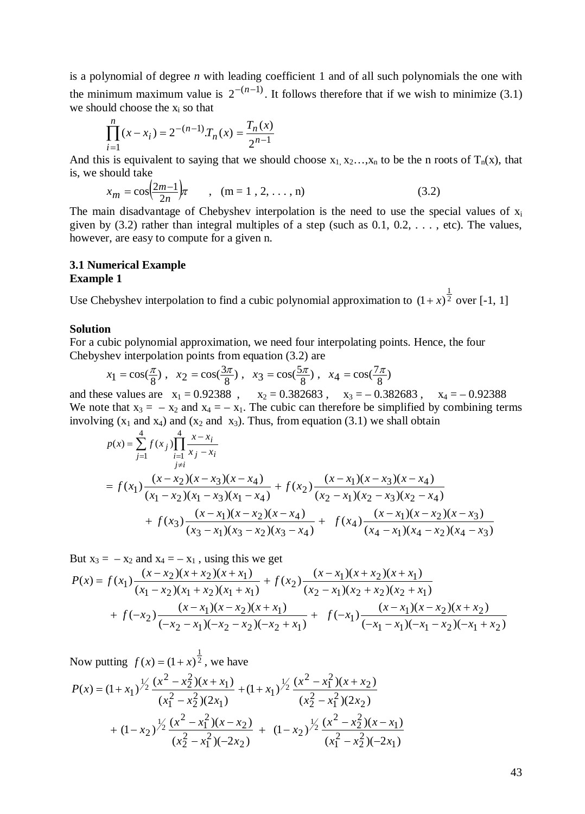is a polynomial of degree *n* with leading coefficient 1 and of all such polynomials the one with the minimum maximum value is  $2^{-(n-1)}$ . It follows therefore that if we wish to minimize (3.1) we should choose the  $x_i$  so that

$$
\prod_{i=1}^{n} (x - x_i) = 2^{-(n-1)} T_n(x) = \frac{T_n(x)}{2^{n-1}}
$$

And this is equivalent to saying that we should choose  $x_1, x_2, \ldots, x_n$  to be the n roots of  $T_n(x)$ , that is, we should take

$$
x_m = \cos\left(\frac{2m-1}{2n}\right)\pi \qquad , \quad (m = 1, 2, \dots, n)
$$
 (3.2)

The main disadvantage of Chebyshev interpolation is the need to use the special values of  $x_i$ given by (3.2) rather than integral multiples of a step (such as  $0.1, 0.2, \ldots$ , etc). The values, however, are easy to compute for a given n.

#### **3.1 Numerical Example Example 1**

Use Chebyshev interpolation to find a cubic polynomial approximation to  $(1 + x)^2$  $(1+x)^{\frac{1}{2}}$  over [-1, 1]

#### **Solution**

For a cubic polynomial approximation, we need four interpolating points. Hence, the four Chebyshev interpolation points from equation (3.2) are

$$
x_1 = \cos(\frac{\pi}{8}), x_2 = \cos(\frac{3\pi}{8}), x_3 = \cos(\frac{5\pi}{8}), x_4 = \cos(\frac{7\pi}{8})
$$

and these values are  $x_1 = 0.92388$ ,  $x_2 = 0.382683$ ,  $x_3 = -0.382683$ ,  $x_4 = -0.92388$ We note that  $x_3 = -x_2$  and  $x_4 = -x_1$ . The cubic can therefore be simplified by combining terms involving  $(x_1$  and  $x_4$ ) and  $(x_2$  and  $x_3)$ . Thus, from equation (3.1) we shall obtain

$$
p(x) = \sum_{j=1}^{4} f(x_j) \prod_{\substack{i=1 \ i \neq j}}^{4} \frac{x - x_i}{x_j - x_i}
$$
  
=  $f(x_1) \frac{(x - x_2)(x - x_3)(x - x_4)}{(x_1 - x_2)(x_1 - x_3)(x_1 - x_4)} + f(x_2) \frac{(x - x_1)(x - x_3)(x - x_4)}{(x_2 - x_1)(x_2 - x_3)(x_2 - x_4)}$   
+  $f(x_3) \frac{(x - x_1)(x - x_2)(x - x_4)}{(x_3 - x_1)(x_3 - x_2)(x_3 - x_4)} + f(x_4) \frac{(x - x_1)(x - x_2)(x - x_3)}{(x_4 - x_1)(x_4 - x_2)(x_4 - x_3)}$ 

But  $x_3 = -x_2$  and  $x_4 = -x_1$ , using this we get

$$
P(x) = f(x_1) \frac{(x - x_2)(x + x_2)(x + x_1)}{(x_1 - x_2)(x_1 + x_2)(x_1 + x_1)} + f(x_2) \frac{(x - x_1)(x + x_2)(x + x_1)}{(x_2 - x_1)(x_2 + x_2)(x_2 + x_1)} + f(-x_2) \frac{(x - x_1)(x - x_2)(x + x_1)}{(-x_2 - x_1)(-x_2 - x_2)(-x_2 + x_1)} + f(-x_1) \frac{(x - x_1)(x - x_2)(x + x_2)}{(-x_1 - x_1)(-x_1 - x_2)(-x_1 + x_2)}
$$

Now putting  $f(x) = (1 + x)^2$  $f(x) = (1+x)^{\frac{1}{2}}$ , we have  $(x_1^2 - x_2^2)(-2x_1)$  $(1-x_2)^{\frac{1}{2}} \frac{(x^2-x_2^2)(x-x_1)}{x_2^2}$  $(x_2^2 - x_1^2)(-2x_2)$  $(1-x_2)^{\frac{1}{2}} \frac{(x^2-x_1^2)(x-x_2)}{x_2^2}$  $(x_2^2 - x_1^2)(2x_2)$  $(1+x_1)^{\frac{1}{2}} \frac{(x^2-x_1^2)(x+x_2)}{x_1^2}$  $(x_1^2 - x_2^2)(2x_1)$  $(x) = (1 + x_1)^{\frac{1}{2}} \frac{(x^2 - x_2^2)(x + x_1)}{x_2^2}$ 2 2 2 1 2 2 2 2 2 2 1 2 2 2 2 1 2  $\frac{1}{2}\int_{2}^{\frac{1}{2}}\frac{(x^{2}-x_{1}^{2})(x-x_{2})}{x^{2}-x_{1}^{2}} + (1-x_{2})^{\frac{1}{2}}$ 2 2 1 2 2 2 2 1 2 1 1 2 2 2 1 1 2 2 2  $\frac{1}{2} \int_{2}^{1/2} \frac{(x^2 - x_2^2)(x + x_1)}{(x_2 - x_1)(x_1 + x_1)} dx + (1 + x_1)^{1/2}$  $x_1^2 - x_2^2$ )(-2x  $(x_2)^{\frac{1}{2}} \frac{(x^2 - x_2^2)(x - x_1^2)}{x_1^2}$  $x_2^2 - x_1^2$   $(-2x)$  $(x_2)^{\frac{1}{2}} \frac{(x^2 - x_1^2)(x - x_2)}{x_2^2}$  $x_2^2 - x_1^2$   $(2x_1)$  $(x^{2}-x_{1}^{2})(x+x_{1}^{2})$  $x_1^2 - x_2^2$ )(2x  $P(x) = (1 + x_1)^{\frac{1}{2}} \frac{(x^2 - x_2^2)(x + x_1)}{x_1^2}$  $+(1-x_2)^{\frac{1}{2}}\frac{(x^2-x_1^2)(x-x_2)}{(x_2^2-x_1^2)(-2x_2)} + (1-x_2)^{\frac{1}{2}}\frac{(x^2-x_2^2)(x-x_1^2)}{(x_1^2-x_2^2)(-2x_1^2)}$ −  $=(1+x_1)^{\frac{1}{2}}\frac{(x^2-x_2^2)(x+x_1)}{(x_1^2-x_2^2)(2x_1)}+(1+x_1)^{\frac{1}{2}}\frac{(x^2-x_1^2)(x+x_1)}{(x_2^2-x_1^2)(2x_1)}$ 

1

1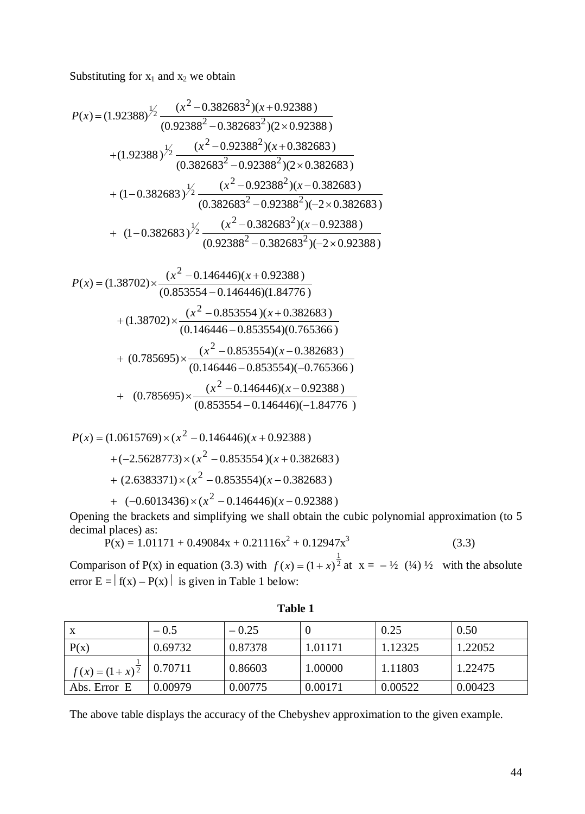Substituting for  $x_1$  and  $x_2$  we obtain

$$
P(x) = (1.92388)^{\frac{1}{2}} \frac{(x^2 - 0.382683^2)(x + 0.92388)}{(0.92388^2 - 0.382683^2)(2 \times 0.92388)}
$$
  
+  $(1.92388)^{\frac{1}{2}} \frac{(x^2 - 0.92388^2)(x + 0.382683)}{(0.382683^2 - 0.92388^2)(2 \times 0.382683)}$   
+  $(1 - 0.382683)^{\frac{1}{2}} \frac{(x^2 - 0.92388^2)(x - 0.382683)}{(0.382683^2 - 0.92388^2)(-2 \times 0.382683)}$   
+  $(1 - 0.382683)^{\frac{1}{2}} \frac{(x^2 - 0.382683^2)(x - 0.92388)}{(0.92388^2 - 0.382683^2)(-2 \times 0.92388)}$ 

$$
P(x) = (1.38702) \times \frac{(x^2 - 0.146446)(x + 0.92388)}{(0.853554 - 0.146446)(1.84776)}
$$
  
+ (1.38702)  $\times \frac{(x^2 - 0.853554)(x + 0.382683)}{(0.146446 - 0.853554)(0.765366)}$   
+ (0.785695)  $\times \frac{(x^2 - 0.853554)(x - 0.382683)}{(0.146446 - 0.853554)(-0.765366)}$   
+ (0.785695)  $\times \frac{(x^2 - 0.146446)(x - 0.92388)}{(0.853554 - 0.146446)(-1.84776)}$ 

$$
P(x) = (1.0615769) \times (x^2 - 0.146446)(x + 0.92388)
$$
  
+ (-2.5628773) \times (x<sup>2</sup> - 0.853554)(x + 0.382683)  
+ (2.6383371) \times (x<sup>2</sup> - 0.853554)(x - 0.382683)  
+ (-0.6013436) \times (x<sup>2</sup> - 0.146446)(x - 0.92388)

Opening the brackets and simplifying we shall obtain the cubic polynomial approximation (to 5 decimal places) as:

$$
\overline{P}(x) = 1.01171 + 0.49084x + 0.21116x^2 + 0.12947x^3 \tag{3.3}
$$

Comparison of P(x) in equation (3.3) with  $f(x) = (1 + x)^2$  $f(x) = (1+x)^{\frac{1}{2}}$  at  $x = -\frac{1}{2}$  (1/4)  $\frac{1}{2}$  with the absolute error  $E = |f(x) - P(x)|$  is given in Table 1 below:

|                    | $-0.5$  | $-0.25$ |         | 0.25    | 0.50    |
|--------------------|---------|---------|---------|---------|---------|
| P(x)               | 0.69732 | 0.87378 | 1.01171 | 1.12325 | 1.22052 |
| $f(x) = (1 + x)^2$ | 0.70711 | 0.86603 | 1.00000 | 1.11803 | 1.22475 |
| Abs. Error E       | 0.00979 | 0.00775 | 0.00171 | 0.00522 | 0.00423 |

**Table 1**

The above table displays the accuracy of the Chebyshev approximation to the given example.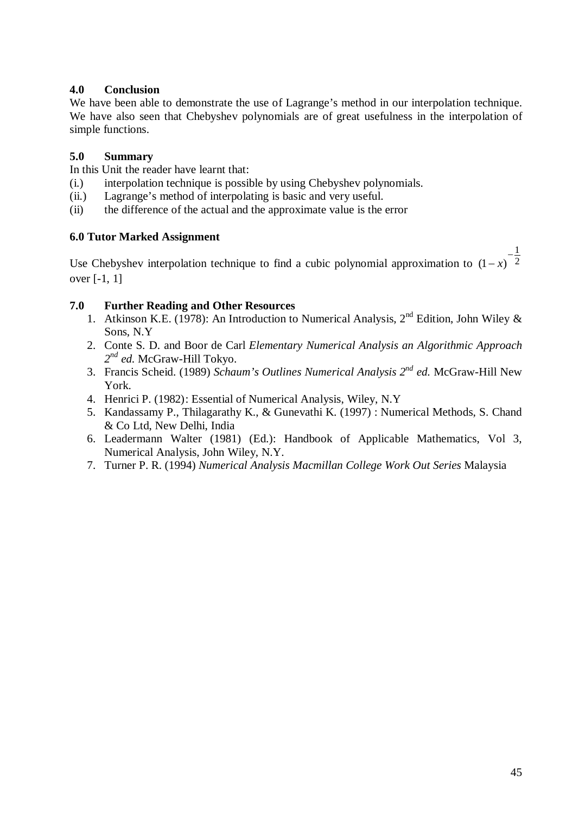## **4.0 Conclusion**

We have been able to demonstrate the use of Lagrange's method in our interpolation technique. We have also seen that Chebyshev polynomials are of great usefulness in the interpolation of simple functions.

## **5.0 Summary**

In this Unit the reader have learnt that:

- (i.) interpolation technique is possible by using Chebyshev polynomials.
- (ii.) Lagrange's method of interpolating is basic and very useful.
- (ii) the difference of the actual and the approximate value is the error

## **6.0 Tutor Marked Assignment**

Use Chebyshev interpolation technique to find a cubic polynomial approximation to  $(1-x)^{-2}$ 1  $(1 - x)$ − − *x* over [-1, 1]

## **7.0 Further Reading and Other Resources**

- 1. Atkinson K.E. (1978): An Introduction to Numerical Analysis,  $2<sup>nd</sup>$  Edition, John Wiley & Sons, N.Y
- 2. Conte S. D. and Boor de Carl *Elementary Numerical Analysis an Algorithmic Approach 2nd ed.* McGraw-Hill Tokyo.
- 3. Francis Scheid. (1989) *Schaum's Outlines Numerical Analysis 2nd ed.* McGraw-Hill New York.
- 4. Henrici P. (1982): Essential of Numerical Analysis, Wiley, N.Y
- 5. Kandassamy P., Thilagarathy K., & Gunevathi K. (1997) : Numerical Methods, S. Chand & Co Ltd, New Delhi, India
- 6. Leadermann Walter (1981) (Ed.): Handbook of Applicable Mathematics, Vol 3, Numerical Analysis, John Wiley, N.Y.
- 7. Turner P. R. (1994) *Numerical Analysis Macmillan College Work Out Series* Malaysia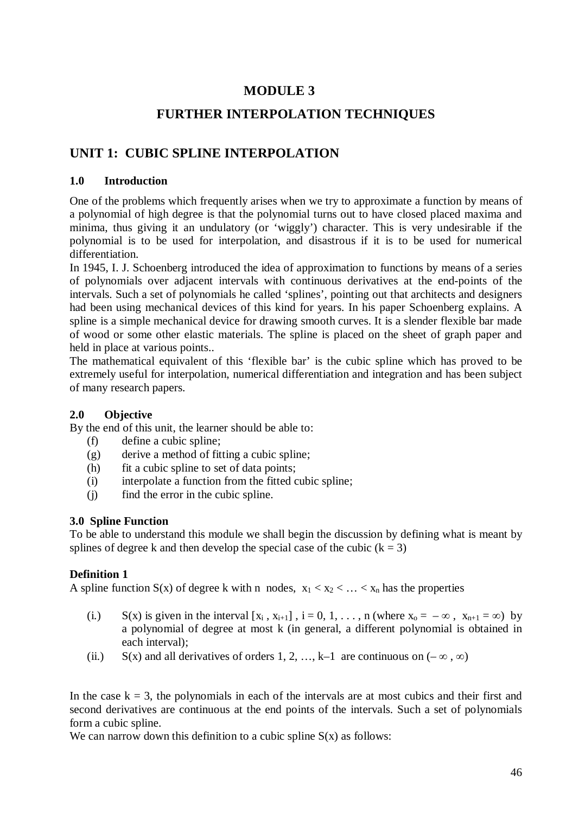## **MODULE 3**

## **FURTHER INTERPOLATION TECHNIQUES**

## **UNIT 1: CUBIC SPLINE INTERPOLATION**

## **1.0 Introduction**

One of the problems which frequently arises when we try to approximate a function by means of a polynomial of high degree is that the polynomial turns out to have closed placed maxima and minima, thus giving it an undulatory (or 'wiggly') character. This is very undesirable if the polynomial is to be used for interpolation, and disastrous if it is to be used for numerical differentiation.

In 1945, I. J. Schoenberg introduced the idea of approximation to functions by means of a series of polynomials over adjacent intervals with continuous derivatives at the end-points of the intervals. Such a set of polynomials he called 'splines', pointing out that architects and designers had been using mechanical devices of this kind for years. In his paper Schoenberg explains. A spline is a simple mechanical device for drawing smooth curves. It is a slender flexible bar made of wood or some other elastic materials. The spline is placed on the sheet of graph paper and held in place at various points..

The mathematical equivalent of this 'flexible bar' is the cubic spline which has proved to be extremely useful for interpolation, numerical differentiation and integration and has been subject of many research papers.

## **2.0 Objective**

By the end of this unit, the learner should be able to:

- (f) define a cubic spline;
- (g) derive a method of fitting a cubic spline;
- (h) fit a cubic spline to set of data points;
- (i) interpolate a function from the fitted cubic spline;
- (j) find the error in the cubic spline.

## **3.0 Spline Function**

To be able to understand this module we shall begin the discussion by defining what is meant by splines of degree k and then develop the special case of the cubic  $(k = 3)$ 

## **Definition 1**

A spline function  $S(x)$  of degree k with n nodes,  $x_1 < x_2 < ... < x_n$  has the properties

- (i.) S(x) is given in the interval  $[x_i, x_{i+1}]$ ,  $i = 0, 1, \ldots, n$  (where  $x_0 = -\infty$ ,  $x_{n+1} = \infty$ ) by a polynomial of degree at most k (in general, a different polynomial is obtained in each interval);
- (ii.) S(x) and all derivatives of orders 1, 2, …, k–1 are continuous on  $(-\infty, \infty)$

In the case  $k = 3$ , the polynomials in each of the intervals are at most cubics and their first and second derivatives are continuous at the end points of the intervals. Such a set of polynomials form a cubic spline.

We can narrow down this definition to a cubic spline  $S(x)$  as follows: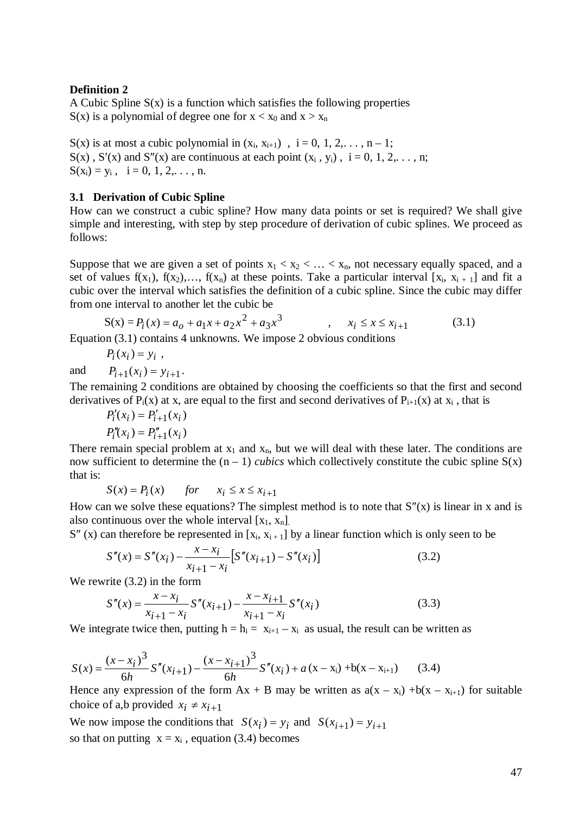#### **Definition 2**

A Cubic Spline  $S(x)$  is a function which satisfies the following properties  $S(x)$  is a polynomial of degree one for  $x < x_0$  and  $x > x_n$ 

 $S(x)$  is at most a cubic polynomial in  $(x_i, x_{i+1})$ ,  $i = 0, 1, 2, \ldots, n-1$ ;  $S(x)$ ,  $S'(x)$  and  $S''(x)$  are continuous at each point  $(x_i, y_i)$ ,  $i = 0, 1, 2, \ldots, n$ ;  $S(x_i) = y_i$ ,  $i = 0, 1, 2, \ldots, n$ .

#### **3.1 Derivation of Cubic Spline**

How can we construct a cubic spline? How many data points or set is required? We shall give simple and interesting, with step by step procedure of derivation of cubic splines. We proceed as follows:

Suppose that we are given a set of points  $x_1 < x_2 < ... < x_n$ , not necessary equally spaced, and a set of values  $f(x_1)$ ,  $f(x_2)$ ,...,  $f(x_n)$  at these points. Take a particular interval [x<sub>i</sub>, x<sub>i+1</sub>] and fit a cubic over the interval which satisfies the definition of a cubic spline. Since the cubic may differ from one interval to another let the cubic be

$$
S(x) = P_i(x) = a_0 + a_1 x + a_2 x^2 + a_3 x^3
$$
,  $x_i \le x \le x_{i+1}$  (3.1)

Equation (3.1) contains 4 unknowns. We impose 2 obvious conditions

 $P_i(x_i) = y_i$ ,

and  $P_{i+1}(x_i) = y_{i+1}$ .

The remaining 2 conditions are obtained by choosing the coefficients so that the first and second derivatives of  $P_i(x)$  at x, are equal to the first and second derivatives of  $P_{i+1}(x)$  at  $x_i$ , that is

$$
P'_{i}(x_{i}) = P'_{i+1}(x_{i})
$$
  

$$
P''_{i}(x_{i}) = P''_{i+1}(x_{i})
$$

There remain special problem at  $x_1$  and  $x_n$ , but we will deal with these later. The conditions are now sufficient to determine the  $(n - 1)$  *cubics* which collectively constitute the cubic spline  $S(x)$ that is:

 $S(x) = P_i(x)$  *for*  $x_i \leq x \leq x_{i+1}$ 

How can we solve these equations? The simplest method is to note that  $S''(x)$  is linear in x and is also continuous over the whole interval  $[x_1, x_n]$ .

S" (x) can therefore be represented in  $[x_i, x_{i+1}]$  by a linear function which is only seen to be

$$
S''(x) = S''(x_i) - \frac{x - x_i}{x_{i+1} - x_i} \left[ S''(x_{i+1}) - S''(x_i) \right]
$$
(3.2)

We rewrite (3.2) in the form

$$
S''(x) = \frac{x - x_i}{x_{i+1} - x_i} S''(x_{i+1}) - \frac{x - x_{i+1}}{x_{i+1} - x_i} S''(x_i)
$$
(3.3)

We integrate twice then, putting  $h = h_i = x_{i+1} - x_i$  as usual, the result can be written as

$$
S(x) = \frac{(x - x_i)^3}{6h} S''(x_{i+1}) - \frac{(x - x_{i+1})^3}{6h} S''(x_i) + a(x - x_i) + b(x - x_{i+1})
$$
 (3.4)

Hence any expression of the form  $Ax + B$  may be written as  $a(x - x_i) + b(x - x_{i+1})$  for suitable choice of a,b provided  $x_i \neq x_{i+1}$ 

We now impose the conditions that  $S(x_i) = y_i$  and  $S(x_{i+1}) = y_{i+1}$ so that on putting  $x = x_i$ , equation (3.4) becomes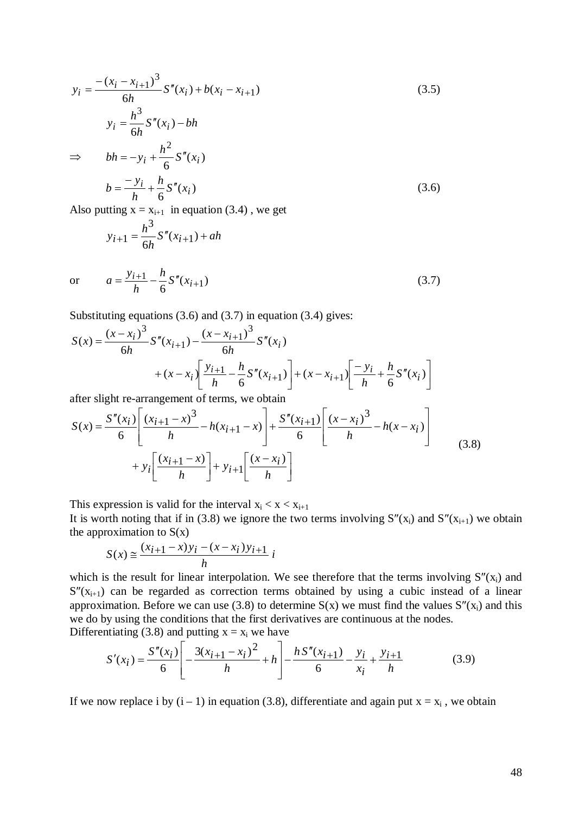$$
y_i = \frac{-(x_i - x_{i+1})^3}{6h} S''(x_i) + b(x_i - x_{i+1})
$$
  
\n
$$
y_i = \frac{h^3}{6h} S''(x_i) - bh
$$
  
\n
$$
\Rightarrow bh = -y_i + \frac{h^2}{6} S''(x_i)
$$
  
\n
$$
b = \frac{-y_i}{h} + \frac{h}{6} S''(x_i)
$$
  
\n(3.6)

Also putting  $x = x_{i+1}$  in equation (3.4), we get

$$
y_{i+1} = \frac{h^3}{6h} S''(x_{i+1}) + ah
$$

*h*

or  $a = \frac{y_{i+1}}{h} - \frac{h}{6} S''(x_{i+1})$ 

Substituting equations (3.6) and (3.7) in equation (3.4) gives:

$$
S(x) = \frac{(x - x_i)^3}{6h} S''(x_{i+1}) - \frac{(x - x_{i+1})^3}{6h} S''(x_i)
$$
  
+  $(x - x_i) \left[ \frac{y_{i+1}}{h} - \frac{h}{6} S''(x_{i+1}) \right] + (x - x_{i+1}) \left[ \frac{-y_i}{h} + \frac{h}{6} S''(x_i) \right]$ 

 $a = \frac{y_{i+1}}{1} - \frac{h}{6} S''(x_{i+1})$  (3.7)

after slight re-arrangement of terms, we obtain

$$
S(x) = \frac{S''(x_i)}{6} \left[ \frac{(x_{i+1} - x)^3}{h} - h(x_{i+1} - x) \right] + \frac{S''(x_{i+1})}{6} \left[ \frac{(x - x_i)^3}{h} - h(x - x_i) \right]
$$
  
+  $y_i \left[ \frac{(x_{i+1} - x)}{h} \right] + y_{i+1} \left[ \frac{(x - x_i)}{h} \right]$  (3.8)

This expression is valid for the interval  $x_i < x < x_{i+1}$ 

It is worth noting that if in (3.8) we ignore the two terms involving  $S''(x_i)$  and  $S''(x_{i+1})$  we obtain the approximation to  $S(x)$ 

$$
S(x) \cong \frac{(x_{i+1} - x)y_i - (x - x_i)y_{i+1}}{h} i
$$

which is the result for linear interpolation. We see therefore that the terms involving  $S''(x_i)$  and  $S''(x_{i+1})$  can be regarded as correction terms obtained by using a cubic instead of a linear approximation. Before we can use (3.8) to determine  $S(x)$  we must find the values  $S''(x_i)$  and this we do by using the conditions that the first derivatives are continuous at the nodes. Differentiating (3.8) and putting  $x = x_i$  we have

$$
S'(x_i) = \frac{S''(x_i)}{6} \left[ -\frac{3(x_{i+1} - x_i)^2}{h} + h \right] - \frac{h S''(x_{i+1})}{6} - \frac{y_i}{x_i} + \frac{y_{i+1}}{h} \tag{3.9}
$$

If we now replace i by  $(i - 1)$  in equation (3.8), differentiate and again put  $x = x_i$ , we obtain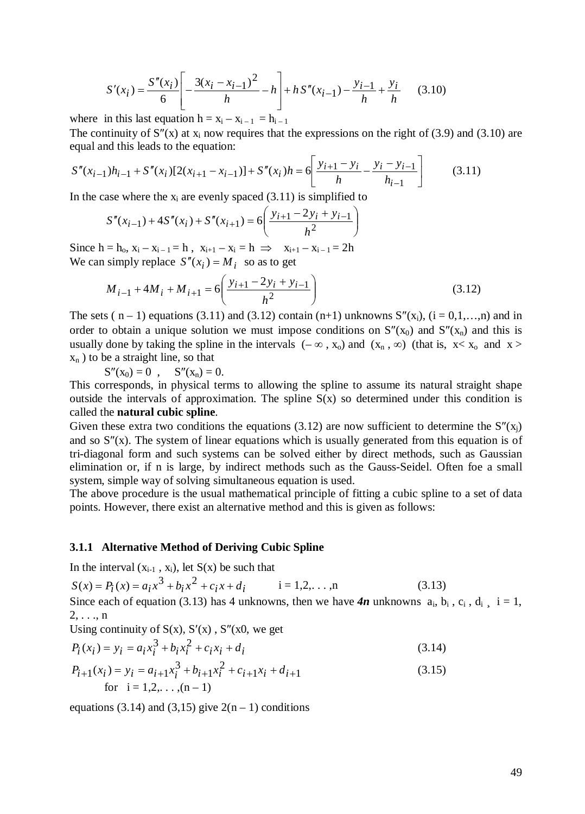$$
S'(x_i) = \frac{S''(x_i)}{6} \left[ -\frac{3(x_i - x_{i-1})^2}{h} - h \right] + h S''(x_{i-1}) - \frac{y_{i-1}}{h} + \frac{y_i}{h} \tag{3.10}
$$

where in this last equation  $h = x_i - x_{i-1} = h_{i-1}$ 

The continuity of  $S''(x)$  at  $x_i$  now requires that the expressions on the right of (3.9) and (3.10) are equal and this leads to the equation:

$$
S''(x_{i-1})h_{i-1} + S''(x_i)[2(x_{i+1} - x_{i-1})] + S''(x_i)h = 6\left[ \frac{y_{i+1} - y_i}{h} - \frac{y_i - y_{i-1}}{h_{i-1}} \right]
$$
(3.11)

In the case where the  $x_i$  are evenly spaced  $(3.11)$  is simplified to

$$
S''(x_{i-1}) + 4S''(x_i) + S''(x_{i+1}) = 6\left(\frac{y_{i+1} - 2y_i + y_{i-1}}{h^2}\right)
$$

Since  $h = h_0$ ,  $x_i - x_{i-1} = h$ ,  $x_{i+1} - x_i = h \implies x_{i+1} - x_{i-1} = 2h$ We can simply replace  $S''(x_i) = M_i$  so as to get

$$
M_{i-1} + 4M_i + M_{i+1} = 6\left(\frac{y_{i+1} - 2y_i + y_{i-1}}{h^2}\right)
$$
 (3.12)

The sets (  $n-1$ ) equations (3.11) and (3.12) contain (n+1) unknowns  $S''(x_i)$ , ( $i = 0,1,...,n$ ) and in order to obtain a unique solution we must impose conditions on  $S''(x_0)$  and  $S''(x_n)$  and this is usually done by taking the spline in the intervals  $(-\infty, x_0)$  and  $(x_n, \infty)$  (that is,  $x < x_0$  and  $x >$  $x_n$ ) to be a straight line, so that

$$
S''(x_0) = 0 \ , \quad S''(x_n) = 0.
$$

This corresponds, in physical terms to allowing the spline to assume its natural straight shape outside the intervals of approximation. The spline  $S(x)$  so determined under this condition is called the **natural cubic spline**.

Given these extra two conditions the equations (3.12) are now sufficient to determine the  $S''(x_i)$ and so S″(x). The system of linear equations which is usually generated from this equation is of tri-diagonal form and such systems can be solved either by direct methods, such as Gaussian elimination or, if n is large, by indirect methods such as the Gauss-Seidel. Often foe a small system, simple way of solving simultaneous equation is used.

The above procedure is the usual mathematical principle of fitting a cubic spline to a set of data points. However, there exist an alternative method and this is given as follows:

#### **3.1.1 Alternative Method of Deriving Cubic Spline**

In the interval  $(x_{i-1}, x_i)$ , let  $S(x)$  be such that

 $S(x) = P_i(x) = a_i x^3 + b_i x^2 + c_i x + d_i$   $i = 1, 2, \dots, n$  (3.13) Since each of equation (3.13) has 4 unknowns, then we have **4n** unknowns  $a_i$ ,  $b_i$ ,  $c_i$ ,  $d_i$ ,  $i = 1$ ,  $2, \ldots, n$ 

Using continuity of  $S(x)$ ,  $S'(x)$ ,  $S''(x0)$ , we get

$$
P_i(x_i) = y_i = a_i x_i^3 + b_i x_i^2 + c_i x_i + d_i
$$
\n(3.14)

$$
P_{i+1}(x_i) = y_i = a_{i+1}x_i^3 + b_{i+1}x_i^2 + c_{i+1}x_i + d_{i+1}
$$
  
for  $i = 1, 2, ..., (n-1)$  (3.15)

equations (3.14) and (3,15) give  $2(n - 1)$  conditions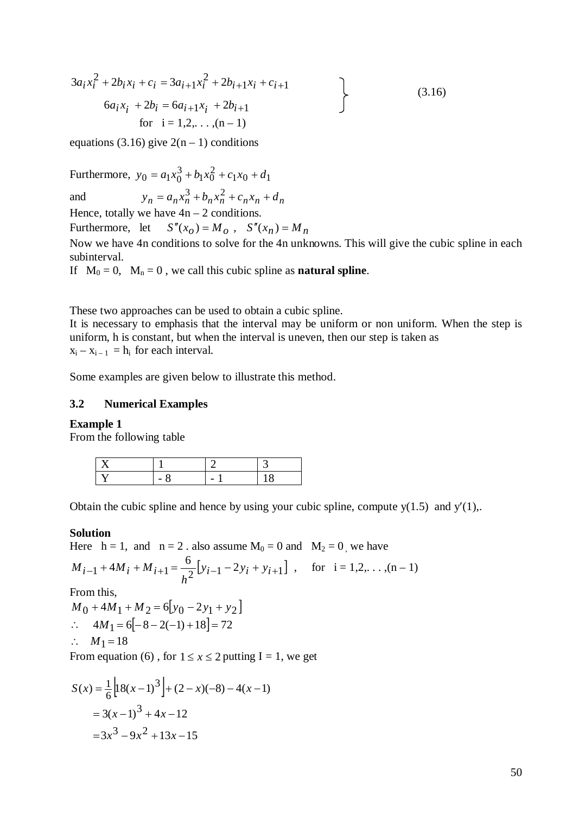$$
3a_i x_i^2 + 2b_i x_i + c_i = 3a_{i+1} x_i^2 + 2b_{i+1} x_i + c_{i+1}
$$
  
\n
$$
6a_i x_i + 2b_i = 6a_{i+1} x_i + 2b_{i+1}
$$
  
\nfor i = 1,2,...,(n-1) (3.16)

equations (3.16) give  $2(n - 1)$  conditions

Furthermore,  $y_0 = a_1 x_0^3 + b_1 x_0^2 + c_1 x_0 + d_1$  $1^{\mathcal{X}}0$  $y_0 = a_1 x_0^3 + b_1 x_0^2 + c_1 x_0 + d$ and  $y_n = a_n x_n^3 + b_n x_n^2 + c_n x_n + d_n$ Hence, totally we have  $4n - 2$  conditions.

Furthermore, let  $S''(x_0) = M_o$ ,  $S''(x_n) = M_n$ 

Now we have 4n conditions to solve for the 4n unknowns. This will give the cubic spline in each subinterval.

If  $M_0 = 0$ ,  $M_n = 0$ , we call this cubic spline as **natural spline**.

These two approaches can be used to obtain a cubic spline.

It is necessary to emphasis that the interval may be uniform or non uniform. When the step is uniform, h is constant, but when the interval is uneven, then our step is taken as  $x_i - x_{i-1} = h_i$  for each interval.

Some examples are given below to illustrate this method.

#### **3.2 Numerical Examples**

#### **Example 1**

From the following table

| - |  |
|---|--|

Obtain the cubic spline and hence by using your cubic spline, compute  $y(1.5)$  and  $y'(1)$ ,.

#### **Solution**

Here  $h = 1$ , and  $n = 2$  also assume  $M_0 = 0$  and  $M_2 = 0$ , we have

$$
M_{i-1} + 4M_i + M_{i+1} = \frac{6}{h^2} \left[ y_{i-1} - 2y_i + y_{i+1} \right], \text{ for } i = 1, 2, \dots, (n-1)
$$

From this,

$$
M_0 + 4M_1 + M_2 = 6[y_0 - 2y_1 + y_2]
$$
  
∴ 
$$
4M_1 = 6[-8 - 2(-1) + 18] = 72
$$
  
∴ 
$$
M_1 = 18
$$

From equation (6), for  $1 \le x \le 2$  putting  $I = 1$ , we get

$$
S(x) = \frac{1}{6} \left[ 18(x-1)^3 \right] + (2-x)(-8) - 4(x-1)
$$
  
= 3(x-1)<sup>3</sup> + 4x - 12  
= 3x<sup>3</sup> - 9x<sup>2</sup> + 13x - 15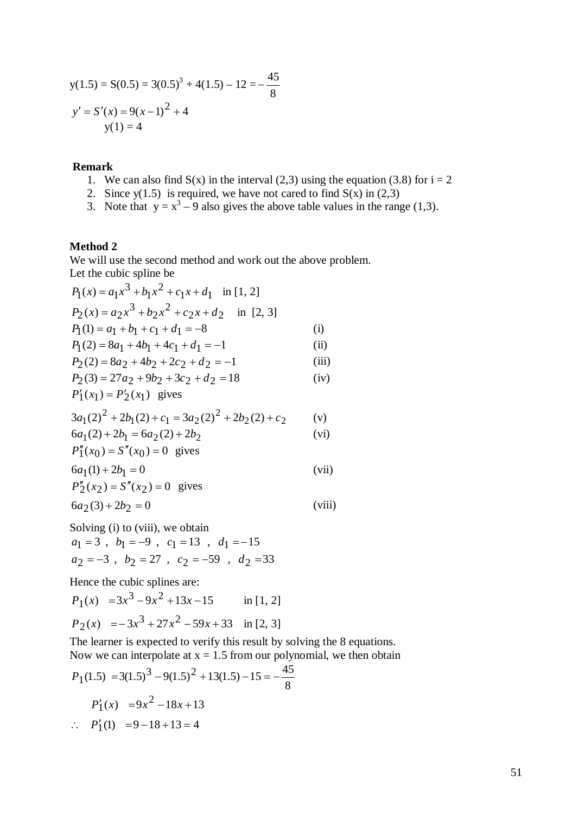$$
y(1.5) = S(0.5) = 3(0.5)^3 + 4(1.5) - 12 = -\frac{45}{8}
$$
  

$$
y' = S'(x) = 9(x-1)^2 + 4
$$
  

$$
y(1) = 4
$$

#### **Remark**

- 1. We can also find  $S(x)$  in the interval (2,3) using the equation (3.8) for  $i = 2$
- 2. Since  $y(1.5)$  is required, we have not cared to find  $S(x)$  in (2,3)
- 3. Note that  $y = x^3 9$  also gives the above table values in the range (1,3).

#### **Method 2**

We will use the second method and work out the above problem. Let the cubic spline be  $\gamma$ 

$$
P_1(x) = a_1x^3 + b_1x^2 + c_1x + d_1 \text{ in } [1, 2]
$$
  
\n
$$
P_2(x) = a_2x^3 + b_2x^2 + c_2x + d_2 \text{ in } [2, 3]
$$
  
\n
$$
P_1(1) = a_1 + b_1 + c_1 + d_1 = -8
$$
  
\n
$$
P_1(2) = 8a_1 + 4b_1 + 4c_1 + d_1 = -1
$$
  
\n
$$
P_2(2) = 8a_2 + 4b_2 + 2c_2 + d_2 = -1
$$
  
\n
$$
P_2(3) = 27a_2 + 9b_2 + 3c_2 + d_2 = 18
$$
  
\n
$$
P'_1(x_1) = P'_2(x_1)
$$
 gives  
\n
$$
3a_1(2)^2 + 2b_1(2) + c_1 = 3a_2(2)^2 + 2b_2(2) + c_2
$$
  
\n
$$
6a_1(2) + 2b_1 = 6a_2(2) + 2b_2
$$
  
\n
$$
P''_1(x_0) = S''(x_0) = 0
$$
 gives  
\n
$$
6a_1(1) + 2b_1 = 0
$$
  
\n
$$
P''_2(x_2) = S''(x_2) = 0
$$
 gives  
\n
$$
6a_2(3) + 2b_2 = 0
$$
  
\n
$$
(vii)
$$

Solving (i) to (viii), we obtain  $a_2 = -3$ ,  $b_2 = 27$ ,  $c_2 = -59$ ,  $d_2 = 33$  $a_1 = 3$ ,  $b_1 = -9$ ,  $c_1 = 13$ ,  $d_1 = -15$ 

Hence the cubic splines are:

$$
P_1(x) = 3x^3 - 9x^2 + 13x - 15
$$
 in [1, 2]  

$$
P_2(x) = -3x^3 + 27x^2 - 59x + 33
$$
 in [2, 3]

The learner is expected to verify this result by solving the 8 equations. Now we can interpolate at  $x = 1.5$  from our polynomial, we then obtain

$$
P_1(1.5) = 3(1.5)^3 - 9(1.5)^2 + 13(1.5) - 15 = -\frac{45}{8}
$$
  
\n
$$
P'_1(x) = 9x^2 - 18x + 13
$$
  
\n∴ 
$$
P'_1(1) = 9 - 18 + 13 = 4
$$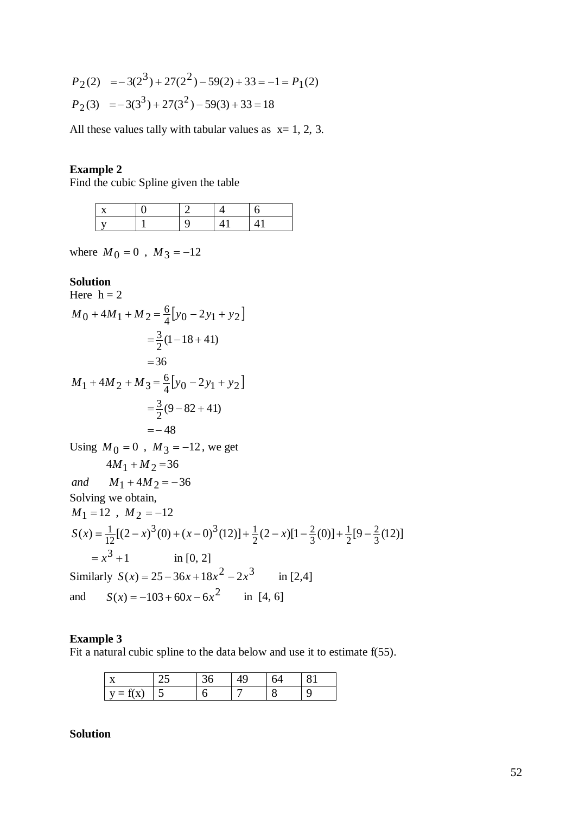$$
P_2(2) = -3(2^3) + 27(2^2) - 59(2) + 33 = -1 = P_1(2)
$$
  
\n
$$
P_2(3) = -3(3^3) + 27(3^2) - 59(3) + 33 = 18
$$

All these values tally with tabular values as  $x=1, 2, 3$ .

## **Example 2**

Find the cubic Spline given the table

where  $M_0 = 0$ ,  $M_3 = -12$ 

### **Solution**

Here 
$$
h = 2
$$
  
\n
$$
M_0 + 4M_1 + M_2 = \frac{6}{4} [y_0 - 2y_1 + y_2]
$$
\n
$$
= \frac{3}{2} (1 - 18 + 41)
$$
\n
$$
= 36
$$
\n
$$
M_1 + 4M_2 + M_3 = \frac{6}{4} [y_0 - 2y_1 + y_2]
$$
\n
$$
= \frac{3}{2} (9 - 82 + 41)
$$
\n
$$
= -48
$$
\nUsing  $M_0 = 0$ ,  $M_3 = -12$ , we get\n
$$
4M_1 + M_2 = 36
$$
\nand\n
$$
M_1 + 4M_2 = -36
$$
\nSolving we obtain,\n
$$
M_1 = 12
$$
,  $M_2 = -12$ \n
$$
S(x) = \frac{1}{12} [(2 - x)^3 (0) + (x - 0)^3 (12)] + \frac{1}{2} (2 - x) [1 - \frac{2}{3} (0)] + \frac{1}{2} [9 - \frac{2}{3} (12)]
$$
\n
$$
= x^3 + 1
$$
\nin [0, 2]\nSimilarly  $S(x) = 25 - 36x + 18x^2 - 2x^3$  in [2, 4]\nand\n
$$
S(x) = -103 + 60x - 6x^2
$$
\nin [4, 6]

#### **Example 3**

Fit a natural cubic spline to the data below and use it to estimate f(55).

| $u = t(x)$ |  |  |  |
|------------|--|--|--|

#### **Solution**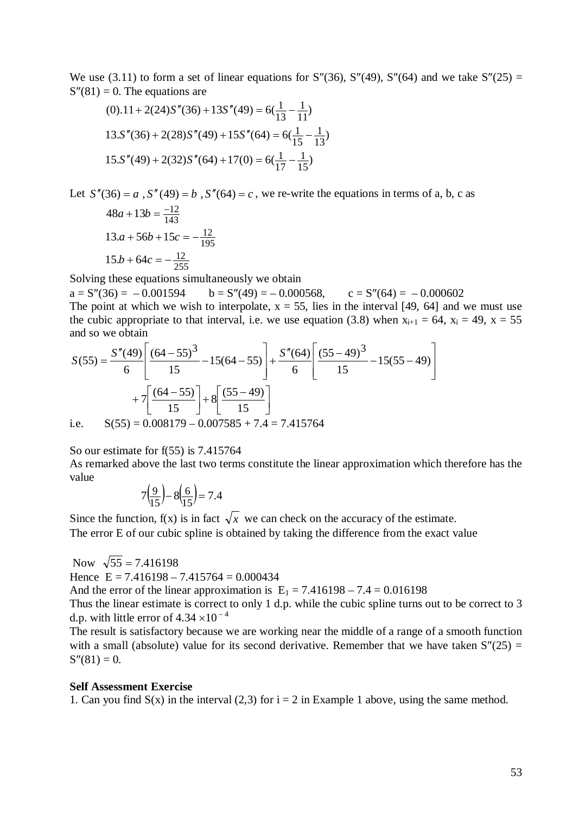We use (3.11) to form a set of linear equations for  $S''(36)$ ,  $S''(49)$ ,  $S''(64)$  and we take  $S''(25)$  =  $S''(81) = 0$ . The equations are

$$
(0) \cdot 11 + 2(24)S''(36) + 13S''(49) = 6(\frac{1}{13} - \frac{1}{11})
$$
  

$$
13.S''(36) + 2(28)S''(49) + 15S''(64) = 6(\frac{1}{15} - \frac{1}{13})
$$
  

$$
15.S''(49) + 2(32)S''(64) + 17(0) = 6(\frac{1}{17} - \frac{1}{15})
$$

Let  $S''(36) = a$ ,  $S''(49) = b$ ,  $S''(64) = c$ , we re-write the equations in terms of a, b, c as  $48a + 13b = \frac{-12}{143}$  $13.a + 56b + 15c = -\frac{12}{195}$ 

$$
15.b + 64c = -\frac{12}{255}
$$

Solving these equations simultaneously we obtain

 $a = S''(36) = -0.001594$   $b = S''(49) = -0.000568$ ,  $c = S''(64) = -0.000602$ The point at which we wish to interpolate,  $x = 55$ , lies in the interval [49, 64] and we must use the cubic appropriate to that interval, i.e. we use equation (3.8) when  $x_{i+1} = 64$ ,  $x_i = 49$ ,  $x = 55$ and so we obtain

$$
S(55) = \frac{S''(49)}{6} \left[ \frac{(64 - 55)^3}{15} - 15(64 - 55) \right] + \frac{S''(64)}{6} \left[ \frac{(55 - 49)^3}{15} - 15(55 - 49) \right]
$$

$$
+ 7 \left[ \frac{(64 - 55)}{15} \right] + 8 \left[ \frac{(55 - 49)}{15} \right]
$$
  
i.e.  $S(55) = 0.008179 - 0.007585 + 7.4 = 7.415764$ 

So our estimate for f(55) is 7.415764

As remarked above the last two terms constitute the linear approximation which therefore has the value

$$
7\left(\frac{9}{15}\right) - 8\left(\frac{6}{15}\right) = 7.4
$$

Since the function,  $f(x)$  is in fact  $\sqrt{x}$  we can check on the accuracy of the estimate. The error E of our cubic spline is obtained by taking the difference from the exact value

Now  $\sqrt{55} = 7.416198$ 

Hence  $E = 7.416198 - 7.415764 = 0.000434$ 

And the error of the linear approximation is  $E_1 = 7.416198 - 7.4 = 0.016198$ 

Thus the linear estimate is correct to only 1 d.p. while the cubic spline turns out to be correct to 3 d.p. with little error of  $4.34 \times 10^{-4}$ 

The result is satisfactory because we are working near the middle of a range of a smooth function with a small (absolute) value for its second derivative. Remember that we have taken  $S''(25) =$  $S''(81) = 0.$ 

#### **Self Assessment Exercise**

1. Can you find  $S(x)$  in the interval (2,3) for  $i = 2$  in Example 1 above, using the same method.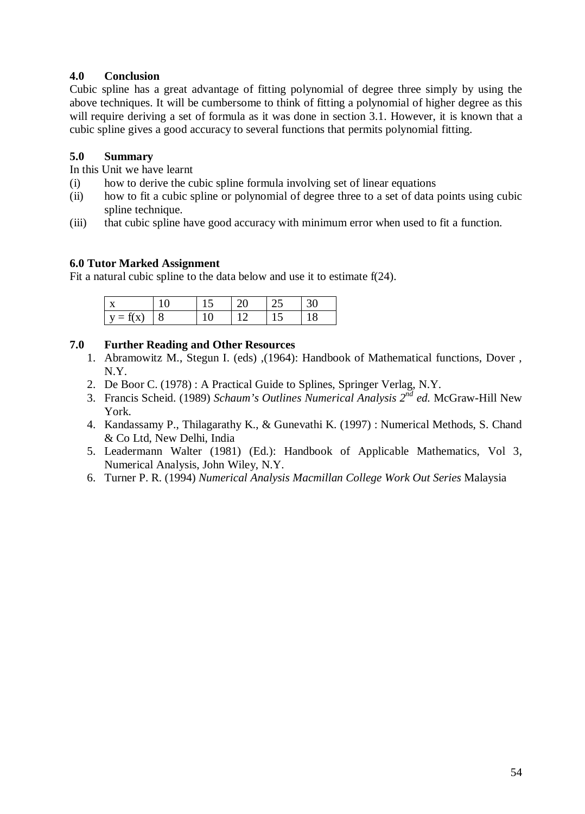## **4.0 Conclusion**

Cubic spline has a great advantage of fitting polynomial of degree three simply by using the above techniques. It will be cumbersome to think of fitting a polynomial of higher degree as this will require deriving a set of formula as it was done in section 3.1. However, it is known that a cubic spline gives a good accuracy to several functions that permits polynomial fitting.

### **5.0 Summary**

In this Unit we have learnt

- (i) how to derive the cubic spline formula involving set of linear equations
- (ii) how to fit a cubic spline or polynomial of degree three to a set of data points using cubic spline technique.
- (iii) that cubic spline have good accuracy with minimum error when used to fit a function.

### **6.0 Tutor Marked Assignment**

Fit a natural cubic spline to the data below and use it to estimate f(24).

| $\mathbf{X}$   | $\blacksquare$ | T 20 | T 25.                    | -30 |
|----------------|----------------|------|--------------------------|-----|
| $y = f(x)   8$ |                | 12   | $\overline{\phantom{a}}$ |     |

## **7.0 Further Reading and Other Resources**

- 1. Abramowitz M., Stegun I. (eds) ,(1964): Handbook of Mathematical functions, Dover , N.Y.
- 2. De Boor C. (1978) : A Practical Guide to Splines, Springer Verlag, N.Y.
- 3. Francis Scheid. (1989) *Schaum's Outlines Numerical Analysis 2nd ed.* McGraw-Hill New York.
- 4. Kandassamy P., Thilagarathy K., & Gunevathi K. (1997) : Numerical Methods, S. Chand & Co Ltd, New Delhi, India
- 5. Leadermann Walter (1981) (Ed.): Handbook of Applicable Mathematics, Vol 3, Numerical Analysis, John Wiley, N.Y.
- 6. Turner P. R. (1994) *Numerical Analysis Macmillan College Work Out Series* Malaysia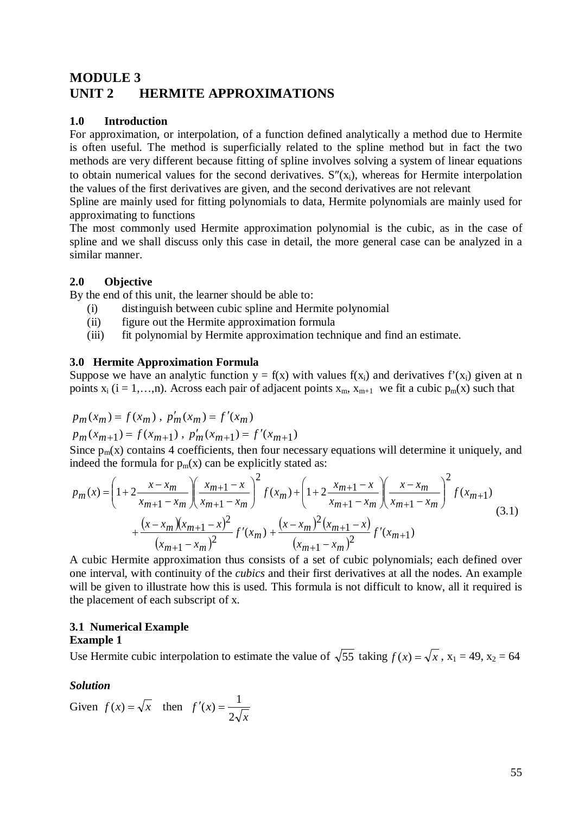## **MODULE 3 UNIT 2 HERMITE APPROXIMATIONS**

### **1.0 Introduction**

For approximation, or interpolation, of a function defined analytically a method due to Hermite is often useful. The method is superficially related to the spline method but in fact the two methods are very different because fitting of spline involves solving a system of linear equations to obtain numerical values for the second derivatives.  $S''(x_i)$ , whereas for Hermite interpolation the values of the first derivatives are given, and the second derivatives are not relevant

Spline are mainly used for fitting polynomials to data, Hermite polynomials are mainly used for approximating to functions

The most commonly used Hermite approximation polynomial is the cubic, as in the case of spline and we shall discuss only this case in detail, the more general case can be analyzed in a similar manner.

## **2.0 Objective**

By the end of this unit, the learner should be able to:

- (i) distinguish between cubic spline and Hermite polynomial
- (ii) figure out the Hermite approximation formula
- (iii) fit polynomial by Hermite approximation technique and find an estimate.

### **3.0 Hermite Approximation Formula**

Suppose we have an analytic function  $y = f(x)$  with values  $f(x_i)$  and derivatives  $f'(x_i)$  given at n points  $x_i$  (i = 1,…,n). Across each pair of adjacent points  $x_m$ ,  $x_{m+1}$  we fit a cubic  $p_m(x)$  such that

$$
p_m(x_m) = f(x_m), p'_m(x_m) = f'(x_m)
$$
  

$$
p_m(x_{m+1}) = f(x_{m+1}), p'_m(x_{m+1}) = f'(x_{m+1})
$$

Since  $p_m(x)$  contains 4 coefficients, then four necessary equations will determine it uniquely, and indeed the formula for  $p_m(x)$  can be explicitly stated as:

$$
p_m(x) = \left(1 + 2\frac{x - x_m}{x_{m+1} - x_m}\right) \left(\frac{x_{m+1} - x}{x_{m+1} - x_m}\right)^2 f(x_m) + \left(1 + 2\frac{x_{m+1} - x}{x_{m+1} - x_m}\right) \left(\frac{x - x_m}{x_{m+1} - x_m}\right)^2 f(x_{m+1}) + \frac{(x - x_m)(x_{m+1} - x)^2}{(x_{m+1} - x_m)^2} f'(x_m) + \frac{(x - x_m)^2 (x_{m+1} - x)}{(x_{m+1} - x_m)^2} f'(x_{m+1})
$$
\n(3.1)

A cubic Hermite approximation thus consists of a set of cubic polynomials; each defined over one interval, with continuity of the *cubics* and their first derivatives at all the nodes. An example will be given to illustrate how this is used. This formula is not difficult to know, all it required is the placement of each subscript of x.

## **3.1 Numerical Example**

## **Example 1**

Use Hermite cubic interpolation to estimate the value of  $\sqrt{55}$  taking  $f(x) = \sqrt{x}$ ,  $x_1 = 49$ ,  $x_2 = 64$ 

## *Solution*

Given 
$$
f(x) = \sqrt{x}
$$
 then  $f'(x) = \frac{1}{2\sqrt{x}}$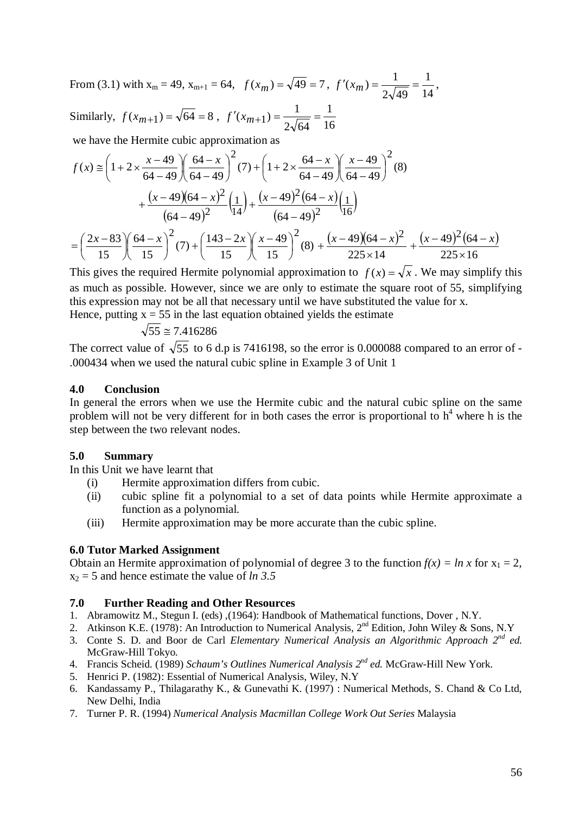From (3.1) with  $x_m = 49$ ,  $x_{m+1} = 64$ ,  $f(x_m) = \sqrt{49} = 7$ ,  $f'(x_m) = \frac{1}{2\sqrt{49}} = \frac{1}{14}$  $f'(x_m) = \frac{1}{2\sqrt{49}} = \frac{1}{14},$ Similarly,  $f(x_{m+1}) = \sqrt{64} = 8$ ,  $f'(x_{m+1}) = \frac{1}{2\sqrt{64}} = \frac{1}{16}$  $f(x_{m+1}) = \sqrt{64} = 8$ ,  $f'(x_{m+1}) = \frac{1}{2\sqrt{64}} =$ 

we have the Hermite cubic approximation as

$$
f(x) \approx \left(1 + 2 \times \frac{x - 49}{64 - 49}\right) \left(\frac{64 - x}{64 - 49}\right)^2 (7) + \left(1 + 2 \times \frac{64 - x}{64 - 49}\right) \left(\frac{x - 49}{64 - 49}\right)^2 (8) + \frac{(x - 49)(64 - x)^2}{(64 - 49)^2} \left(\frac{1}{14}\right) + \frac{(x - 49)^2 (64 - x)}{(64 - 49)^2} \left(\frac{1}{16}\right) = \left(\frac{2x - 83}{15}\right) \left(\frac{64 - x}{15}\right)^2 (7) + \left(\frac{143 - 2x}{15}\right) \left(\frac{x - 49}{15}\right)^2 (8) + \frac{(x - 49)(64 - x)^2}{225 \times 14} + \frac{(x - 49)^2 (64 - x)}{225 \times 16}
$$

This gives the required Hermite polynomial approximation to  $f(x) = \sqrt{x}$ . We may simplify this as much as possible. However, since we are only to estimate the square root of 55, simplifying this expression may not be all that necessary until we have substituted the value for x. Hence, putting  $x = 55$  in the last equation obtained yields the estimate

$$
\sqrt{55} \cong 7.416286
$$

The correct value of  $\sqrt{55}$  to 6 d.p is 7416198, so the error is 0.000088 compared to an error of -.000434 when we used the natural cubic spline in Example 3 of Unit 1

#### **4.0 Conclusion**

In general the errors when we use the Hermite cubic and the natural cubic spline on the same problem will not be very different for in both cases the error is proportional to  $h^4$  where h is the step between the two relevant nodes.

#### **5.0 Summary**

In this Unit we have learnt that

- (i) Hermite approximation differs from cubic.
- (ii) cubic spline fit a polynomial to a set of data points while Hermite approximate a function as a polynomial.
- (iii) Hermite approximation may be more accurate than the cubic spline.

#### **6.0 Tutor Marked Assignment**

Obtain an Hermite approximation of polynomial of degree 3 to the function  $f(x) = \ln x$  for  $x_1 = 2$ ,  $x_2 = 5$  and hence estimate the value of *ln 3.5* 

#### **7.0 Further Reading and Other Resources**

- 1. Abramowitz M., Stegun I. (eds) ,(1964): Handbook of Mathematical functions, Dover , N.Y.
- 2. Atkinson K.E. (1978): An Introduction to Numerical Analysis, 2<sup>nd</sup> Edition, John Wiley & Sons, N.Y
- 3. Conte S. D. and Boor de Carl *Elementary Numerical Analysis an Algorithmic Approach 2nd ed.* McGraw-Hill Tokyo.
- 4. Francis Scheid. (1989) *Schaum's Outlines Numerical Analysis 2nd ed.* McGraw-Hill New York.
- 5. Henrici P. (1982): Essential of Numerical Analysis, Wiley, N.Y
- 6. Kandassamy P., Thilagarathy K., & Gunevathi K. (1997) : Numerical Methods, S. Chand & Co Ltd, New Delhi, India
- 7. Turner P. R. (1994) *Numerical Analysis Macmillan College Work Out Series* Malaysia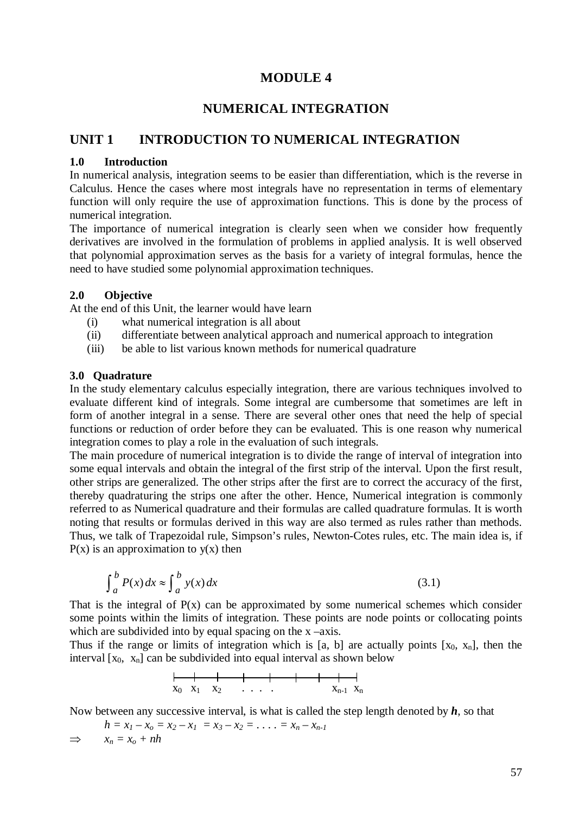## **MODULE 4**

## **NUMERICAL INTEGRATION**

## **UNIT 1 INTRODUCTION TO NUMERICAL INTEGRATION**

#### **1.0 Introduction**

In numerical analysis, integration seems to be easier than differentiation, which is the reverse in Calculus. Hence the cases where most integrals have no representation in terms of elementary function will only require the use of approximation functions. This is done by the process of numerical integration.

The importance of numerical integration is clearly seen when we consider how frequently derivatives are involved in the formulation of problems in applied analysis. It is well observed that polynomial approximation serves as the basis for a variety of integral formulas, hence the need to have studied some polynomial approximation techniques.

#### **2.0 Objective**

At the end of this Unit, the learner would have learn

- (i) what numerical integration is all about
- (ii) differentiate between analytical approach and numerical approach to integration
- (iii) be able to list various known methods for numerical quadrature

#### **3.0 Quadrature**

In the study elementary calculus especially integration, there are various techniques involved to evaluate different kind of integrals. Some integral are cumbersome that sometimes are left in form of another integral in a sense. There are several other ones that need the help of special functions or reduction of order before they can be evaluated. This is one reason why numerical integration comes to play a role in the evaluation of such integrals.

The main procedure of numerical integration is to divide the range of interval of integration into some equal intervals and obtain the integral of the first strip of the interval. Upon the first result, other strips are generalized. The other strips after the first are to correct the accuracy of the first, thereby quadraturing the strips one after the other. Hence, Numerical integration is commonly referred to as Numerical quadrature and their formulas are called quadrature formulas. It is worth noting that results or formulas derived in this way are also termed as rules rather than methods. Thus, we talk of Trapezoidal rule, Simpson's rules, Newton-Cotes rules, etc. The main idea is, if  $P(x)$  is an approximation to  $y(x)$  then

$$
\int_{a}^{b} P(x)dx \approx \int_{a}^{b} y(x)dx
$$
\n(3.1)

That is the integral of  $P(x)$  can be approximated by some numerical schemes which consider some points within the limits of integration. These points are node points or collocating points which are subdivided into by equal spacing on the x-axis.

Thus if the range or limits of integration which is [a, b] are actually points  $[x_0, x_n]$ , then the interval  $[x_0, x_n]$  can be subdivided into equal interval as shown below

| $X_0$ $X_1$ $X_2$ | $\sim$ $\sim$ $\sim$ $\sim$ $\sim$ |  | $X_{n-1}$ $X_n$ |  |
|-------------------|------------------------------------|--|-----------------|--|

Now between any successive interval, is what is called the step length denoted by *h*, so that

$$
h = x_1 - x_0 = x_2 - x_1 = x_3 - x_2 = \ldots = x_n - x_{n-1}
$$
  
\n
$$
\implies x_n = x_0 + nh
$$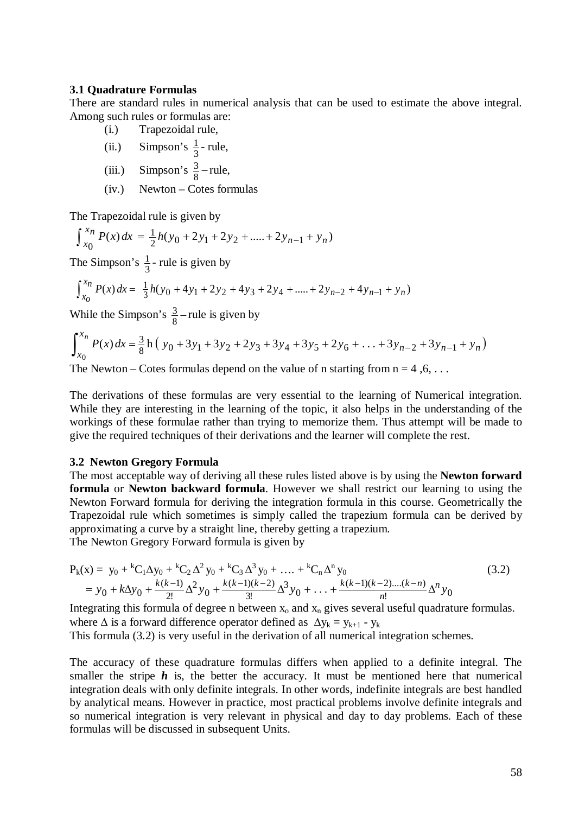#### **3.1 Quadrature Formulas**

There are standard rules in numerical analysis that can be used to estimate the above integral. Among such rules or formulas are:

- (i.) Trapezoidal rule,
- (ii.) Simpson's  $\frac{1}{3}$ -rule,

(iii.) Simpson's 
$$
\frac{3}{8}
$$
 - rule,

(iv.) Newton – Cotes formulas

The Trapezoidal rule is given by

$$
\int_{x_0}^{x_n} P(x) dx = \frac{1}{2}h(y_0 + 2y_1 + 2y_2 + \dots + 2y_{n-1} + y_n)
$$

The Simpson's  $\frac{1}{3}$ - rule is given by

$$
\int_{x_0}^{x_n} P(x) dx = \frac{1}{3} h(y_0 + 4y_1 + 2y_2 + 4y_3 + 2y_4 + \dots + 2y_{n-2} + 4y_{n-1} + y_n)
$$

While the Simpson's  $\frac{3}{8}$  – rule is given by

$$
\int_{x_0}^{x_n} P(x) dx = \frac{3}{8} h (y_0 + 3y_1 + 3y_2 + 2y_3 + 3y_4 + 3y_5 + 2y_6 + \dots + 3y_{n-2} + 3y_{n-1} + y_n)
$$

The Newton – Cotes formulas depend on the value of n starting from  $n = 4, 6, \ldots$ 

The derivations of these formulas are very essential to the learning of Numerical integration. While they are interesting in the learning of the topic, it also helps in the understanding of the workings of these formulae rather than trying to memorize them. Thus attempt will be made to give the required techniques of their derivations and the learner will complete the rest.

#### **3.2 Newton Gregory Formula**

The most acceptable way of deriving all these rules listed above is by using the **Newton forward formula** or **Newton backward formula**. However we shall restrict our learning to using the Newton Forward formula for deriving the integration formula in this course. Geometrically the Trapezoidal rule which sometimes is simply called the trapezium formula can be derived by approximating a curve by a straight line, thereby getting a trapezium.

The Newton Gregory Forward formula is given by

$$
P_k(x) = y_0 + {}^{k}C_1 \Delta y_0 + {}^{k}C_2 \Delta^2 y_0 + {}^{k}C_3 \Delta^3 y_0 + \dots + {}^{k}C_n \Delta^n y_0
$$
  
=  $y_0 + k \Delta y_0 + \frac{k(k-1)}{2!} \Delta^2 y_0 + \frac{k(k-1)(k-2)}{3!} \Delta^3 y_0 + \dots + \frac{k(k-1)(k-2)\dots(k-n)}{n!} \Delta^n y_0$  (3.2)

Integrating this formula of degree n between  $x_0$  and  $x_n$  gives several useful quadrature formulas. where  $\Delta$  is a forward difference operator defined as  $\Delta y_k = y_{k+1} - y_k$ 

This formula (3.2) is very useful in the derivation of all numerical integration schemes.

The accuracy of these quadrature formulas differs when applied to a definite integral. The smaller the stripe  $h$  is, the better the accuracy. It must be mentioned here that numerical integration deals with only definite integrals. In other words, indefinite integrals are best handled by analytical means. However in practice, most practical problems involve definite integrals and so numerical integration is very relevant in physical and day to day problems. Each of these formulas will be discussed in subsequent Units.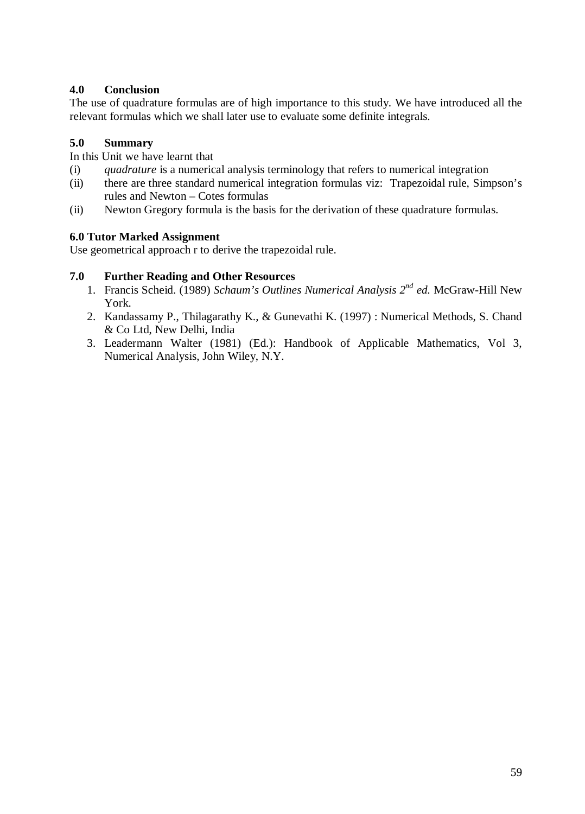## **4.0 Conclusion**

The use of quadrature formulas are of high importance to this study. We have introduced all the relevant formulas which we shall later use to evaluate some definite integrals.

## **5.0 Summary**

In this Unit we have learnt that

- (i) *quadrature* is a numerical analysis terminology that refers to numerical integration
- (ii) there are three standard numerical integration formulas viz: Trapezoidal rule, Simpson's rules and Newton – Cotes formulas
- (ii) Newton Gregory formula is the basis for the derivation of these quadrature formulas.

## **6.0 Tutor Marked Assignment**

Use geometrical approach r to derive the trapezoidal rule.

## **7.0 Further Reading and Other Resources**

- 1. Francis Scheid. (1989) *Schaum's Outlines Numerical Analysis 2nd ed.* McGraw-Hill New York.
- 2. Kandassamy P., Thilagarathy K., & Gunevathi K. (1997) : Numerical Methods, S. Chand & Co Ltd, New Delhi, India
- 3. Leadermann Walter (1981) (Ed.): Handbook of Applicable Mathematics, Vol 3, Numerical Analysis, John Wiley, N.Y.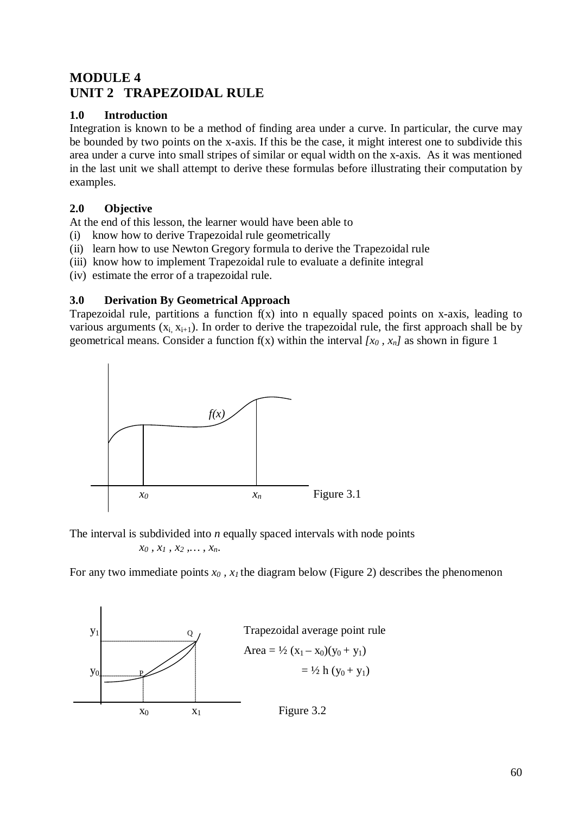## **MODULE 4 UNIT 2 TRAPEZOIDAL RULE**

## **1.0 Introduction**

Integration is known to be a method of finding area under a curve. In particular, the curve may be bounded by two points on the x-axis. If this be the case, it might interest one to subdivide this area under a curve into small stripes of similar or equal width on the x-axis. As it was mentioned in the last unit we shall attempt to derive these formulas before illustrating their computation by examples.

## **2.0 Objective**

At the end of this lesson, the learner would have been able to

- (i) know how to derive Trapezoidal rule geometrically
- (ii) learn how to use Newton Gregory formula to derive the Trapezoidal rule
- (iii) know how to implement Trapezoidal rule to evaluate a definite integral
- (iv) estimate the error of a trapezoidal rule.

## **3.0 Derivation By Geometrical Approach**

Trapezoidal rule, partitions a function  $f(x)$  into n equally spaced points on x-axis, leading to various arguments  $(x_i, x_{i+1})$ . In order to derive the trapezoidal rule, the first approach shall be by geometrical means. Consider a function  $f(x)$  within the interval  $[x_0, x_n]$  as shown in figure 1



The interval is subdivided into *n* equally spaced intervals with node points

*x0 , x1 , x2 ,… , xn*.

For any two immediate points  $x_0$ ,  $x_1$  the diagram below (Figure 2) describes the phenomenon

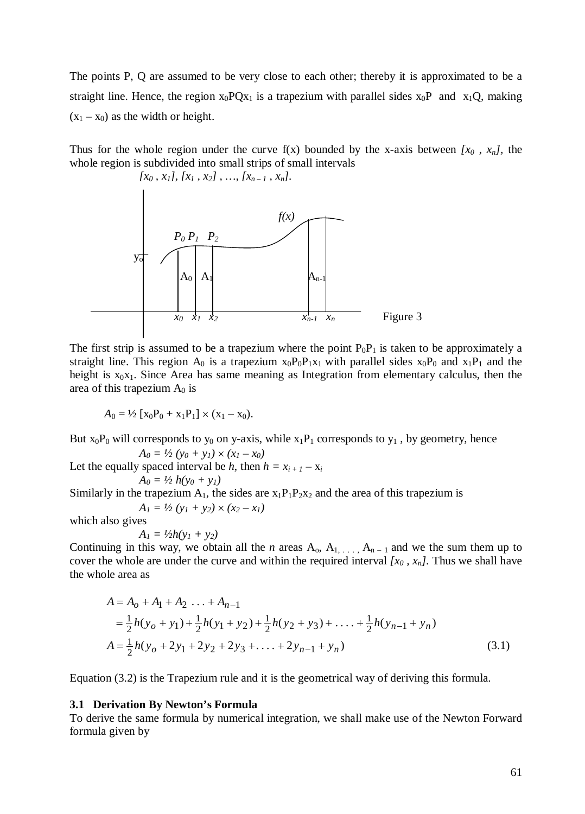The points P, Q are assumed to be very close to each other; thereby it is approximated to be a straight line. Hence, the region  $x_0PQx_1$  is a trapezium with parallel sides  $x_0P$  and  $x_1Q$ , making  $(x_1 - x_0)$  as the width or height.

Thus for the whole region under the curve  $f(x)$  bounded by the x-axis between  $[x_0, x_n]$ , the whole region is subdivided into small strips of small intervals



The first strip is assumed to be a trapezium where the point  $P_0P_1$  is taken to be approximately a straight line. This region  $A_0$  is a trapezium  $x_0P_0P_1x_1$  with parallel sides  $x_0P_0$  and  $x_1P_1$  and the height is  $x_0x_1$ . Since Area has same meaning as Integration from elementary calculus, then the area of this trapezium  $A_0$  is

$$
A_0 = \frac{1}{2} [x_0 P_0 + x_1 P_1] \times (x_1 - x_0).
$$

But  $x_0P_0$  will corresponds to  $y_0$  on y-axis, while  $x_1P_1$  corresponds to  $y_1$ , by geometry, hence

 $A_0 = \frac{1}{2} (y_0 + y_1) \times (x_1 - x_0)$ Let the equally spaced interval be *h*, then  $h = x_{i+1} - x_i$  $A_0 = \frac{1}{2} h(y_0 + y_1)$ 

Similarly in the trapezium  $A_1$ , the sides are  $x_1P_1P_2x_2$  and the area of this trapezium is

 $A_1 = \frac{1}{2}(y_1 + y_2) \times (x_2 - x_1)$ 

which also gives

$$
A_1 = \frac{1}{2}h(y_1 + y_2)
$$

Continuing in this way, we obtain all the *n* areas  $A_0$ ,  $A_1$ , ...,  $A_{n-1}$  and we the sum them up to cover the whole are under the curve and within the required interval  $[x_0, x_n]$ . Thus we shall have the whole area as

$$
A = A_0 + A_1 + A_2 \dots + A_{n-1}
$$
  
=  $\frac{1}{2}h(y_0 + y_1) + \frac{1}{2}h(y_1 + y_2) + \frac{1}{2}h(y_2 + y_3) + \dots + \frac{1}{2}h(y_{n-1} + y_n)$   

$$
A = \frac{1}{2}h(y_0 + 2y_1 + 2y_2 + 2y_3 + \dots + 2y_{n-1} + y_n)
$$
 (3.1)

Equation (3.2) is the Trapezium rule and it is the geometrical way of deriving this formula.

#### **3.1 Derivation By Newton's Formula**

To derive the same formula by numerical integration, we shall make use of the Newton Forward formula given by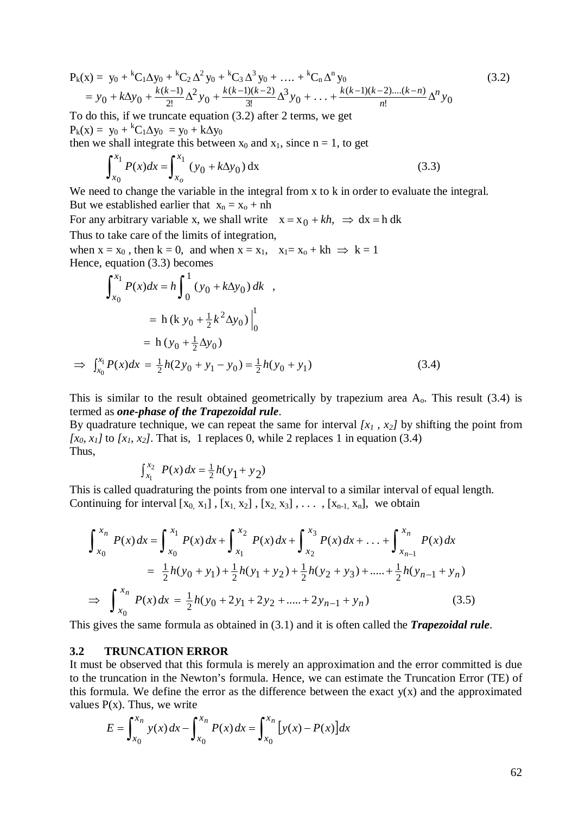$$
P_k(x) = y_0 + {}^{k}C_1 \Delta y_0 + {}^{k}C_2 \Delta^2 y_0 + {}^{k}C_3 \Delta^3 y_0 + \dots + {}^{k}C_n \Delta^n y_0
$$
  
=  $y_0 + k \Delta y_0 + \frac{k(k-1)}{2!} \Delta^2 y_0 + \frac{k(k-1)(k-2)}{3!} \Delta^3 y_0 + \dots + \frac{k(k-1)(k-2)\dots(k-n)}{n!} \Delta^n y_0$  (3.2)

To do this, if we truncate equation (3.2) after 2 terms, we get  $P_k(x) = y_0 + {}^kC_1\Delta y_0 = y_0 + k\Delta y_0$ 

then we shall integrate this between  $x_0$  and  $x_1$ , since  $n = 1$ , to get

$$
\int_{x_0}^{x_1} P(x)dx = \int_{x_0}^{x_1} (y_0 + k\Delta y_0) dx
$$
 (3.3)

We need to change the variable in the integral from x to k in order to evaluate the integral. But we established earlier that  $x_n = x_0 + nh$ 

For any arbitrary variable x, we shall write  $x = x_0 + kh$ ,  $\Rightarrow dx = h dk$ Thus to take care of the limits of integration,

when  $x = x_0$ , then  $k = 0$ , and when  $x = x_1$ ,  $x_1 = x_0 + kh \implies k = 1$ Hence, equation (3.3) becomes

$$
\int_{x_0}^{x_1} P(x)dx = h \int_0^1 (y_0 + k\Delta y_0) dk ,
$$
  
= h (k y<sub>0</sub> +  $\frac{1}{2}$ k<sup>2</sup>  $\Delta y_0$ ) $\Big|_0^1$   
= h (y<sub>0</sub> +  $\frac{1}{2}$   $\Delta y_0$ )  
 $\Rightarrow \int_{x_0}^{x_1} P(x)dx = \frac{1}{2}h(2y_0 + y_1 - y_0) = \frac{1}{2}h(y_0 + y_1)$  (3.4)

This is similar to the result obtained geometrically by trapezium area  $A_0$ . This result (3.4) is termed as *one-phase of the Trapezoidal rule*.

By quadrature technique, we can repeat the same for interval  $[x_1, x_2]$  by shifting the point from  $[x_0, x_1]$  to  $[x_1, x_2]$ . That is, 1 replaces 0, while 2 replaces 1 in equation (3.4) Thus,

$$
\int_{x_1}^{x_2} P(x) \, dx = \frac{1}{2} h(y_1 + y_2)
$$

This is called quadraturing the points from one interval to a similar interval of equal length. Continuing for interval  $[x_0, x_1]$ ,  $[x_1, x_2]$ ,  $[x_2, x_3]$ , ...,  $[x_{n-1}, x_n]$ , we obtain

$$
\int_{x_0}^{x_n} P(x) dx = \int_{x_0}^{x_1} P(x) dx + \int_{x_1}^{x_2} P(x) dx + \int_{x_2}^{x_3} P(x) dx + ... + \int_{x_{n-1}}^{x_n} P(x) dx
$$
  
\n
$$
= \frac{1}{2} h(y_0 + y_1) + \frac{1}{2} h(y_1 + y_2) + \frac{1}{2} h(y_2 + y_3) + ..... + \frac{1}{2} h(y_{n-1} + y_n)
$$
  
\n
$$
\Rightarrow \int_{x_0}^{x_n} P(x) dx = \frac{1}{2} h(y_0 + 2y_1 + 2y_2 + ..... + 2y_{n-1} + y_n)
$$
 (3.5)

This gives the same formula as obtained in (3.1) and it is often called the *Trapezoidal rule*.

#### **3.2 TRUNCATION ERROR**

It must be observed that this formula is merely an approximation and the error committed is due to the truncation in the Newton's formula. Hence, we can estimate the Truncation Error (TE) of this formula. We define the error as the difference between the exact  $y(x)$  and the approximated values  $P(x)$ . Thus, we write

$$
E = \int_{x_0}^{x_n} y(x) dx - \int_{x_0}^{x_n} P(x) dx = \int_{x_0}^{x_n} [y(x) - P(x)] dx
$$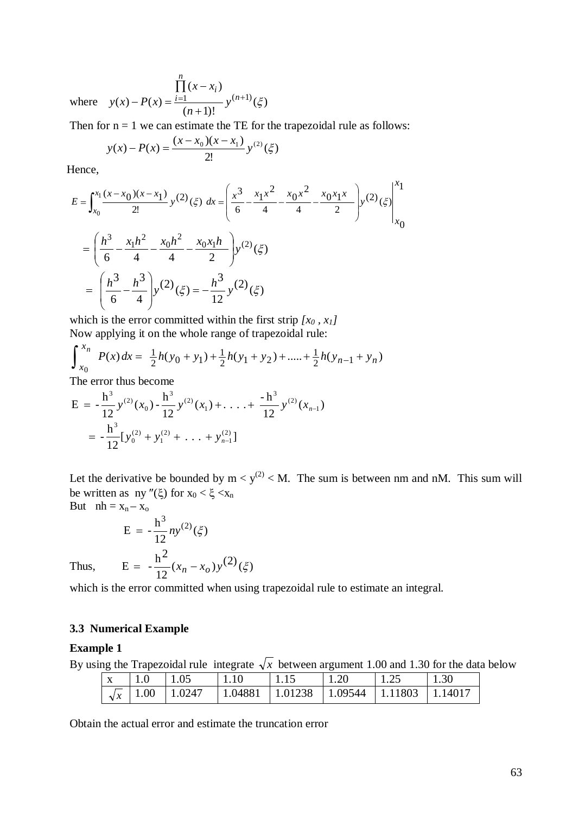where  $y(x) - P(x) = \frac{1}{1} \frac{1}{1} y^{(n+1)}(\xi)$  $(x - x_i)$  $f(x) - P(x) = \frac{i-1}{(x-1)!} y^{(n+1)}(\xi)$ + −  $-P(x) =$ ∏ *n n i i y n*  $x - x$  $y(x) - P(x)$ 

Then for  $n = 1$  we can estimate the TE for the trapezoidal rule as follows:

$$
y(x) - P(x) = \frac{(x - x_0)(x - x_1)}{2!} y^{(2)}(\xi)
$$

Hence,

$$
E = \int_{x_0}^{x_1} \frac{(x - x_0)(x - x_1)}{2!} y^{(2)}(\xi) dx = \left(\frac{x^3}{6} - \frac{x_1 x^2}{4} - \frac{x_0 x^2}{4} - \frac{x_0 x_1 x}{2}\right) y^{(2)}(\xi)
$$
  
=  $\left(\frac{h^3}{6} - \frac{x_1 h^2}{4} - \frac{x_0 h^2}{4} - \frac{x_0 x_1 h}{2}\right) y^{(2)}(\xi)$   
=  $\left(\frac{h^3}{6} - \frac{h^3}{4}\right) y^{(2)}(\xi) = -\frac{h^3}{12} y^{(2)}(\xi)$ 

which is the error committed within the first strip  $[x_0, x_1]$ Now applying it on the whole range of trapezoidal rule:

$$
\int_{x_0}^{x_n} P(x) dx = \frac{1}{2}h(y_0 + y_1) + \frac{1}{2}h(y_1 + y_2) + \dots + \frac{1}{2}h(y_{n-1} + y_n)
$$

The error thus become

$$
E = -\frac{h^3}{12} y^{(2)}(x_0) - \frac{h^3}{12} y^{(2)}(x_1) + \dots + \frac{-h^3}{12} y^{(2)}(x_{n-1})
$$
  
=  $-\frac{h^3}{12} [y_0^{(2)} + y_1^{(2)} + \dots + y_{n-1}^{(2)}]$ 

Let the derivative be bounded by  $m < y^{(2)} < M$ . The sum is between nm and nM. This sum will be written as ny "(ξ) for  $x_0 < \xi < x_n$ 

But  $nh = x_n - x_o$ 

$$
E = -\frac{h^3}{12}ny^{(2)}(\xi)
$$
  
Thus, 
$$
E = -\frac{h^2}{12}(x_n - x_o)y^{(2)}(\xi)
$$

which is the error committed when using trapezoidal rule to estimate an integral.

#### **3.3 Numerical Example**

#### **Example 1**

By using the Trapezoidal rule integrate  $\sqrt{x}$  between argument 1.00 and 1.30 for the data below

|  | $1.0$ 1.05 | $\vert$ 1.10 | 115                                                                          | $\vert$ 1.20 | 1.25 | 130 |
|--|------------|--------------|------------------------------------------------------------------------------|--------------|------|-----|
|  |            |              | $\sqrt{x}$   1.00   1.0247   1.04881   1.01238   1.09544   1.11803   1.14017 |              |      |     |

Obtain the actual error and estimate the truncation error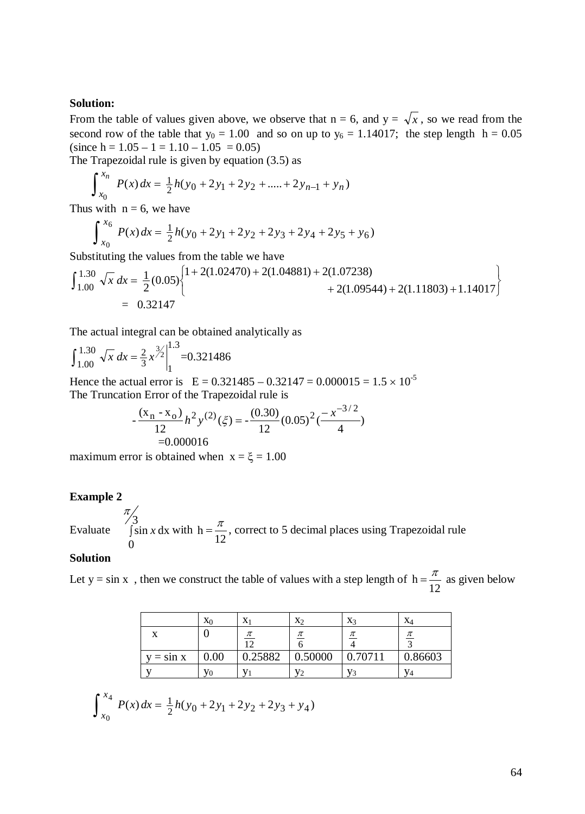#### **Solution:**

From the table of values given above, we observe that  $n = 6$ , and  $y = \sqrt{x}$ , so we read from the second row of the table that  $y_0 = 1.00$  and so on up to  $y_6 = 1.14017$ ; the step length h = 0.05 (since  $h = 1.05 - 1 = 1.10 - 1.05 = 0.05$ )

The Trapezoidal rule is given by equation (3.5) as

$$
\int_{x_0}^{x_n} P(x) dx = \frac{1}{2} h(y_0 + 2y_1 + 2y_2 + \dots + 2y_{n-1} + y_n)
$$

Thus with  $n = 6$ , we have

$$
\int_{x_0}^{x_6} P(x) dx = \frac{1}{2} h(y_0 + 2y_1 + 2y_2 + 2y_3 + 2y_4 + 2y_5 + y_6)
$$

Substituting the values from the table we have

$$
\int_{1.00}^{1.30} \sqrt{x} \, dx = \frac{1}{2} (0.05) \begin{cases} 1 + 2(1.02470) + 2(1.04881) + 2(1.07238) \\ 2(1.09544) + 2(1.11803) + 1.14017 \end{cases}
$$
  
= 0.32147

The actual integral can be obtained analytically as

$$
\int_{1.00}^{1.30} \sqrt{x} \, dx = \frac{2}{3} x^{3/2} \Big|_{1}^{1.3} = 0.321486
$$

Hence the actual error is  $E = 0.321485 - 0.32147 = 0.000015 = 1.5 \times 10^{-5}$ The Truncation Error of the Trapezoidal rule is

$$
-\frac{(x_n - x_o)}{12}h^2 y^{(2)}(\xi) = -\frac{(0.30)}{12}(0.05)^2(-\frac{x^{-3/2}}{4})
$$
  
=0.000016

maximum error is obtained when  $x = \xi = 1.00$ 

#### **Example 2**

 $\pi/$ 

Evaluate 
$$
\int_{0}^{3} \sin x \, dx
$$
 with  $h = \frac{\pi}{12}$ , correct to 5 decimal places using Trapezoidal rule

#### **Solution**

Let y = sin x, then we construct the table of values with a step length of  $h = \frac{\pi}{12}$  as given below

|              | $X_0$ | $\mathbf{A}$     | $X_2$   | $X_3$   | $X_4$   |
|--------------|-------|------------------|---------|---------|---------|
|              |       | $\frac{\pi}{12}$ |         | π       | π       |
|              |       |                  |         |         |         |
| $y = \sin x$ | 0.00  | 0.25882          | 0.50000 | 0.70711 | 0.86603 |
|              |       |                  | V٥      | $V_{2}$ |         |

$$
\int_{x_0}^{x_4} P(x) dx = \frac{1}{2} h(y_0 + 2y_1 + 2y_2 + 2y_3 + y_4)
$$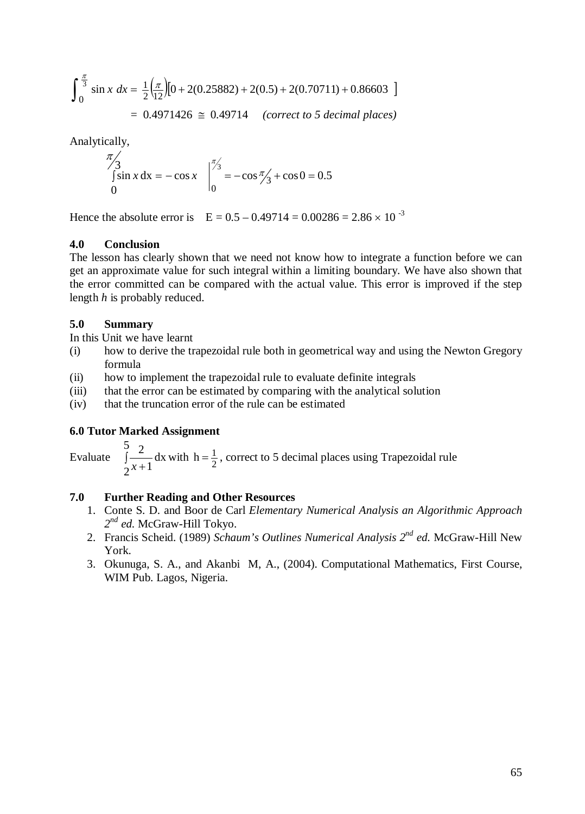$$
\int_0^{\frac{\pi}{3}} \sin x \, dx = \frac{1}{2} \left( \frac{\pi}{12} \right) \left[ 0 + 2(0.25882) + 2(0.5) + 2(0.70711) + 0.86603 \right]
$$
  
= 0.4971426 \approx 0.49714 (correct to 5 decimal places)

Analytically,

$$
\int_{0}^{\pi/3} \sin x \, dx = -\cos x \quad \int_{0}^{\pi/3} = -\cos \frac{\pi}{3} + \cos 0 = 0.5
$$

Hence the absolute error is  $E = 0.5 - 0.49714 = 0.00286 = 2.86 \times 10^{-3}$ 

#### **4.0 Conclusion**

The lesson has clearly shown that we need not know how to integrate a function before we can get an approximate value for such integral within a limiting boundary. We have also shown that the error committed can be compared with the actual value. This error is improved if the step length *h* is probably reduced.

#### **5.0 Summary**

In this Unit we have learnt

- (i) how to derive the trapezoidal rule both in geometrical way and using the Newton Gregory formula
- (ii) how to implement the trapezoidal rule to evaluate definite integrals
- (iii) that the error can be estimated by comparing with the analytical solution
- (iv) that the truncation error of the rule can be estimated

#### **6.0 Tutor Marked Assignment**

Evaluate  $\int \frac{2}{x+1}$ 5 2 dx 1 2  $\frac{2}{x+1}$  dx with  $h = \frac{1}{2}$ , correct to 5 decimal places using Trapezoidal rule

#### **7.0 Further Reading and Other Resources**

- 1. Conte S. D. and Boor de Carl *Elementary Numerical Analysis an Algorithmic Approach 2nd ed.* McGraw-Hill Tokyo.
- 2. Francis Scheid. (1989) *Schaum's Outlines Numerical Analysis 2nd ed.* McGraw-Hill New York.
- 3. Okunuga, S. A., and Akanbi M, A., (2004). Computational Mathematics, First Course, WIM Pub. Lagos, Nigeria.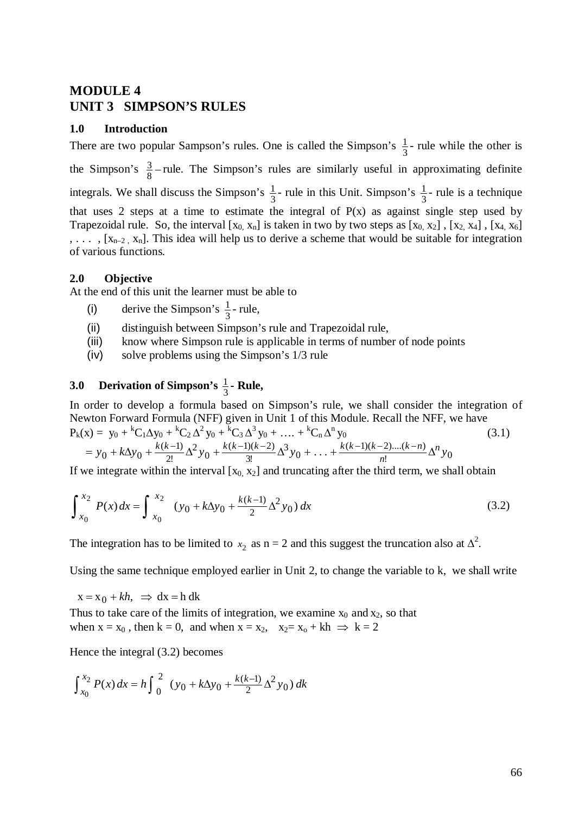## **MODULE 4 UNIT 3 SIMPSON'S RULES**

#### **1.0 Introduction**

There are two popular Sampson's rules. One is called the Simpson's  $\frac{1}{3}$ - rule while the other is the Simpson's  $\frac{3}{8}$ -rule. The Simpson's rules are similarly useful in approximating definite integrals. We shall discuss the Simpson's  $\frac{1}{3}$ - rule in this Unit. Simpson's  $\frac{1}{3}$ - rule is a technique that uses 2 steps at a time to estimate the integral of  $P(x)$  as against single step used by Trapezoidal rule. So, the interval  $[x_0, x_n]$  is taken in two by two steps as  $[x_0, x_2]$ ,  $[x_2, x_4]$ ,  $[x_4, x_6]$  $, \ldots$ ,  $[x_{n-2}, x_n]$ . This idea will help us to derive a scheme that would be suitable for integration of various functions.

#### **2.0 Objective**

At the end of this unit the learner must be able to

- (i) derive the Simpson's  $\frac{1}{3}$ -rule,
- (ii) distinguish between Simpson's rule and Trapezoidal rule,
- (iii) know where Simpson rule is applicable in terms of number of node points
- (iv) solve problems using the Simpson's 1/3 rule

# **3.0** Derivation of Simpson's  $\frac{1}{3}$  **- Rule,**

In order to develop a formula based on Simpson's rule, we shall consider the integration of Newton Forward Formula (NFF) given in Unit 1 of this Module. Recall the NFF, we have  $P_k(x) = y_0 + {}^{k}C_1 \Delta y_0 + {}^{k}C_2 \Delta^2 y_0 + {}^{k}C_3 \Delta^3 y_0 + \dots + {}^{k}C_n \Delta^n y_0$  (3.1)

$$
= y_0 + k\Delta y_0 + \frac{k(k-1)}{2!} \Delta^2 y_0 + \frac{k(k-1)(k-2)}{3!} \Delta^3 y_0 + \ldots + \frac{k(k-1)(k-2)\ldots(k-n)}{n!} \Delta^n y_0
$$

If we integrate within the interval  $[x_0, x_2]$  and truncating after the third term, we shall obtain

$$
\int_{x_0}^{x_2} P(x) dx = \int_{x_0}^{x_2} (y_0 + k\Delta y_0 + \frac{k(k-1)}{2} \Delta^2 y_0) dx
$$
 (3.2)

The integration has to be limited to  $x_2$  as n = 2 and this suggest the truncation also at  $\Delta^2$ .

Using the same technique employed earlier in Unit 2, to change the variable to k, we shall write

 $x = x_0 + kh$ ,  $\implies dx = h \, dk$ 

Thus to take care of the limits of integration, we examine  $x_0$  and  $x_2$ , so that when  $x = x_0$ , then  $k = 0$ , and when  $x = x_2$ ,  $x_2 = x_0 + kh \implies k = 2$ 

Hence the integral (3.2) becomes

$$
\int_{x_0}^{x_2} P(x) dx = h \int_0^2 (y_0 + k \Delta y_0 + \frac{k(k-1)}{2} \Delta^2 y_0) dk
$$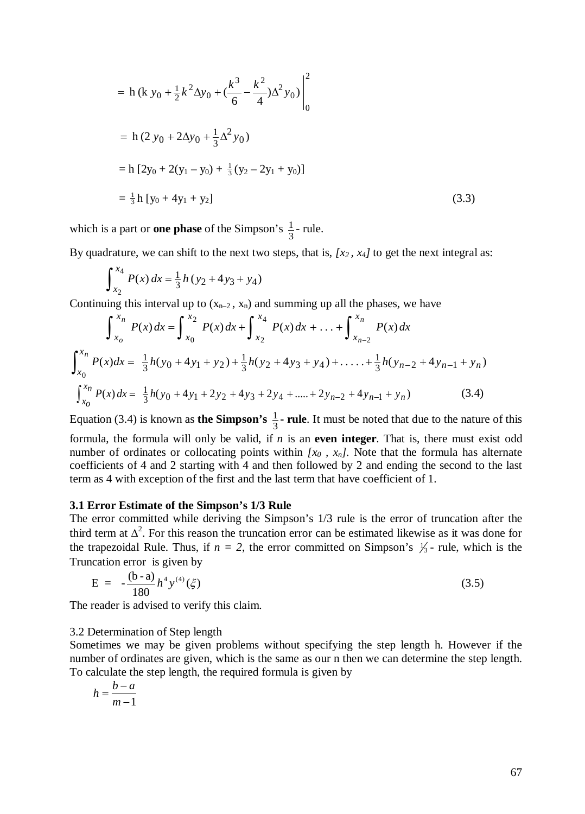$$
= h (k y_0 + \frac{1}{2}k^2 \Delta y_0 + (\frac{k^3}{6} - \frac{k^2}{4})\Delta^2 y_0) \Big|_0^2
$$
  
= h (2 y\_0 + 2\Delta y\_0 + \frac{1}{3}\Delta^2 y\_0)  
= h [2y\_0 + 2(y\_1 - y\_0) + \frac{1}{3}(y\_2 - 2y\_1 + y\_0)]  
= \frac{1}{3} h [y\_0 + 4y\_1 + y\_2] (3.3)

which is a part or **one phase** of the Simpson's  $\frac{1}{3}$ -rule.

By quadrature, we can shift to the next two steps, that is,  $[x_2, x_4]$  to get the next integral as:

$$
\int_{x_2}^{x_4} P(x) dx = \frac{1}{3} h (y_2 + 4y_3 + y_4)
$$

Continuing this interval up to  $(x_{n-2}, x_n)$  and summing up all the phases, we have

$$
\int_{x_0}^{x_n} P(x) dx = \int_{x_0}^{x_2} P(x) dx + \int_{x_2}^{x_4} P(x) dx + ... + \int_{x_{n-2}}^{x_n} P(x) dx
$$
  

$$
\int_{x_0}^{x_n} P(x) dx = \frac{1}{3} h(y_0 + 4y_1 + y_2) + \frac{1}{3} h(y_2 + 4y_3 + y_4) + ... + \frac{1}{3} h(y_{n-2} + 4y_{n-1} + y_n)
$$
  

$$
\int_{x_0}^{x_n} P(x) dx = \frac{1}{3} h(y_0 + 4y_1 + 2y_2 + 4y_3 + 2y_4 + .... + 2y_{n-2} + 4y_{n-1} + y_n)
$$
 (3.4)

Equation (3.4) is known as **the Simpson's**  $\frac{1}{3}$  **- rule**. It must be noted that due to the nature of this formula, the formula will only be valid, if *n* is an **even integer**. That is, there must exist odd number of ordinates or collocating points within  $[x_0, x_n]$ . Note that the formula has alternate coefficients of 4 and 2 starting with 4 and then followed by 2 and ending the second to the last term as 4 with exception of the first and the last term that have coefficient of 1.

#### **3.1 Error Estimate of the Simpson's 1/3 Rule**

The error committed while deriving the Simpson's 1/3 rule is the error of truncation after the third term at  $\Delta^2$ . For this reason the truncation error can be estimated likewise as it was done for the trapezoidal Rule. Thus, if  $n = 2$ , the error committed on Simpson's  $\frac{1}{3}$ -rule, which is the Truncation error is given by

$$
E = -\frac{(b-a)}{180}h^4 y^{(4)}(\xi)
$$
 (3.5)

The reader is advised to verify this claim.

#### 3.2 Determination of Step length

Sometimes we may be given problems without specifying the step length h. However if the number of ordinates are given, which is the same as our n then we can determine the step length. To calculate the step length, the required formula is given by

$$
h = \frac{b - a}{m - 1}
$$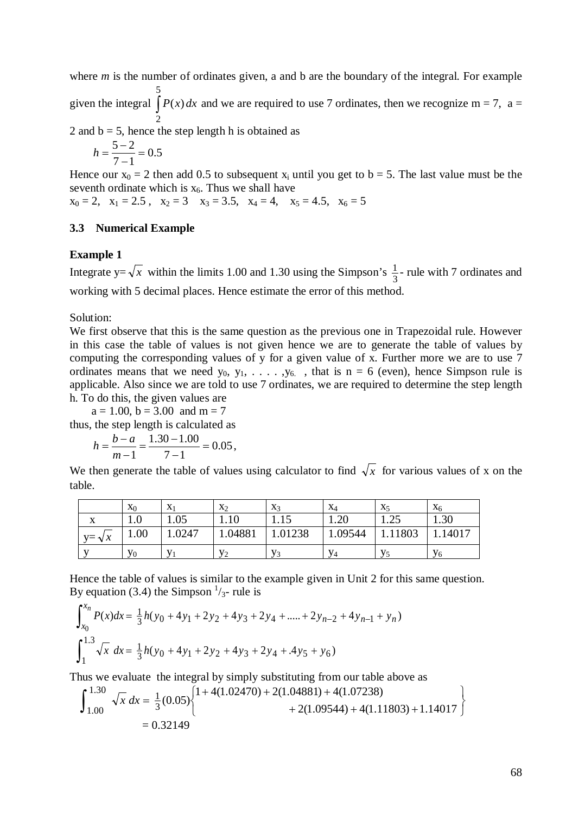where *m* is the number of ordinates given, a and b are the boundary of the integral. For example given the integral ∫ 5 2  $P(x) dx$  and we are required to use 7 ordinates, then we recognize m = 7, a =

2 and  $b = 5$ , hence the step length h is obtained as

$$
h = \frac{5-2}{7-1} = 0.5
$$

Hence our  $x_0 = 2$  then add 0.5 to subsequent  $x_i$  until you get to b = 5. The last value must be the seventh ordinate which is  $x<sub>6</sub>$ . Thus we shall have

 $x_0 = 2$ ,  $x_1 = 2.5$ ,  $x_2 = 3$   $x_3 = 3.5$ ,  $x_4 = 4$ ,  $x_5 = 4.5$ ,  $x_6 = 5$ 

#### **3.3 Numerical Example**

#### **Example 1**

Integrate  $y = \sqrt{x}$  within the limits 1.00 and 1.30 using the Simpson's  $\frac{1}{3}$ - rule with 7 ordinates and working with 5 decimal places. Hence estimate the error of this method.

Solution:

We first observe that this is the same question as the previous one in Trapezoidal rule. However in this case the table of values is not given hence we are to generate the table of values by computing the corresponding values of y for a given value of x. Further more we are to use 7 ordinates means that we need  $y_0, y_1, \ldots, y_{6}$ , that is  $n = 6$  (even), hence Simpson rule is applicable. Also since we are told to use 7 ordinates, we are required to determine the step length h. To do this, the given values are

 $a = 1.00$ ,  $b = 3.00$  and  $m = 7$ thus, the step length is calculated as

$$
h = \frac{b - a}{1} = \frac{1.30 - 1.00}{7 - 1} = 0.05,
$$

$$
a = \frac{b-a}{m-1} = \frac{1.30 - 1.00}{7 - 1} =
$$

We then generate the table of values using calculator to find  $\sqrt{x}$  for various values of x on the table.

|                | X <sub>0</sub> | X      | $X_2$          | $X_3$          | $X_4$   | $X_5$   | $X_6$                 |
|----------------|----------------|--------|----------------|----------------|---------|---------|-----------------------|
| △              | 1.0            | 1.05   | $1.10\,$       | 1. I J         | 1.20    | 1.25    | 1.30                  |
| $y = \sqrt{x}$ | 1.00           | 1.0247 | 1.04881        | 1.01238        | 1.09544 | 1.11803 | .14017                |
|                | Y <sub>0</sub> |        | V <sub>2</sub> | V <sub>3</sub> | V4      |         | <b>Y</b> <sub>6</sub> |

Hence the table of values is similar to the example given in Unit 2 for this same question. By equation (3.4) the Simpson  $\frac{1}{3}$ -rule is

$$
\int_{x_0}^{x_n} P(x)dx = \frac{1}{3}h(y_0 + 4y_1 + 2y_2 + 4y_3 + 2y_4 + \dots + 2y_{n-2} + 4y_{n-1} + y_n)
$$
  

$$
\int_{1}^{1.3} \sqrt{x} dx = \frac{1}{3}h(y_0 + 4y_1 + 2y_2 + 4y_3 + 2y_4 + 4y_5 + y_6)
$$

Thus we evaluate the integral by simply substituting from our table above as

$$
\int_{1.00}^{1.30} \sqrt{x} \, dx = \frac{1}{3} (0.05) \begin{cases} 1 + 4(1.02470) + 2(1.04881) + 4(1.07238) \\ + 2(1.09544) + 4(1.11803) + 1.14017 \end{cases} = 0.32149
$$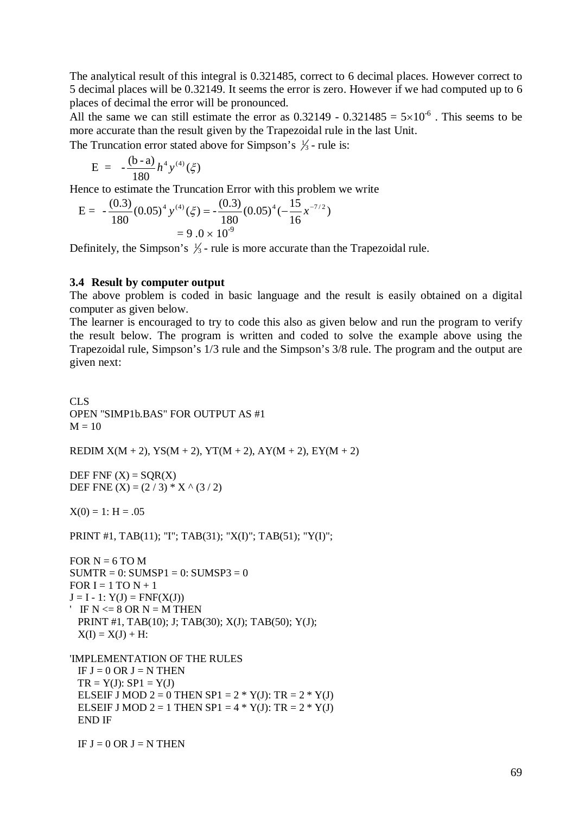The analytical result of this integral is 0.321485, correct to 6 decimal places. However correct to 5 decimal places will be 0.32149. It seems the error is zero. However if we had computed up to 6 places of decimal the error will be pronounced.

All the same we can still estimate the error as  $0.32149 - 0.321485 = 5 \times 10^{-6}$ . This seems to be more accurate than the result given by the Trapezoidal rule in the last Unit.

The Truncation error stated above for Simpson's  $\frac{1}{3}$  - rule is:

$$
E = -\frac{(b-a)}{180}h^4y^{(4)}(\xi)
$$

Hence to estimate the Truncation Error with this problem we write

$$
E = -\frac{(0.3)}{180}(0.05)^4 y^{(4)}(\xi) = -\frac{(0.3)}{180}(0.05)^4(-\frac{15}{16}x^{-7/2})
$$
  
= 9.0 × 10<sup>-9</sup>

Definitely, the Simpson's  $\frac{1}{3}$  - rule is more accurate than the Trapezoidal rule.

#### **3.4 Result by computer output**

The above problem is coded in basic language and the result is easily obtained on a digital computer as given below.

The learner is encouraged to try to code this also as given below and run the program to verify the result below. The program is written and coded to solve the example above using the Trapezoidal rule, Simpson's 1/3 rule and the Simpson's 3/8 rule. The program and the output are given next:

## CLS OPEN "SIMP1b.BAS" FOR OUTPUT AS #1  $M = 10$ REDIM  $X(M + 2)$ ,  $YS(M + 2)$ ,  $YT(M + 2)$ ,  $AY(M + 2)$ ,  $FY(M + 2)$

DEF FNF  $(X) = SQR(X)$ DEF FNE  $(X) = (2 / 3) * X \wedge (3 / 2)$ 

 $X(0) = 1$ : H = .05

PRINT #1, TAB(11); "I"; TAB(31); "X(I)"; TAB(51); "Y(I)";

```
FOR N = 6 TO M
SUMTR = 0: SUMSP1 = 0: SUMSP3 = 0FOR I = 1 TO N + 1J = I - 1: Y(J) = FNF(X(J))' IF N \leq 8 OR N = M THEN
  PRINT #1, TAB(10); J; TAB(30); X(J); TAB(50); Y(J);
 X(I) = X(J) + H:
```

```
'IMPLEMENTATION OF THE RULES
 IF J = 0 OR J = N THEN
 TR = Y(J): SP1 = Y(J)ELSEIF J MOD 2 = 0 THEN SP1 = 2 * Y(J): TR = 2 * Y(J)ELSEIF J MOD 2 = 1 THEN SP1 = 4 * Y(J): TR = 2 * Y(J) END IF
```

```
IF J = 0 OR J = N THEN
```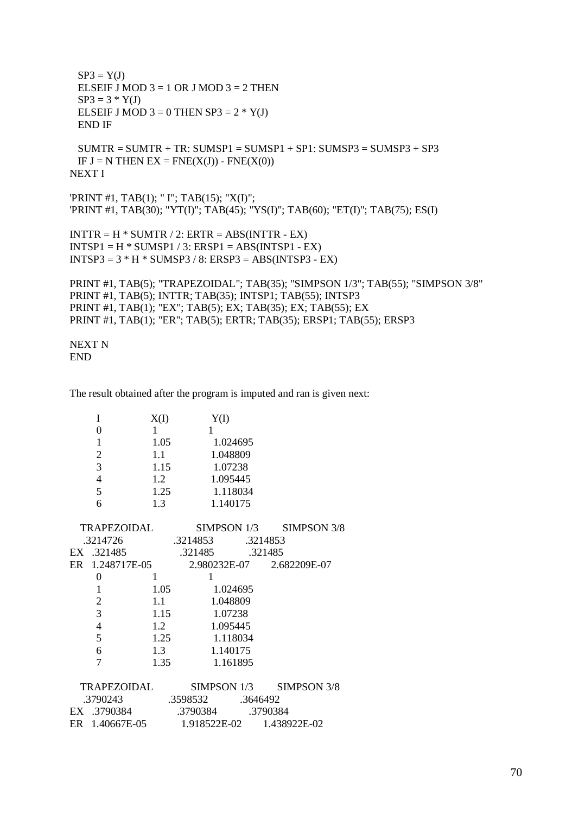```
SP3 = Y(J)ELSEIF J MOD 3 = 1 OR J MOD 3 = 2 THEN
 SP3 = 3 * Y(J)ELSEIF J MOD 3 = 0 THEN SP3 = 2 * Y(J) END IF
 SUMTR = SUMTR + TR: SUMSP1 = SUMSP1 + SP1: SUMSP3 = SUMSP3 + SP3IF J = N THEN EX = FNE(X(J)) - FNE(X(0))NEXT I
'PRINT #1, TAB(1); " I"; TAB(15); "X(I)";
'PRINT #1, TAB(30); "YT(I)"; TAB(45); "YS(I)"; TAB(60); "ET(I)"; TAB(75); ES(I)
INTTR = H * SUMTR / 2: ERTR = ABS(INTER - EX)INTSP1 = H * SUMSP1 / 3: ERSPI = ABS(INTSP1 - EX)INTSP3 = 3 * H * SUMSP3 / 8: ERSP3 = ABS(INTSP3 - EX)
PRINT #1, TAB(5); "TRAPEZOIDAL"; TAB(35); "SIMPSON 1/3"; TAB(55); "SIMPSON 3/8"
PRINT #1, TAB(5); INTTR; TAB(35); INTSP1; TAB(55); INTSP3
PRINT #1, TAB(1); "EX"; TAB(5); EX; TAB(35); EX; TAB(55); EX
PRINT #1, TAB(1); "ER"; TAB(5); ERTR; TAB(35); ERSP1; TAB(55); ERSP3
NEXT N
```

```
END
```
The result obtained after the program is imputed and ran is given next:

| I                | X(I)         | Y(I)              |          |                                           |  |  |  |
|------------------|--------------|-------------------|----------|-------------------------------------------|--|--|--|
| $\boldsymbol{0}$ | $1 \quad$    | $\mathbf{1}$      |          |                                           |  |  |  |
| $\mathbf{1}$     | 1.05         | 1.024695          |          |                                           |  |  |  |
| $\sqrt{2}$       | 1.1          | 1.048809          |          |                                           |  |  |  |
| $\overline{3}$   | 1.15         | 1.07238           |          |                                           |  |  |  |
| $\overline{4}$   | 1.2          | 1.095445          |          |                                           |  |  |  |
| 5                | 1.25         | 1.118034          |          |                                           |  |  |  |
| 6                | 1.3          |                   | 1.140175 |                                           |  |  |  |
|                  |              |                   |          | TRAPEZOIDAL SIMPSON 1/3 SIMPSON 3/8       |  |  |  |
| .3214726         |              | .3214853 .3214853 |          |                                           |  |  |  |
| EX .321485       |              | .321485 .321485   |          |                                           |  |  |  |
|                  |              |                   |          |                                           |  |  |  |
|                  |              |                   |          | ER 1.248717E-05 2.980232E-07 2.682209E-07 |  |  |  |
| $\boldsymbol{0}$ | $\mathbf{1}$ | 1                 |          |                                           |  |  |  |
| $\mathbf{1}$     | 1.05         | 1.024695          |          |                                           |  |  |  |
| $\overline{c}$   | 1.1          | 1.048809          |          |                                           |  |  |  |
| $\overline{3}$   | 1.15         | 1.07238           |          |                                           |  |  |  |
| $\overline{4}$   | 1.2          | 1.095445          |          |                                           |  |  |  |
| 5                | 1.25         | 1.118034          |          |                                           |  |  |  |
| 6                | 1.3          | 1.140175          |          |                                           |  |  |  |
| $\overline{7}$   | 1.35         | 1.161895          |          |                                           |  |  |  |
| TRAPEZOIDAL      |              |                   |          | SIMPSON 1/3 SIMPSON 3/8                   |  |  |  |
| .3790243         |              | .3598532 .3646492 |          |                                           |  |  |  |
| EX .3790384      |              | .3790384 .3790384 |          |                                           |  |  |  |
|                  |              |                   |          | ER 1.40667E-05 1.918522E-02 1.438922E-02  |  |  |  |
|                  |              |                   |          |                                           |  |  |  |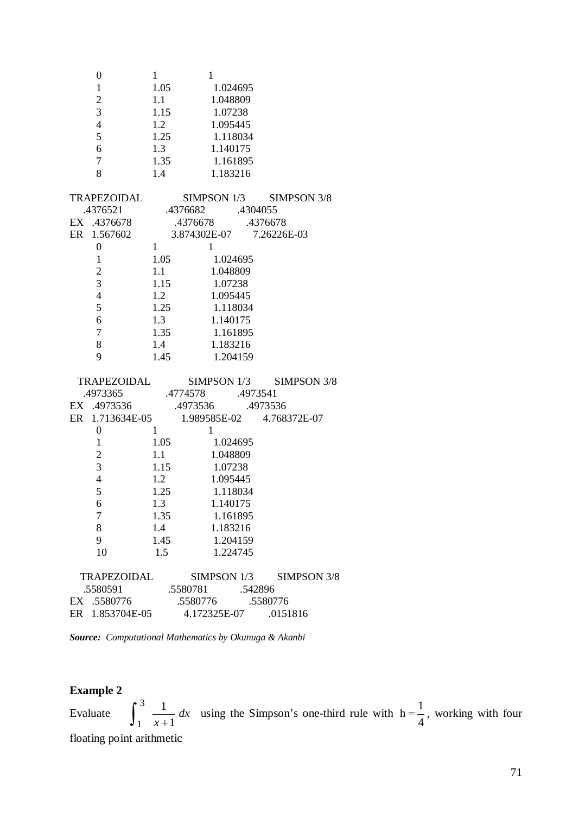| 0                       | $\mathbf{1}$           | 1                 |         |                           |
|-------------------------|------------------------|-------------------|---------|---------------------------|
| $\,1$                   | 1.05                   | 1.024695          |         |                           |
| $\overline{c}$          | 1.1                    | 1.048809          |         |                           |
| $\overline{\mathbf{3}}$ | 1.15                   | 1.07238           |         |                           |
| $\overline{4}$          | 1.2                    | 1.095445          |         |                           |
| 5                       | 1.25                   | 1.118034          |         |                           |
| 6                       | 1.3                    | 1.140175          |         |                           |
| 7                       | 1.35                   | 1.161895          |         |                           |
| 8                       | 1.4                    | 1.183216          |         |                           |
| TRAPEZOIDAL             |                        |                   |         | $SIMPSON$ 1/3 SIMPSON 3/8 |
| .4376521                |                        | .4376682 .4304055 |         |                           |
| EX .4376678             |                        | .4376678          |         | .4376678                  |
| ER 1.567602             |                        |                   |         | 3.874302E-07 7.26226E-03  |
| $\boldsymbol{0}$        | $1 \quad \blacksquare$ | $\mathbf{1}$      |         |                           |
| $\mathbf{1}$            | 1.05                   | 1.024695          |         |                           |
| $\overline{2}$          | 1.1                    | 1.048809          |         |                           |
| 3                       | 1.15                   | 1.07238           |         |                           |
| $\overline{4}$          | 1.2                    | 1.095445          |         |                           |
| 5                       | 1.25                   | 1.118034          |         |                           |
| 6                       | 1.3                    | 1.140175          |         |                           |
| $\overline{7}$          | 1.35                   | 1.161895          |         |                           |
| 8                       | 1.4                    | 1.183216          |         |                           |
| 9                       | 1.45                   | 1.204159          |         |                           |
| TRAPEZOIDAL             |                        |                   |         | $SIMPSON 1/3$ SIMPSON 3/8 |
| .4973365                |                        | .4774578 .4973541 |         |                           |
| EX .4973536             |                        | .4973536 .4973536 |         |                           |
| ER 1.713634E-05         |                        |                   |         | 1.989585E-02 4.768372E-07 |
| $\boldsymbol{0}$        | 1                      | $\mathbf{1}$      |         |                           |
| $\mathbf{1}$            | 1.05                   | 1.024695          |         |                           |
| $\overline{c}$          | 1.1                    | 1.048809          |         |                           |
| 3                       | 1.15                   | 1.07238           |         |                           |
| $\overline{4}$          | 1.2                    | 1.095445          |         |                           |
| 5                       | 1.25                   | 1.118034          |         |                           |
| 6                       | 1.3                    | 1.140175          |         |                           |
| 7                       | 1.35                   | 1.161895          |         |                           |
| 8                       | 1.4                    | 1.183216          |         |                           |
| 9                       | 1.45                   | 1.204159          |         |                           |
| 10                      | 1.5                    | 1.224745          |         |                           |
| TRAPEZOIDAL             |                        |                   |         | SIMPSON 1/3 SIMPSON 3/8   |
| .5580591                |                        | .5580781          | .542896 |                           |
| EX .5580776             |                        | .5580776          |         | .5580776                  |
| ER 1.853704E-05         |                        | 4.172325E-07      |         | .0151816                  |

*Source: Computational Mathematics by Okunuga & Akanbi*

## **Example 2**

Evaluate  $\int_{1}^{3} \frac{1}{x+1} dx$ 1  $x+1$  $\frac{1}{x}$  dx using the Simpson's one-third rule with 4  $h = \frac{1}{4}$ , working with four floating point arithmetic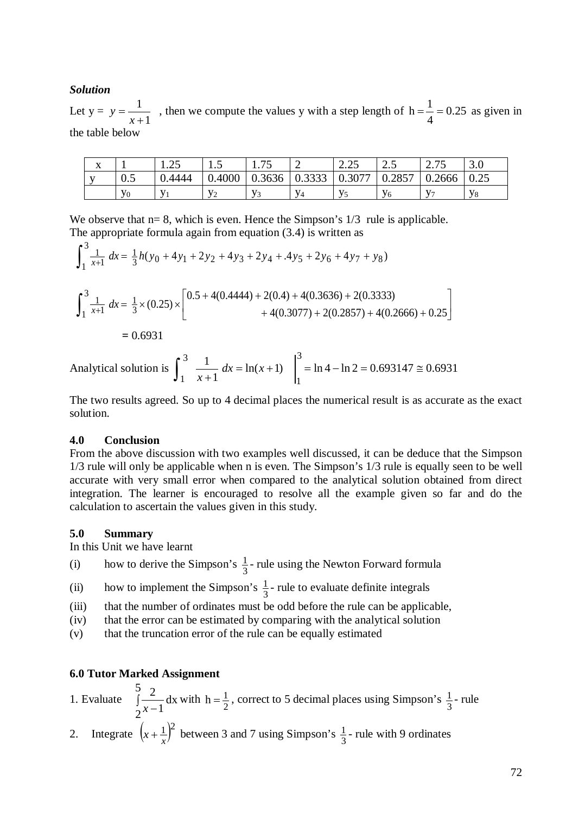#### *Solution*

Let  $y = y = \frac{1}{x+1}$ , then we compute the values y with a step length of  $h = \frac{1}{4} = 0.25$ 4  $h = \frac{1}{1} = 0.25$  as given in the table below

| $\mathbf{v}$<br>$\mathbf{A}$ |       | $\Omega$<br>ن کے ب | 1.J            | 75<br>1.1J     | ∼                      | $\bigcap$<br>$\overline{\phantom{m}}\ldots\overline{\phantom{m}}$ | ں ، ب         | $\sim$ $\pi$ $\sim$<br>$\overline{a}$ . I J | $\sim$<br>J.U    |
|------------------------------|-------|--------------------|----------------|----------------|------------------------|-------------------------------------------------------------------|---------------|---------------------------------------------|------------------|
| $\mathbf{v}$                 | U.J   | .4444              | 0.4000         | 0.3636         | 2222<br>v. <i>jjjj</i> | 0.3077                                                            | 0057<br>0.40J | 0.2666                                      | $\Omega$<br>∪.∠J |
|                              | $V_0$ |                    | V <sub>0</sub> | V <sub>2</sub> | $V_4$                  | $-1$                                                              | $V_{\ell}$    | $V_{\mathcal{D}}$                           | V <sub>8</sub>   |

We observe that  $n=8$ , which is even. Hence the Simpson's  $1/3$  rule is applicable. The appropriate formula again from equation (3.4) is written as

$$
\int_{1}^{3} \frac{1}{x+1} dx = \frac{1}{3} h(y_0 + 4y_1 + 2y_2 + 4y_3 + 2y_4 + .4y_5 + 2y_6 + 4y_7 + y_8)
$$
  

$$
\int_{1}^{3} \frac{1}{x+1} dx = \frac{1}{3} \times (0.25) \times \left[ \frac{0.5 + 4(0.4444) + 2(0.4) + 4(0.3636) + 2(0.3333)}{4(0.3077) + 2(0.2857) + 4(0.2666) + 0.25} \right]
$$

$$
= 0.6931
$$

Analytical solution is  $\frac{1}{2} dx = \ln(x+1) = \ln 4 - \ln 2 = 0.693147 \approx 0.6931$ 1  $1 \t 1 \t 1 \t 1 \t 3$ 1 3  $\int_{1}^{3} \frac{1}{x+1} dx = \ln(x+1) \quad \Big|_{1} = \ln 4 - \ln 2 = 0.693147 \approx$ *x*

The two results agreed. So up to 4 decimal places the numerical result is as accurate as the exact solution.

#### **4.0 Conclusion**

From the above discussion with two examples well discussed, it can be deduce that the Simpson 1/3 rule will only be applicable when n is even. The Simpson's 1/3 rule is equally seen to be well accurate with very small error when compared to the analytical solution obtained from direct integration. The learner is encouraged to resolve all the example given so far and do the calculation to ascertain the values given in this study.

## **5.0 Summary**

In this Unit we have learnt

- (i) how to derive the Simpson's  $\frac{1}{3}$ -rule using the Newton Forward formula
- (ii) how to implement the Simpson's  $\frac{1}{3}$ -rule to evaluate definite integrals
- (iii) that the number of ordinates must be odd before the rule can be applicable,
- (iv) that the error can be estimated by comparing with the analytical solution
- (v) that the truncation error of the rule can be equally estimated

## **6.0 Tutor Marked Assignment**

1. Evaluate  $\int \frac{2}{x-x}$ 5 2 dx 1 2  $\frac{2}{x-1}$  dx with  $h = \frac{1}{2}$ , correct to 5 decimal places using Simpson's  $\frac{1}{3}$ - rule 2. Integrate  $\left(x + \frac{1}{x}\right)^2$  $x + \frac{1}{x}$  between 3 and 7 using Simpson's  $\frac{1}{3}$ -rule with 9 ordinates

 $\rfloor$ 

 $\overline{\phantom{a}}$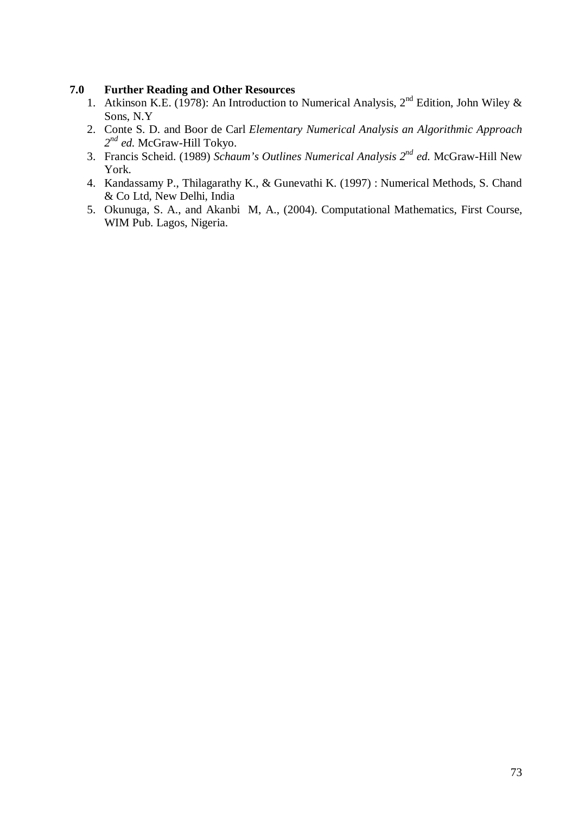- 1. Atkinson K.E. (1978): An Introduction to Numerical Analysis,  $2<sup>nd</sup>$  Edition, John Wiley & Sons, N.Y
- 2. Conte S. D. and Boor de Carl *Elementary Numerical Analysis an Algorithmic Approach 2nd ed.* McGraw-Hill Tokyo.
- 3. Francis Scheid. (1989) *Schaum's Outlines Numerical Analysis 2nd ed.* McGraw-Hill New York.
- 4. Kandassamy P., Thilagarathy K., & Gunevathi K. (1997) : Numerical Methods, S. Chand & Co Ltd, New Delhi, India
- 5. Okunuga, S. A., and Akanbi M, A., (2004). Computational Mathematics, First Course, WIM Pub. Lagos, Nigeria.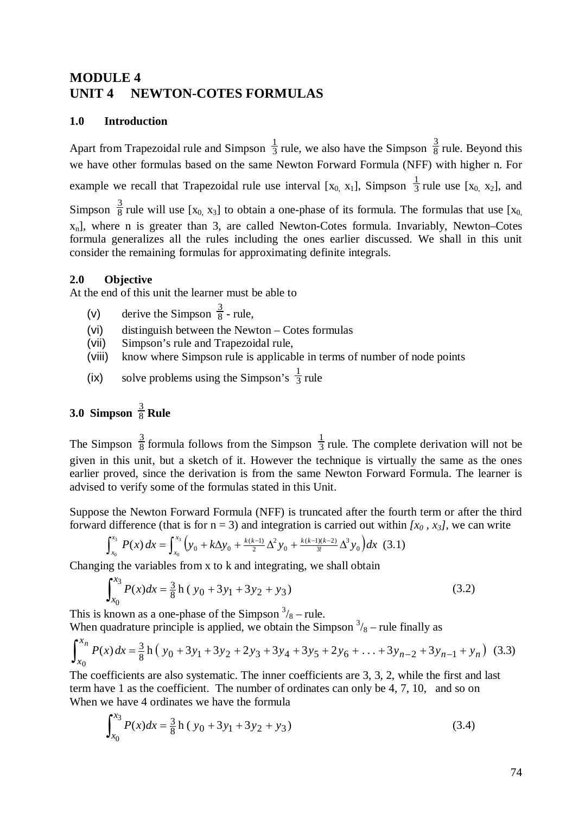# **MODULE 4 UNIT 4 NEWTON-COTES FORMULAS**

### **1.0 Introduction**

Apart from Trapezoidal rule and Simpson  $\frac{1}{3}$  rule, we also have the Simpson  $\frac{3}{8}$  rule. Beyond this we have other formulas based on the same Newton Forward Formula (NFF) with higher n. For example we recall that Trapezoidal rule use interval  $[x_0, x_1]$ , Simpson  $\frac{1}{3}$  rule use  $[x_0, x_2]$ , and Simpson  $\frac{3}{8}$  rule will use [x<sub>0,</sub> x<sub>3</sub>] to obtain a one-phase of its formula. The formulas that use [x<sub>0,</sub>  $x_n$ ], where n is greater than 3, are called Newton-Cotes formula. Invariably, Newton–Cotes formula generalizes all the rules including the ones earlier discussed. We shall in this unit consider the remaining formulas for approximating definite integrals.

### **2.0 Objective**

At the end of this unit the learner must be able to

- (v) derive the Simpson  $\frac{3}{8}$  rule,
- (vi) distinguish between the Newton Cotes formulas
- (vii) Simpson's rule and Trapezoidal rule,
- (viii) know where Simpson rule is applicable in terms of number of node points
- (ix) solve problems using the Simpson's  $\frac{1}{3}$  rule

# **3.0 Simpson** <sup>8</sup> <sup>3</sup> **Rule**

The Simpson  $\frac{3}{8}$  formula follows from the Simpson  $\frac{1}{3}$  rule. The complete derivation will not be given in this unit, but a sketch of it. However the technique is virtually the same as the ones earlier proved, since the derivation is from the same Newton Forward Formula. The learner is advised to verify some of the formulas stated in this Unit.

Suppose the Newton Forward Formula (NFF) is truncated after the fourth term or after the third forward difference (that is for  $n = 3$ ) and integration is carried out within  $[x_0, x_3]$ , we can write

$$
\int_{x_0}^{x_3} P(x) dx = \int_{x_0}^{x_3} \left( y_0 + k \Delta y_0 + \frac{k(k-1)}{2} \Delta^2 y_0 + \frac{k(k-1)(k-2)}{3!} \Delta^3 y_0 \right) dx \tag{3.1}
$$

Changing the variables from x to k and integrating, we shall obtain

$$
\int_{x_0}^{x_3} P(x)dx = \frac{3}{8}h(y_0 + 3y_1 + 3y_2 + y_3)
$$
\n(3.2)

This is known as a one-phase of the Simpson  $\frac{3}{8}$  – rule.

When quadrature principle is applied, we obtain the Simpson  $\frac{3}{8}$  – rule finally as

$$
\int_{x_0}^{x_n} P(x) dx = \frac{3}{8} \ln (y_0 + 3y_1 + 3y_2 + 2y_3 + 3y_4 + 3y_5 + 2y_6 + \dots + 3y_{n-2} + 3y_{n-1} + y_n)
$$
 (3.3)

The coefficients are also systematic. The inner coefficients are 3, 3, 2, while the first and last term have 1 as the coefficient. The number of ordinates can only be 4, 7, 10, and so on When we have 4 ordinates we have the formula

$$
\int_{x_0}^{x_3} P(x)dx = \frac{3}{8}h(y_0 + 3y_1 + 3y_2 + y_3)
$$
 (3.4)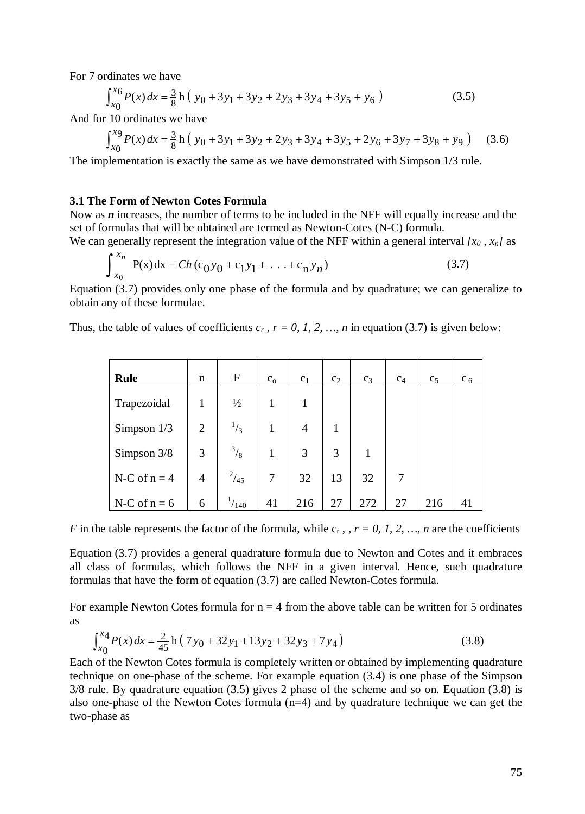For 7 ordinates we have

$$
\int_{x_0}^{x_6} P(x) dx = \frac{3}{8} h (y_0 + 3y_1 + 3y_2 + 2y_3 + 3y_4 + 3y_5 + y_6)
$$
 (3.5)

And for 10 ordinates we have

$$
\int_{x_0}^{x_9} P(x) dx = \frac{3}{8} h (y_0 + 3y_1 + 3y_2 + 2y_3 + 3y_4 + 3y_5 + 2y_6 + 3y_7 + 3y_8 + y_9)
$$
 (3.6)

The implementation is exactly the same as we have demonstrated with Simpson 1/3 rule.

#### **3.1 The Form of Newton Cotes Formula**

Now as *n* increases, the number of terms to be included in the NFF will equally increase and the set of formulas that will be obtained are termed as Newton-Cotes (N-C) formula.

We can generally represent the integration value of the NFF within a general interval  $[x_0, x_n]$  as

$$
\int_{x_0}^{x_n} P(x) dx = Ch (c_0 y_0 + c_1 y_1 + ... + c_n y_n)
$$
 (3.7)

Equation (3.7) provides only one phase of the formula and by quadrature; we can generalize to obtain any of these formulae.

Thus, the table of values of coefficients  $c_r$ ,  $r = 0, 1, 2, ..., n$  in equation (3.7) is given below:

| <b>Rule</b>    | n              | F             | $c_{o}$ | c <sub>1</sub> | c <sub>2</sub> | $C_3$ | $C_4$ | C <sub>5</sub> | c <sub>6</sub> |
|----------------|----------------|---------------|---------|----------------|----------------|-------|-------|----------------|----------------|
| Trapezoidal    |                | $\frac{1}{2}$ |         |                |                |       |       |                |                |
| Simpson $1/3$  | $\overline{2}$ | $^{1}/_{3}$   |         | 4              |                |       |       |                |                |
| Simpson $3/8$  | 3              | $^{3}/_{8}$   | 1       | 3              | 3              | 1     |       |                |                |
| N-C of $n = 4$ | 4              | $^{2}/_{45}$  | 7       | 32             | 13             | 32    | 7     |                |                |
| N-C of $n = 6$ | 6              | $^{1}/_{140}$ | 41      | 216            | 27             | 272   | 27    | 216            | 41             |

*F* in the table represents the factor of the formula, while  $c_r$ ,  $r = 0, 1, 2, ..., n$  are the coefficients

Equation (3.7) provides a general quadrature formula due to Newton and Cotes and it embraces all class of formulas, which follows the NFF in a given interval. Hence, such quadrature formulas that have the form of equation (3.7) are called Newton-Cotes formula.

For example Newton Cotes formula for  $n = 4$  from the above table can be written for 5 ordinates as

$$
\int_{x_0}^{x_4} P(x) dx = \frac{2}{45} \ln (7y_0 + 32y_1 + 13y_2 + 32y_3 + 7y_4)
$$
 (3.8)

Each of the Newton Cotes formula is completely written or obtained by implementing quadrature technique on one-phase of the scheme. For example equation (3.4) is one phase of the Simpson 3/8 rule. By quadrature equation (3.5) gives 2 phase of the scheme and so on. Equation (3.8) is also one-phase of the Newton Cotes formula (n=4) and by quadrature technique we can get the two-phase as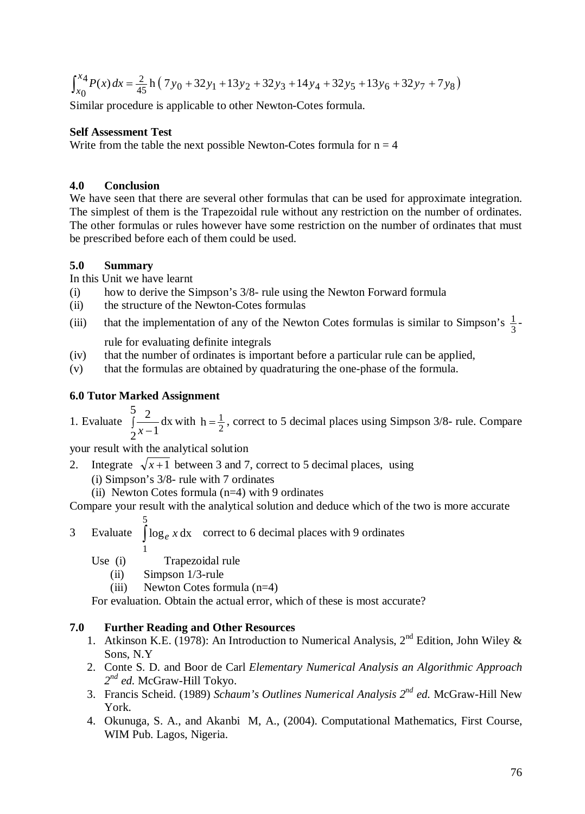$\frac{4}{10}P(x)dx = \frac{2}{45}h(\frac{7}{19}y_0 + 32y_1 + 13y_2 + 32y_3 + 14y_4 + 32y_5 + 13y_6 + 32y_7 + 7y_8)$ 0  $\int_{x_0}^{x_4} P(x) dx = \frac{2}{45} h \left( 7y_0 + 32y_1 + 13y_2 + 32y_3 + 14y_4 + 32y_5 + 13y_6 + 32y_7 + 7y_7 \right)$ 

Similar procedure is applicable to other Newton-Cotes formula.

### **Self Assessment Test**

Write from the table the next possible Newton-Cotes formula for  $n = 4$ 

### **4.0 Conclusion**

We have seen that there are several other formulas that can be used for approximate integration. The simplest of them is the Trapezoidal rule without any restriction on the number of ordinates. The other formulas or rules however have some restriction on the number of ordinates that must be prescribed before each of them could be used.

### **5.0 Summary**

In this Unit we have learnt

- (i) how to derive the Simpson's 3/8- rule using the Newton Forward formula
- (ii) the structure of the Newton-Cotes formulas
- (iii) that the implementation of any of the Newton Cotes formulas is similar to Simpson's  $\frac{1}{3}$ rule for evaluating definite integrals
- (iv) that the number of ordinates is important before a particular rule can be applied,
- (v) that the formulas are obtained by quadraturing the one-phase of the formula.

# **6.0 Tutor Marked Assignment**

1. Evaluate  $\int \frac{2}{x-x}$ 5 2 dx 1 2  $\frac{2}{x-1}$  dx with  $h = \frac{1}{2}$ , correct to 5 decimal places using Simpson 3/8- rule. Compare

your result with the analytical solution

- 2. Integrate  $\sqrt{x+1}$  between 3 and 7, correct to 5 decimal places, using
	- (i) Simpson's 3/8- rule with 7 ordinates
	- (ii) Newton Cotes formula (n=4) with 9 ordinates

Compare your result with the analytical solution and deduce which of the two is more accurate

- <sup>3</sup> Evaluate ∫ 5 1  $\log_e x$  dx correct to 6 decimal places with 9 ordinates
	- Use (i) Trapezoidal rule
		- (ii) Simpson 1/3-rule
		- (iii) Newton Cotes formula (n=4)

For evaluation. Obtain the actual error, which of these is most accurate?

- 1. Atkinson K.E. (1978): An Introduction to Numerical Analysis,  $2^{nd}$  Edition, John Wiley & Sons, N.Y
- 2. Conte S. D. and Boor de Carl *Elementary Numerical Analysis an Algorithmic Approach 2nd ed.* McGraw-Hill Tokyo.
- 3. Francis Scheid. (1989) *Schaum's Outlines Numerical Analysis 2nd ed.* McGraw-Hill New York.
- 4. Okunuga, S. A., and Akanbi M, A., (2004). Computational Mathematics, First Course, WIM Pub. Lagos, Nigeria.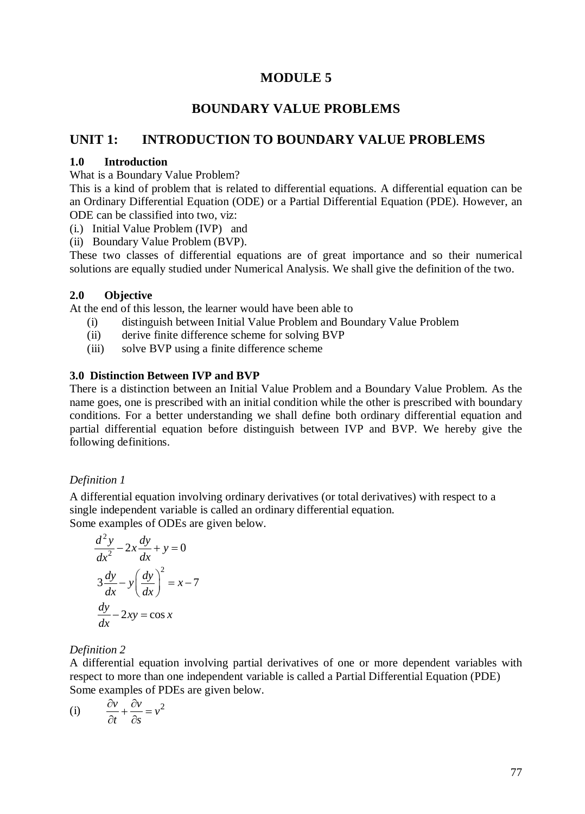# **MODULE 5**

# **BOUNDARY VALUE PROBLEMS**

# **UNIT 1: INTRODUCTION TO BOUNDARY VALUE PROBLEMS**

### **1.0 Introduction**

What is a Boundary Value Problem?

This is a kind of problem that is related to differential equations. A differential equation can be an Ordinary Differential Equation (ODE) or a Partial Differential Equation (PDE). However, an ODE can be classified into two, viz:

(i.) Initial Value Problem (IVP) and

(ii) Boundary Value Problem (BVP).

These two classes of differential equations are of great importance and so their numerical solutions are equally studied under Numerical Analysis. We shall give the definition of the two.

### **2.0 Objective**

At the end of this lesson, the learner would have been able to

- (i) distinguish between Initial Value Problem and Boundary Value Problem
- (ii) derive finite difference scheme for solving BVP
- (iii) solve BVP using a finite difference scheme

#### **3.0 Distinction Between IVP and BVP**

There is a distinction between an Initial Value Problem and a Boundary Value Problem. As the name goes, one is prescribed with an initial condition while the other is prescribed with boundary conditions. For a better understanding we shall define both ordinary differential equation and partial differential equation before distinguish between IVP and BVP. We hereby give the following definitions.

### *Definition 1*

A differential equation involving ordinary derivatives (or total derivatives) with respect to a single independent variable is called an ordinary differential equation.

Some examples of ODEs are given below.

$$
\frac{d^2y}{dx^2} - 2x\frac{dy}{dx} + y = 0
$$

$$
3\frac{dy}{dx} - y\left(\frac{dy}{dx}\right)^2 = x - 7
$$

$$
\frac{dy}{dx} - 2xy = \cos x
$$

### *Definition 2*

A differential equation involving partial derivatives of one or more dependent variables with respect to more than one independent variable is called a Partial Differential Equation (PDE) Some examples of PDEs are given below.

(i) 
$$
\frac{\partial v}{\partial t} + \frac{\partial v}{\partial s} = v^2
$$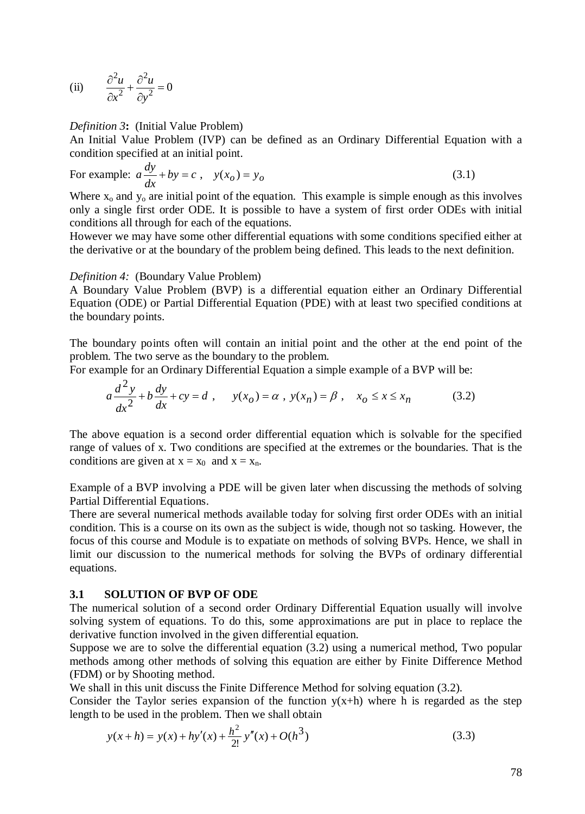(ii) 
$$
\frac{\partial^2 u}{\partial x^2} + \frac{\partial^2 u}{\partial y^2} = 0
$$

 $\Omega$ 

#### *Definition 3***:** (Initial Value Problem)

An Initial Value Problem (IVP) can be defined as an Ordinary Differential Equation with a condition specified at an initial point.

For example: 
$$
a\frac{dy}{dx} + by = c
$$
,  $y(x_o) = y_o$  (3.1)

Where  $x_0$  and  $y_0$  are initial point of the equation. This example is simple enough as this involves only a single first order ODE. It is possible to have a system of first order ODEs with initial conditions all through for each of the equations.

However we may have some other differential equations with some conditions specified either at the derivative or at the boundary of the problem being defined. This leads to the next definition.

#### *Definition 4:* (Boundary Value Problem)

A Boundary Value Problem (BVP) is a differential equation either an Ordinary Differential Equation (ODE) or Partial Differential Equation (PDE) with at least two specified conditions at the boundary points.

The boundary points often will contain an initial point and the other at the end point of the problem. The two serve as the boundary to the problem.

For example for an Ordinary Differential Equation a simple example of a BVP will be:

$$
a\frac{d^2y}{dx^2} + b\frac{dy}{dx} + cy = d \ , \qquad y(x_0) = \alpha \ , \ y(x_n) = \beta \ , \quad x_0 \le x \le x_n \tag{3.2}
$$

The above equation is a second order differential equation which is solvable for the specified range of values of x. Two conditions are specified at the extremes or the boundaries. That is the conditions are given at  $x = x_0$  and  $x = x_n$ .

Example of a BVP involving a PDE will be given later when discussing the methods of solving Partial Differential Equations.

There are several numerical methods available today for solving first order ODEs with an initial condition. This is a course on its own as the subject is wide, though not so tasking. However, the focus of this course and Module is to expatiate on methods of solving BVPs. Hence, we shall in limit our discussion to the numerical methods for solving the BVPs of ordinary differential equations.

#### **3.1 SOLUTION OF BVP OF ODE**

The numerical solution of a second order Ordinary Differential Equation usually will involve solving system of equations. To do this, some approximations are put in place to replace the derivative function involved in the given differential equation.

Suppose we are to solve the differential equation (3.2) using a numerical method, Two popular methods among other methods of solving this equation are either by Finite Difference Method (FDM) or by Shooting method.

We shall in this unit discuss the Finite Difference Method for solving equation (3.2).

Consider the Taylor series expansion of the function  $y(x+h)$  where h is regarded as the step length to be used in the problem. Then we shall obtain

$$
y(x+h) = y(x) + hy'(x) + \frac{h^2}{2!}y''(x) + O(h^3)
$$
\n(3.3)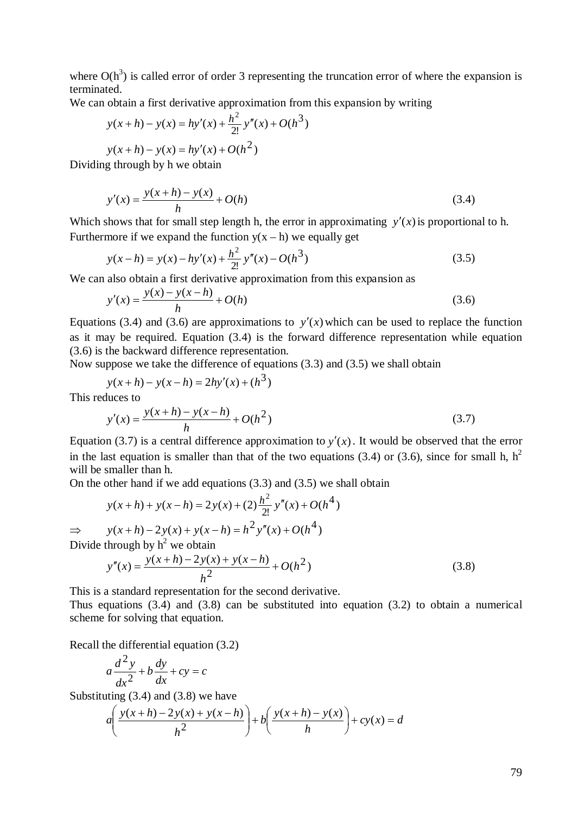where  $O(h^3)$  is called error of order 3 representing the truncation error of where the expansion is terminated.

We can obtain a first derivative approximation from this expansion by writing

$$
y(x+h) - y(x) = hy'(x) + \frac{h^2}{2!}y''(x) + O(h^3)
$$

 $y(x+h) - y(x) = hy'(x) + O(h^2)$ Dividing through by h we obtain

$$
y'(x) = \frac{y(x+h) - y(x)}{h} + O(h)
$$
\n(3.4)

Which shows that for small step length h, the error in approximating  $y'(x)$  is proportional to h. Furthermore if we expand the function  $y(x - h)$  we equally get

$$
y(x-h) = y(x) - hy'(x) + \frac{h^2}{2!}y''(x) - O(h^3)
$$
\n(3.5)

We can also obtain a first derivative approximation from this expansion as

$$
y'(x) = \frac{y(x) - y(x - h)}{h} + O(h)
$$
\n(3.6)

Equations (3.4) and (3.6) are approximations to  $y'(x)$  which can be used to replace the function as it may be required. Equation (3.4) is the forward difference representation while equation (3.6) is the backward difference representation.

Now suppose we take the difference of equations (3.3) and (3.5) we shall obtain

$$
y(x+h) - y(x-h) = 2hy'(x) + (h^3)
$$

This reduces to

$$
y'(x) = \frac{y(x+h) - y(x-h)}{h} + O(h^2)
$$
\n(3.7)

Equation (3.7) is a central difference approximation to  $y'(x)$ . It would be observed that the error in the last equation is smaller than that of the two equations (3.4) or (3.6), since for small h,  $h^2$ will be smaller than h.

On the other hand if we add equations (3.3) and (3.5) we shall obtain

$$
y(x+h) + y(x-h) = 2y(x) + (2)\frac{h^2}{2!}y''(x) + O(h^4)
$$
  
\n
$$
\Rightarrow y(x+h) - 2y(x) + y(x-h) = h^2y''(x) + O(h^4)
$$
  
\nDivide through by h<sup>2</sup> we obtain  
\n
$$
y''(x) = \frac{y(x+h) - 2y(x) + y(x-h)}{2} + O(h^2)
$$
\n(3.8)

$$
y''(x) = \frac{y(x+h) - 2y(x) + y(x-h)}{h^2} + O(h^2)
$$

This is a standard representation for the second derivative.

Thus equations (3.4) and (3.8) can be substituted into equation (3.2) to obtain a numerical scheme for solving that equation.

Recall the differential equation (3.2)

$$
a\frac{d^2y}{dx^2} + b\frac{dy}{dx} + cy = c
$$

Substituting  $(3.4)$  and  $(3.8)$  we have

$$
a\left(\frac{y(x+h) - 2y(x) + y(x-h)}{h}\right) + b\left(\frac{y(x+h) - y(x)}{h}\right) + cy(x) = d
$$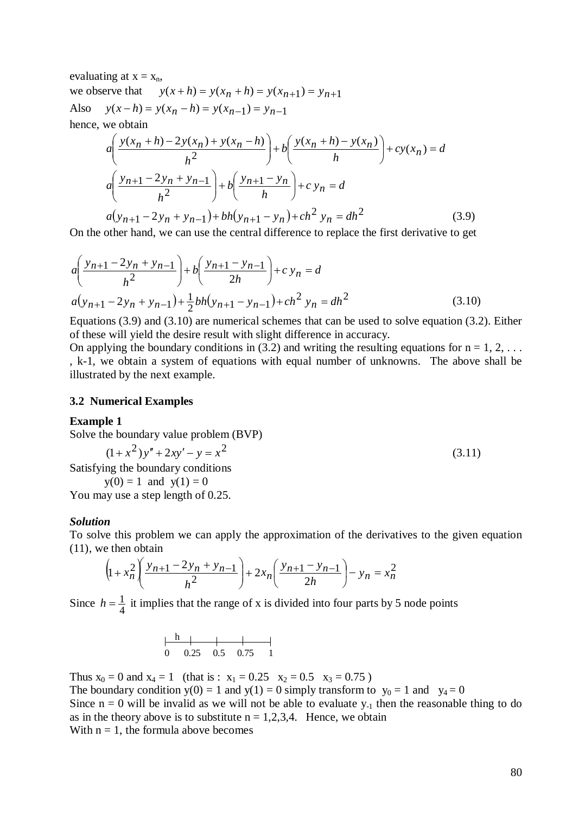evaluating at  $x = x_n$ , we observe that  $y(x+h) = y(x_n + h) = y(x_{n+1}) = y_{n+1}$ Also  $y(x - h) = y(x_n - h) = y(x_{n-1}) = y_{n-1}$ hence, we obtain

$$
a\left(\frac{y(x_n + h) - 2y(x_n) + y(x_n - h)}{h^2}\right) + b\left(\frac{y(x_n + h) - y(x_n)}{h}\right) + cy(x_n) = d
$$
  

$$
a\left(\frac{y_{n+1} - 2y_n + y_{n-1}}{h^2}\right) + b\left(\frac{y_{n+1} - y_n}{h}\right) + c y_n = d
$$
  

$$
a(y_{n+1} - 2y_n + y_{n-1}) + bh(y_{n+1} - y_n) + ch^2 y_n = dh^2
$$
 (3.9)

On the other hand, we can use the central difference to replace the first derivative to get

$$
a\left(\frac{y_{n+1} - 2y_n + y_{n-1}}{h^2}\right) + b\left(\frac{y_{n+1} - y_{n-1}}{2h}\right) + c y_n = d
$$
  

$$
a(y_{n+1} - 2y_n + y_{n-1}) + \frac{1}{2}bh(y_{n+1} - y_{n-1}) + ch^2 y_n = dh^2
$$
 (3.10)

Equations (3.9) and (3.10) are numerical schemes that can be used to solve equation (3.2). Either of these will yield the desire result with slight difference in accuracy.

On applying the boundary conditions in (3.2) and writing the resulting equations for  $n = 1, 2, \ldots$ , k-1, we obtain a system of equations with equal number of unknowns. The above shall be illustrated by the next example.

#### **3.2 Numerical Examples**

#### **Example 1**

Solve the boundary value problem (BVP)

$$
(1+x2)y'' + 2xy' - y = x2
$$
 (3.11)

Satisfying the boundary conditions

 $y(0) = 1$  and  $y(1) = 0$ 

You may use a step length of 0.25.

#### *Solution*

To solve this problem we can apply the approximation of the derivatives to the given equation (11), we then obtain

$$
\left(1 + x_n^2 \left(\frac{y_{n+1} - 2y_n + y_{n-1}}{h^2}\right) + 2x_n \left(\frac{y_{n+1} - y_{n-1}}{2h}\right) - y_n = x_n^2\right)
$$

Since  $h = \frac{1}{4}$  it implies that the range of x is divided into four parts by 5 node points

$$
\begin{array}{c|cc}\n & h & \\
\hline\n0 & 0.25 & 0.5 & 0.75 & 1\n\end{array}
$$

Thus  $x_0 = 0$  and  $x_4 = 1$  (that is :  $x_1 = 0.25$   $x_2 = 0.5$   $x_3 = 0.75$ ) The boundary condition  $y(0) = 1$  and  $y(1) = 0$  simply transform to  $y_0 = 1$  and  $y_4 = 0$ Since  $n = 0$  will be invalid as we will not be able to evaluate y<sub>-1</sub> then the reasonable thing to do as in the theory above is to substitute  $n = 1,2,3,4$ . Hence, we obtain With  $n = 1$ , the formula above becomes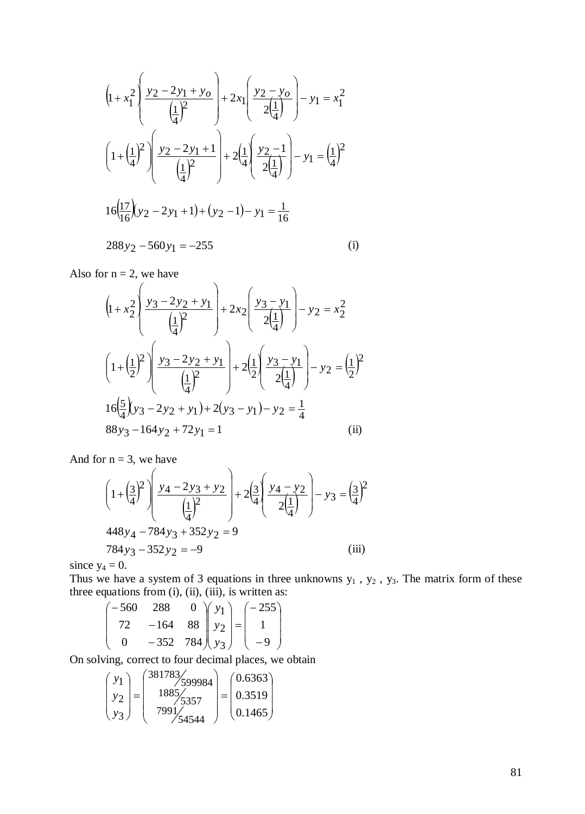$$
\left(1 + x_1^2 \left( \frac{y_2 - 2y_1 + y_0}{\left(\frac{1}{4}\right)^2} \right) + 2x_1 \left( \frac{y_2 - y_0}{2\left(\frac{1}{4}\right)} \right) - y_1 = x_1^2
$$
\n
$$
\left(1 + \left(\frac{1}{4}\right)^2 \right) \left( \frac{y_2 - 2y_1 + 1}{\left(\frac{1}{4}\right)^2} \right) + 2\left( \frac{1}{4} \left( \frac{y_2 - 1}{2\left(\frac{1}{4}\right)} \right) - y_1 = \left(\frac{1}{4}\right)^2
$$
\n
$$
16\left(\frac{17}{16}\right)(y_2 - 2y_1 + 1) + (y_2 - 1) - y_1 = \frac{1}{16}
$$
\n
$$
288y_2 - 560y_1 = -255
$$
\n(i)

Also for  $n = 2$ , we have

$$
(1 + x_2^2) \left( \frac{y_3 - 2y_2 + y_1}{(\frac{1}{4})^2} \right) + 2x_2 \left( \frac{y_3 - y_1}{2(\frac{1}{4})} \right) - y_2 = x_2^2
$$
  

$$
\left( 1 + \left( \frac{1}{2} \right)^2 \right) \left( \frac{y_3 - 2y_2 + y_1}{(\frac{1}{4})^2} \right) + 2 \left( \frac{1}{2} \left( \frac{y_3 - y_1}{2(\frac{1}{4})} \right) - y_2 = \left( \frac{1}{2} \right)^2
$$
  

$$
16 \left( \frac{5}{4} \right) (y_3 - 2y_2 + y_1) + 2 (y_3 - y_1) - y_2 = \frac{1}{4}
$$
  

$$
88y_3 - 164y_2 + 72y_1 = 1
$$
 (ii)

And for  $n = 3$ , we have

$$
\left(1+\left(\frac{3}{4}\right)^2\right)\left(\frac{y_4-2y_3+y_2}{\left(\frac{1}{4}\right)^2}\right)+2\left(\frac{3}{4}\right)\left(\frac{y_4-y_2}{2\left(\frac{1}{4}\right)}\right)-y_3=\left(\frac{3}{4}\right)^2
$$
  
448y<sub>4</sub> - 784y<sub>3</sub> + 352y<sub>2</sub> = 9  
784y<sub>3</sub> - 352y<sub>2</sub> = -9 (iii)

since  $y_4 = 0$ .

Thus we have a system of 3 equations in three unknowns  $y_1$ ,  $y_2$ ,  $y_3$ . The matrix form of these three equations from (i), (ii), (iii), is written as:

$$
\begin{pmatrix} -560 & 288 & 0 \ 72 & -164 & 88 \ 0 & -352 & 784 \ \end{pmatrix} \begin{pmatrix} y_1 \ y_2 \ y_3 \end{pmatrix} = \begin{pmatrix} -255 \ 1 \ -9 \end{pmatrix}
$$

On solving, correct to four decimal places, we obtain

$$
\begin{pmatrix} y_1 \\ y_2 \\ y_3 \end{pmatrix} = \begin{pmatrix} 381783/599984 \\ 1885/5357 \\ 7991/54544 \end{pmatrix} = \begin{pmatrix} 0.6363 \\ 0.3519 \\ 0.1465 \end{pmatrix}
$$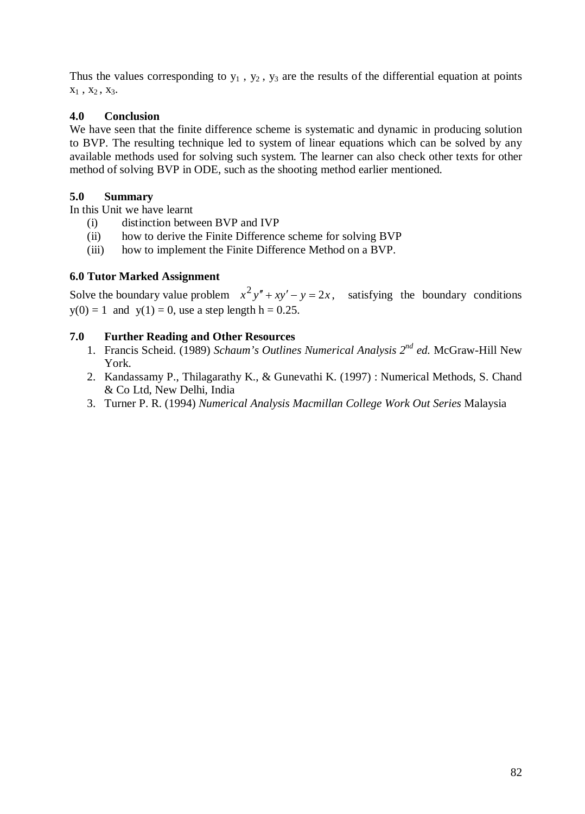Thus the values corresponding to  $y_1$ ,  $y_2$ ,  $y_3$  are the results of the differential equation at points  $x_1$ ,  $x_2$ ,  $x_3$ .

# **4.0 Conclusion**

We have seen that the finite difference scheme is systematic and dynamic in producing solution to BVP. The resulting technique led to system of linear equations which can be solved by any available methods used for solving such system. The learner can also check other texts for other method of solving BVP in ODE, such as the shooting method earlier mentioned.

# **5.0 Summary**

In this Unit we have learnt

- (i) distinction between BVP and IVP
- (ii) how to derive the Finite Difference scheme for solving BVP
- (iii) how to implement the Finite Difference Method on a BVP.

# **6.0 Tutor Marked Assignment**

Solve the boundary value problem  $x^2y'' + xy' - y = 2x$ , satisfying the boundary conditions  $y(0) = 1$  and  $y(1) = 0$ , use a step length h = 0.25.

- 1. Francis Scheid. (1989) *Schaum's Outlines Numerical Analysis 2nd ed.* McGraw-Hill New York.
- 2. Kandassamy P., Thilagarathy K., & Gunevathi K. (1997) : Numerical Methods, S. Chand & Co Ltd, New Delhi, India
- 3. Turner P. R. (1994) *Numerical Analysis Macmillan College Work Out Series* Malaysia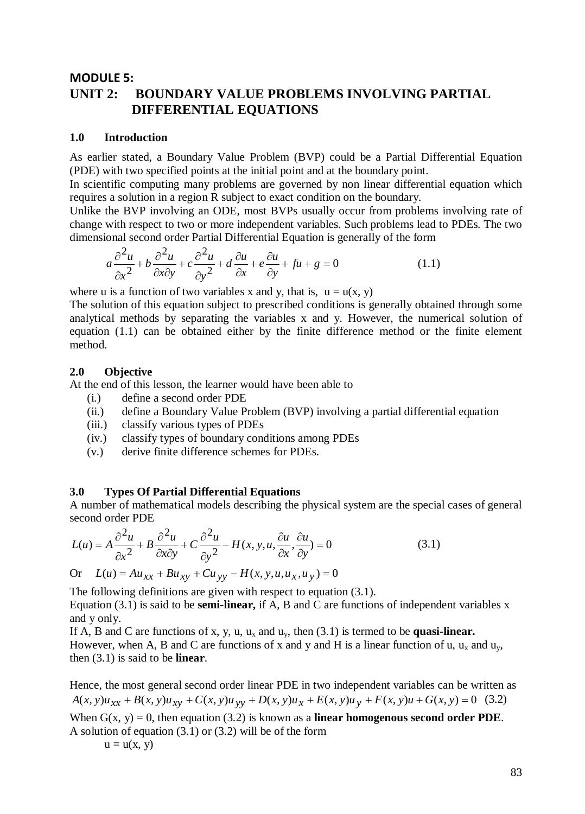### **MODULE 5:**

# **UNIT 2: BOUNDARY VALUE PROBLEMS INVOLVING PARTIAL DIFFERENTIAL EQUATIONS**

#### **1.0 Introduction**

As earlier stated, a Boundary Value Problem (BVP) could be a Partial Differential Equation (PDE) with two specified points at the initial point and at the boundary point.

In scientific computing many problems are governed by non linear differential equation which requires a solution in a region R subject to exact condition on the boundary.

Unlike the BVP involving an ODE, most BVPs usually occur from problems involving rate of change with respect to two or more independent variables. Such problems lead to PDEs. The two dimensional second order Partial Differential Equation is generally of the form

$$
a\frac{\partial^2 u}{\partial x^2} + b\frac{\partial^2 u}{\partial x \partial y} + c\frac{\partial^2 u}{\partial y^2} + d\frac{\partial u}{\partial x} + e\frac{\partial u}{\partial y} + fu + g = 0
$$
 (1.1)

where u is a function of two variables x and y, that is,  $u = u(x, y)$ 

The solution of this equation subject to prescribed conditions is generally obtained through some analytical methods by separating the variables x and y. However, the numerical solution of equation (1.1) can be obtained either by the finite difference method or the finite element method.

#### **2.0 Objective**

At the end of this lesson, the learner would have been able to

- (i.) define a second order PDE
- (ii.) define a Boundary Value Problem (BVP) involving a partial differential equation
- (iii.) classify various types of PDEs
- (iv.) classify types of boundary conditions among PDEs
- (v.) derive finite difference schemes for PDEs.

### **3.0 Types Of Partial Differential Equations**

A number of mathematical models describing the physical system are the special cases of general second order PDE

$$
L(u) = A \frac{\partial^2 u}{\partial x^2} + B \frac{\partial^2 u}{\partial x \partial y} + C \frac{\partial^2 u}{\partial y^2} - H(x, y, u, \frac{\partial u}{\partial x}, \frac{\partial u}{\partial y}) = 0
$$
 (3.1)

Or 
$$
L(u) = Au_{xx} + Bu_{xy} + Cu_{yy} - H(x, y, u, u_x, u_y) = 0
$$

The following definitions are given with respect to equation (3.1). Equation (3.1) is said to be **semi-linear,** if A, B and C are functions of independent variables x

and y only. If A, B and C are functions of x, y, u,  $u_x$  and  $u_y$ , then (3.1) is termed to be **quasi-linear.** However, when A, B and C are functions of x and y and H is a linear function of u,  $u_x$  and  $u_y$ , then (3.1) is said to be **linear**.

Hence, the most general second order linear PDE in two independent variables can be written as  $A(x, y)u_{xx} + B(x, y)u_{xy} + C(x, y)u_{yy} + D(x, y)u_x + E(x, y)u_y + F(x, y)u + G(x, y) = 0$  (3.2) When  $G(x, y) = 0$ , then equation (3.2) is known as a **linear homogenous second order PDE**. A solution of equation (3.1) or (3.2) will be of the form

$$
u=u(x,\,y)
$$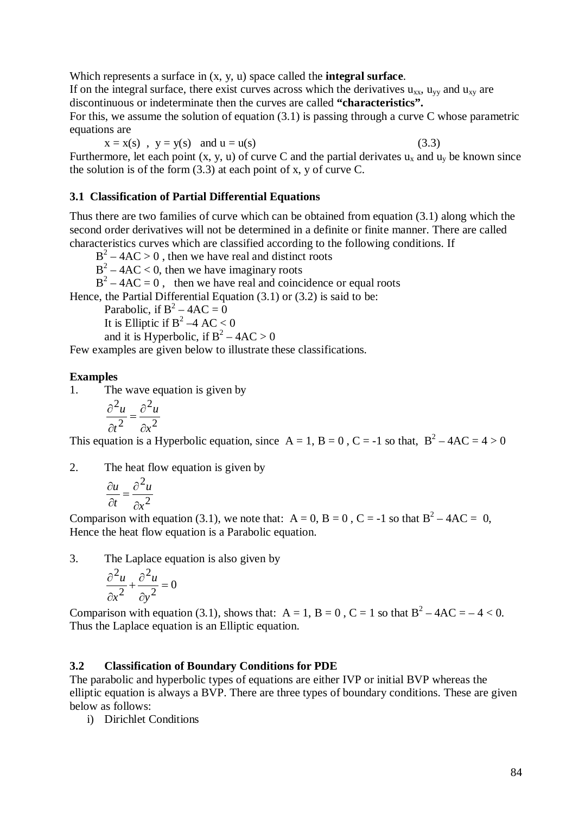Which represents a surface in (x, y, u) space called the **integral surface**.

If on the integral surface, there exist curves across which the derivatives  $u_{xx}$ ,  $u_{yy}$  and  $u_{xy}$  are discontinuous or indeterminate then the curves are called **"characteristics".**

For this, we assume the solution of equation (3.1) is passing through a curve C whose parametric equations are

$$
x = x(s)
$$
,  $y = y(s)$  and  $u = u(s)$  (3.3)

Furthermore, let each point  $(x, y, u)$  of curve C and the partial derivates  $u_x$  and  $u_y$  be known since the solution is of the form (3.3) at each point of x, y of curve C.

# **3.1 Classification of Partial Differential Equations**

Thus there are two families of curve which can be obtained from equation (3.1) along which the second order derivatives will not be determined in a definite or finite manner. There are called characteristics curves which are classified according to the following conditions. If

 $B^2 - 4AC > 0$ , then we have real and distinct roots

 $B^2 - 4AC < 0$ , then we have imaginary roots

 $B^2 - 4AC = 0$ , then we have real and coincidence or equal roots

Hence, the Partial Differential Equation (3.1) or (3.2) is said to be:

Parabolic, if  $B^2 - 4AC = 0$ 

It is Elliptic if  $B^2 - 4 AC < 0$ and it is Hyperbolic, if  $B^2 - 4AC > 0$ 

Few examples are given below to illustrate these classifications.

### **Examples**

1. The wave equation is given by

$$
\frac{\partial^2 u}{\partial t^2} = \frac{\partial^2 u}{\partial x^2}
$$

This equation is a Hyperbolic equation, since  $A = 1$ ,  $B = 0$ ,  $C = -1$  so that,  $B^2 - 4AC = 4 > 0$ 

2. The heat flow equation is given by

$$
\frac{\partial u}{\partial t} = \frac{\partial^2 u}{\partial x^2}
$$

Comparison with equation (3.1), we note that:  $A = 0$ ,  $B = 0$ ,  $C = -1$  so that  $B^2 - 4AC = 0$ , Hence the heat flow equation is a Parabolic equation.

3. The Laplace equation is also given by

$$
\frac{\partial^2 u}{\partial x^2} + \frac{\partial^2 u}{\partial y^2} = 0
$$

Comparison with equation (3.1), shows that:  $A = 1$ ,  $B = 0$ ,  $C = 1$  so that  $B^2 - 4AC = -4 < 0$ . Thus the Laplace equation is an Elliptic equation.

# **3.2 Classification of Boundary Conditions for PDE**

The parabolic and hyperbolic types of equations are either IVP or initial BVP whereas the elliptic equation is always a BVP. There are three types of boundary conditions. These are given below as follows:

i) Dirichlet Conditions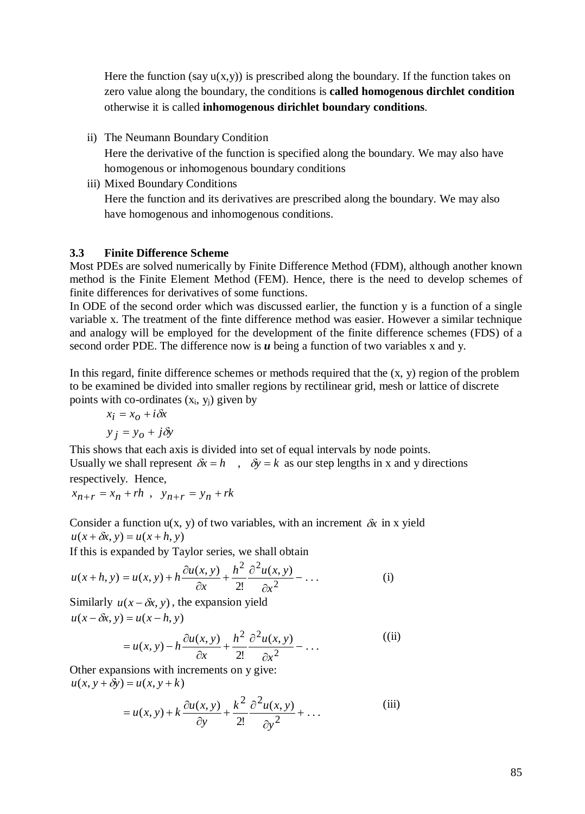Here the function (say  $u(x,y)$ ) is prescribed along the boundary. If the function takes on zero value along the boundary, the conditions is **called homogenous dirchlet condition** otherwise it is called **inhomogenous dirichlet boundary conditions**.

ii) The Neumann Boundary Condition

Here the derivative of the function is specified along the boundary. We may also have homogenous or inhomogenous boundary conditions

iii) Mixed Boundary Conditions

Here the function and its derivatives are prescribed along the boundary. We may also have homogenous and inhomogenous conditions.

#### **3.3 Finite Difference Scheme**

Most PDEs are solved numerically by Finite Difference Method (FDM), although another known method is the Finite Element Method (FEM). Hence, there is the need to develop schemes of finite differences for derivatives of some functions.

In ODE of the second order which was discussed earlier, the function y is a function of a single variable x. The treatment of the finte difference method was easier. However a similar technique and analogy will be employed for the development of the finite difference schemes (FDS) of a second order PDE. The difference now is *u* being a function of two variables x and y.

In this regard, finite difference schemes or methods required that the  $(x, y)$  region of the problem to be examined be divided into smaller regions by rectilinear grid, mesh or lattice of discrete points with co-ordinates  $(x_i, y_i)$  given by

$$
x_i = x_o + i\delta x
$$

$$
y_j = y_o + j\delta y
$$

This shows that each axis is divided into set of equal intervals by node points. Usually we shall represent  $\delta x = h$ ,  $\delta y = k$  as our step lengths in x and y directions respectively. Hence,

$$
x_{n+r} = x_n + rh , y_{n+r} = y_n + rk
$$

Consider a function  $u(x, y)$  of two variables, with an increment  $\delta x$  in x yield  $u(x + \delta x, y) = u(x + h, y)$ 

If this is expanded by Taylor series, we shall obtain

$$
u(x+h, y) = u(x, y) + h \frac{\partial u(x, y)}{\partial x} + \frac{h^2}{2!} \frac{\partial^2 u(x, y)}{\partial x^2} - \dots
$$
 (i)

Similarly  $u(x - \delta x, y)$ , the expansion yield  $u(x - \delta x, y) = u(x - h, y)$ 

$$
= u(x, y) - h \frac{\partial u(x, y)}{\partial x} + \frac{h^2}{2!} \frac{\partial^2 u(x, y)}{\partial x^2} - \dots
$$
 ( (ii)

Other expansions with increments on y give:  $u(x, y + \delta y) = u(x, y + k)$ 

$$
= u(x, y) + k \frac{\partial u(x, y)}{\partial y} + \frac{k^2}{2!} \frac{\partial^2 u(x, y)}{\partial y^2} + \dots
$$
 (iii)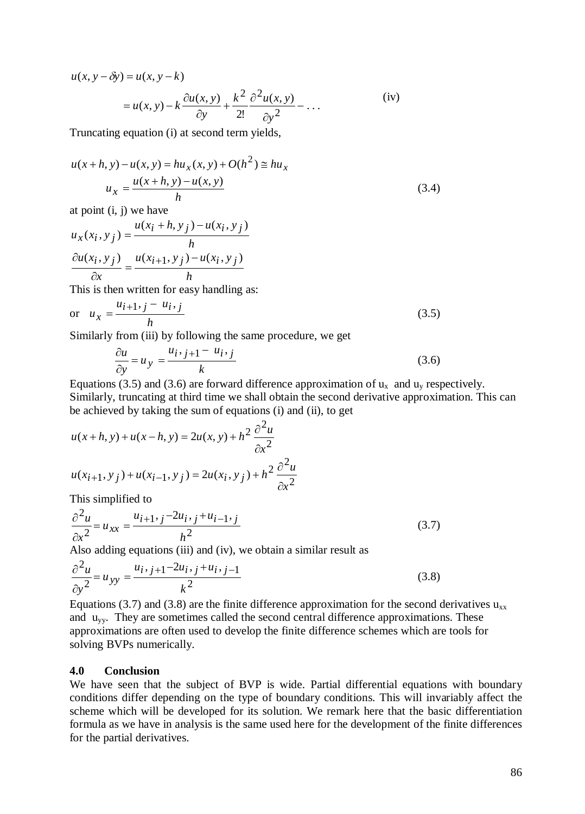$\frac{(x, y)}{2}$  - ... 2!  $(x, y) - k \frac{\partial u(x, y)}{\partial y} + \frac{k^2}{2!} \frac{\partial^2 u(x, y)}{\partial y^2}$  $u(x, y - \delta y) = u(x, y - k)$ 2  $a^2$ − ∂  $+\frac{k^2}{2}$ ∂  $= u(x, y) - k \frac{\partial}{\partial x}$ *y*  $k^2 \partial^2 u(x, y)$ *y*  $u(x, y) - k \frac{\partial u(x, y)}{\partial y}$  $(iv)$ 

Truncating equation (i) at second term yields,

$$
u(x+h, y) - u(x, y) = hu_x(x, y) + O(h^2) \approx hu_x
$$
  

$$
u_x = \frac{u(x+h, y) - u(x, y)}{h}
$$
 (3.4)

at point  $(i, j)$  we have

$$
u_x(x_i, y_j) = \frac{u(x_i + h, y_j) - u(x_i, y_j)}{h}
$$

$$
\frac{\partial u(x_i, y_j)}{\partial x} = \frac{u(x_{i+1}, y_j) - u(x_i, y_j)}{h}
$$

This is then written for easy handling as:

or 
$$
u_x = \frac{u_{i+1}, j - u_i, j}{h}
$$
 (3.5)

Similarly from (iii) by following the same procedure, we get

$$
\frac{\partial u}{\partial y} = u_y = \frac{u_i, j+1 - u_i, j}{k}
$$
(3.6)

Equations (3.5) and (3.6) are forward difference approximation of  $u_x$  and  $u_y$  respectively. Similarly, truncating at third time we shall obtain the second derivative approximation. This can be achieved by taking the sum of equations (i) and (ii), to get

$$
u(x+h, y) + u(x-h, y) = 2u(x, y) + h^2 \frac{\partial^2 u}{\partial x^2}
$$
  

$$
u(x_{i+1}, y_j) + u(x_{i-1}, y_j) = 2u(x_i, y_j) + h^2 \frac{\partial^2 u}{\partial x^2}
$$

This simplified to

$$
\frac{\partial^2 u}{\partial x^2} = u_{xx} = \frac{u_{i+1}, j - 2u_i, j + u_{i-1}, j}{h^2}
$$
\n(3.7)

Also adding equations (iii) and (iv), we obtain a similar result as

$$
\frac{\partial^2 u}{\partial y^2} = u_{yy} = \frac{u_i, j+1-2u_i, j+u_i, j-1}{k^2}
$$
\n(3.8)

Equations (3.7) and (3.8) are the finite difference approximation for the second derivatives  $u_{xx}$ and  $u_{yy}$ . They are sometimes called the second central difference approximations. These approximations are often used to develop the finite difference schemes which are tools for solving BVPs numerically.

# **4.0 Conclusion**

We have seen that the subject of BVP is wide. Partial differential equations with boundary conditions differ depending on the type of boundary conditions. This will invariably affect the scheme which will be developed for its solution. We remark here that the basic differentiation formula as we have in analysis is the same used here for the development of the finite differences for the partial derivatives.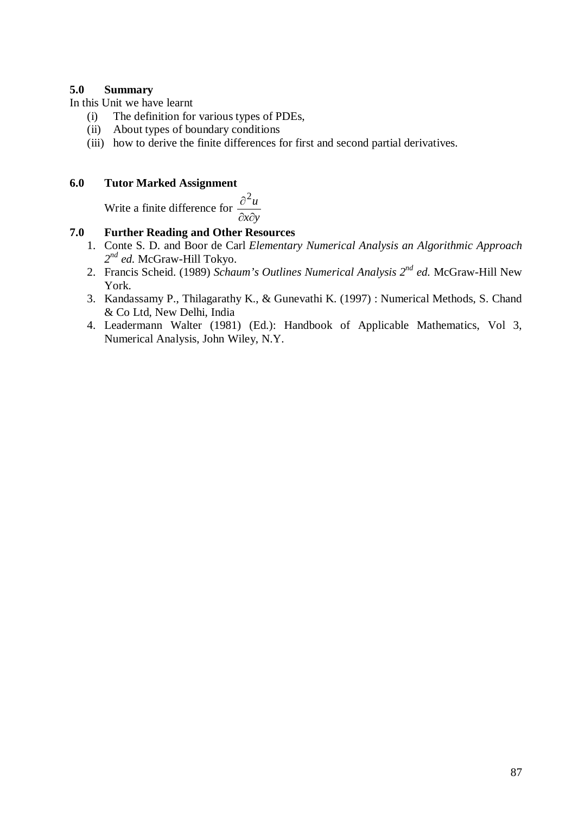# **5.0 Summary**

In this Unit we have learnt

- (i) The definition for various types of PDEs,
- (ii) About types of boundary conditions
- (iii) how to derive the finite differences for first and second partial derivatives.

# **6.0 Tutor Marked Assignment**

 Write a finite difference for *x y u*  $\partial x \partial$  $\partial^2$ 

- 1. Conte S. D. and Boor de Carl *Elementary Numerical Analysis an Algorithmic Approach 2nd ed.* McGraw-Hill Tokyo.
- 2. Francis Scheid. (1989) *Schaum's Outlines Numerical Analysis 2nd ed.* McGraw-Hill New York.
- 3. Kandassamy P., Thilagarathy K., & Gunevathi K. (1997) : Numerical Methods, S. Chand & Co Ltd, New Delhi, India
- 4. Leadermann Walter (1981) (Ed.): Handbook of Applicable Mathematics, Vol 3, Numerical Analysis, John Wiley, N.Y.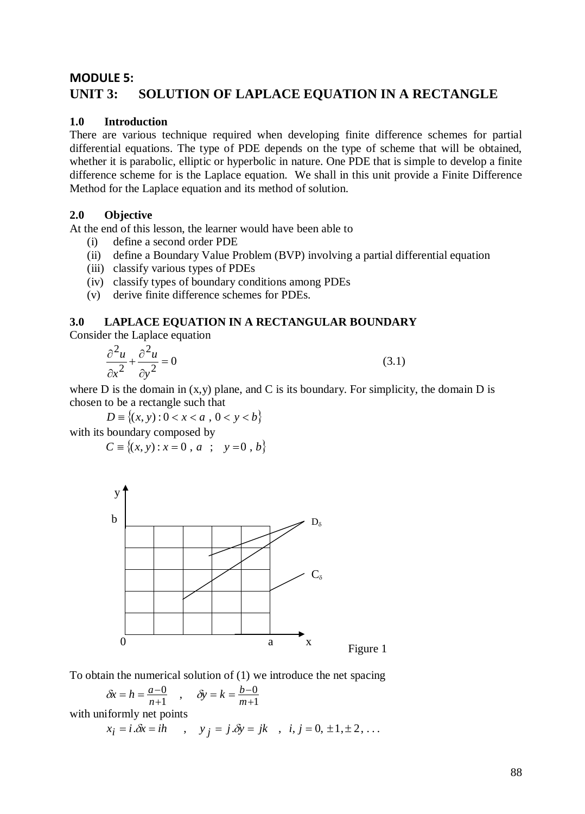# **MODULE 5: UNIT 3: SOLUTION OF LAPLACE EQUATION IN A RECTANGLE**

# **1.0 Introduction**

There are various technique required when developing finite difference schemes for partial differential equations. The type of PDE depends on the type of scheme that will be obtained, whether it is parabolic, elliptic or hyperbolic in nature. One PDE that is simple to develop a finite difference scheme for is the Laplace equation. We shall in this unit provide a Finite Difference Method for the Laplace equation and its method of solution.

# **2.0 Objective**

At the end of this lesson, the learner would have been able to

- (i) define a second order PDE
- (ii) define a Boundary Value Problem (BVP) involving a partial differential equation
- (iii) classify various types of PDEs
- (iv) classify types of boundary conditions among PDEs
- (v) derive finite difference schemes for PDEs.

# **3.0 LAPLACE EQUATION IN A RECTANGULAR BOUNDARY**

Consider the Laplace equation

$$
\frac{\partial^2 u}{\partial x^2} + \frac{\partial^2 u}{\partial y^2} = 0
$$
\n(3.1)

where D is the domain in  $(x,y)$  plane, and C is its boundary. For simplicity, the domain D is chosen to be a rectangle such that

*D* = { $(x, y)$  : 0 <  $x$  < *a*, 0 <  $y$  < *b*}

with its boundary composed by

$$
C \equiv \{(x, y) : x = 0, a ; y = 0, b\}
$$



To obtain the numerical solution of (1) we introduce the net spacing

$$
\delta x = h = \frac{a-0}{n+1}
$$
,  $\delta y = k = \frac{b-0}{m+1}$ 

with uniformly net points

$$
x_i = i.\delta x = ih
$$
,  $y_j = j.\delta y = jk$ ,  $i, j = 0, \pm 1, \pm 2, ...$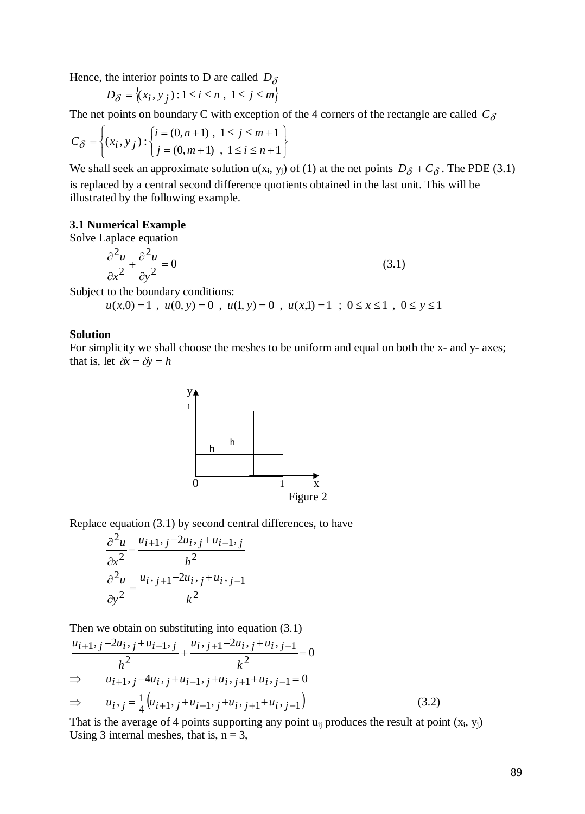Hence, the interior points to D are called  $D_{\delta}$ 

$$
D_{\delta} = \{(x_i, y_j) : 1 \le i \le n , 1 \le j \le m\}
$$

The net points on boundary C with exception of the 4 corners of the rectangle are called  $C_{\delta}$ 

$$
C_{\delta} = \left\{ (x_i, y_j) : \begin{cases} i = (0, n+1), & 1 \le j \le m+1 \\ j = (0, m+1), & 1 \le i \le n+1 \end{cases} \right\}
$$

We shall seek an approximate solution  $u(x_i, y_j)$  of (1) at the net points  $D_{\delta} + C_{\delta}$ . The PDE (3.1) is replaced by a central second difference quotients obtained in the last unit. This will be illustrated by the following example.

#### **3.1 Numerical Example**

Solve Laplace equation

$$
\frac{\partial^2 u}{\partial x^2} + \frac{\partial^2 u}{\partial y^2} = 0
$$
\n(3.1)

Subject to the boundary conditions:

*u*(*x*,0) = 1, *u*(0, *y*) = 0, *u*(1, *y*) = 0, *u*(*x*,1) = 1; 0 ≤ *x* ≤ 1, 0 ≤ *y* ≤ 1

#### **Solution**

For simplicity we shall choose the meshes to be uniform and equal on both the x- and y- axes; that is, let  $\delta x = \delta y = h$ 



Replace equation (3.1) by second central differences, to have

$$
\frac{\partial^2 u}{\partial x^2} = \frac{u_{i+1}, j - 2u_i, j + u_{i-1}, j}{h^2}
$$

$$
\frac{\partial^2 u}{\partial y^2} = \frac{u_i, j + 1 - 2u_i, j + u_i, j - 1}{k^2}
$$

Then we obtain on substituting into equation (3.1)

$$
\frac{u_{i+1}, j-2u_i, j+u_{i-1}, j}{h^2} + \frac{u_i, j+1-2u_i, j+u_i, j-1}{k^2} = 0
$$
\n
$$
\Rightarrow \quad u_{i+1}, j-4u_i, j+u_{i-1}, j+u_i, j+1+u_i, j-1 = 0
$$
\n
$$
\Rightarrow \quad u_i, j = \frac{1}{4} (u_{i+1}, j+u_{i-1}, j+u_i, j+1+u_i, j-1)
$$
\n(3.2)

That is the average of 4 points supporting any point  $u_{ij}$  produces the result at point  $(x_i, y_j)$ Using 3 internal meshes, that is,  $n = 3$ ,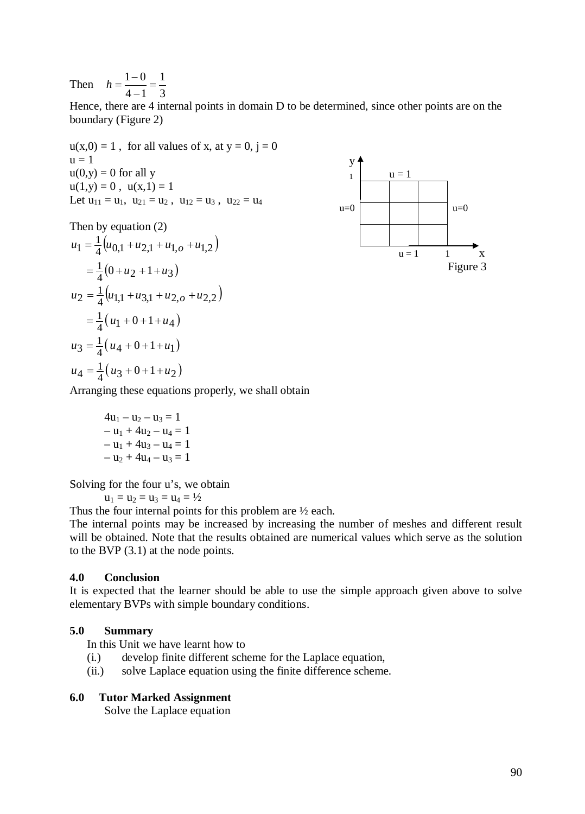Then 3 1  $h = \frac{1-0}{4-1}$ 

Hence, there are 4 internal points in domain D to be determined, since other points are on the boundary (Figure 2)

 $u(x,0) = 1$ , for all values of x, at  $y = 0$ ,  $j = 0$  $u = 1$  $u(0,y) = 0$  for all y  $u(1,y) = 0$ ,  $u(x,1) = 1$ Let  $u_{11} = u_1$ ,  $u_{21} = u_2$ ,  $u_{12} = u_3$ ,  $u_{22} = u_4$ 

Then by equation (2) 1

$$
u_1 = \frac{1}{4} (u_{0,1} + u_{2,1} + u_{1,o} + u_{1,2})
$$
  
=  $\frac{1}{4} (0 + u_2 + 1 + u_3)$   

$$
u_2 = \frac{1}{4} (u_{1,1} + u_{3,1} + u_{2,o} + u_{2,2})
$$
  
=  $\frac{1}{4} (u_1 + 0 + 1 + u_4)$   

$$
u_3 = \frac{1}{4} (u_4 + 0 + 1 + u_1)
$$
  

$$
u_4 = \frac{1}{4} (u_3 + 0 + 1 + u_2)
$$



Arranging these equations properly, we shall obtain

$$
4u1 - u2 - u3 = 1 \n- u1 + 4u2 - u4 = 1 \n- u1 + 4u3 - u4 = 1 \n- u2 + 4u4 - u3 = 1
$$

Solving for the four u's, we obtain

 $u_1 = u_2 = u_3 = u_4 = \frac{1}{2}$ 

Thus the four internal points for this problem are ½ each.

The internal points may be increased by increasing the number of meshes and different result will be obtained. Note that the results obtained are numerical values which serve as the solution to the BVP (3.1) at the node points.

### **4.0 Conclusion**

It is expected that the learner should be able to use the simple approach given above to solve elementary BVPs with simple boundary conditions.

### **5.0 Summary**

In this Unit we have learnt how to

- (i.) develop finite different scheme for the Laplace equation,
- (ii.) solve Laplace equation using the finite difference scheme.

#### **6.0 Tutor Marked Assignment**

Solve the Laplace equation